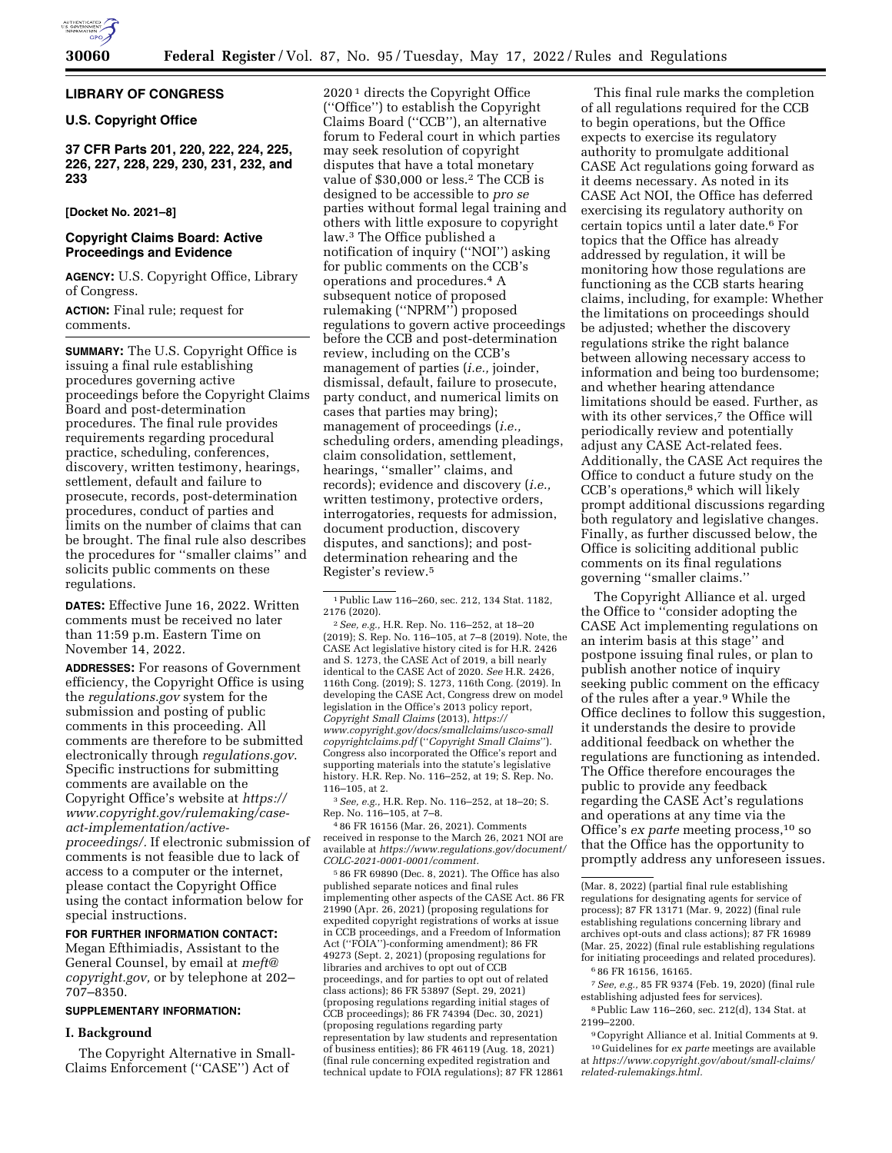

# **LIBRARY OF CONGRESS**

# **U.S. Copyright Office**

**37 CFR Parts 201, 220, 222, 224, 225, 226, 227, 228, 229, 230, 231, 232, and 233** 

# **[Docket No. 2021–8]**

# **Copyright Claims Board: Active Proceedings and Evidence**

**AGENCY:** U.S. Copyright Office, Library of Congress.

# **ACTION:** Final rule; request for comments.

**SUMMARY:** The U.S. Copyright Office is issuing a final rule establishing procedures governing active proceedings before the Copyright Claims Board and post-determination procedures. The final rule provides requirements regarding procedural practice, scheduling, conferences, discovery, written testimony, hearings, settlement, default and failure to prosecute, records, post-determination procedures, conduct of parties and limits on the number of claims that can be brought. The final rule also describes the procedures for ''smaller claims'' and solicits public comments on these regulations.

**DATES:** Effective June 16, 2022. Written comments must be received no later than 11:59 p.m. Eastern Time on November 14, 2022.

**ADDRESSES:** For reasons of Government efficiency, the Copyright Office is using the *regulations.gov* system for the submission and posting of public comments in this proceeding. All comments are therefore to be submitted electronically through *regulations.gov*. Specific instructions for submitting comments are available on the Copyright Office's website at *[https://](https://www.copyright.gov/rulemaking/case-act-implementation/active-proceedings/) [www.copyright.gov/rulemaking/case](https://www.copyright.gov/rulemaking/case-act-implementation/active-proceedings/)act-implementation/active[proceedings/.](https://www.copyright.gov/rulemaking/case-act-implementation/active-proceedings/)* If electronic submission of comments is not feasible due to lack of access to a computer or the internet, please contact the Copyright Office using the contact information below for special instructions.

### **FOR FURTHER INFORMATION CONTACT:**

Megan Efthimiadis, Assistant to the General Counsel, by email at *[meft@](mailto:meft@copyright.gov) [copyright.gov,](mailto:meft@copyright.gov)* or by telephone at 202– 707–8350.

### **SUPPLEMENTARY INFORMATION:**

### **I. Background**

The Copyright Alternative in Small-Claims Enforcement (''CASE'') Act of

2020 1 directs the Copyright Office (''Office'') to establish the Copyright Claims Board (''CCB''), an alternative forum to Federal court in which parties may seek resolution of copyright disputes that have a total monetary value of \$30,000 or less.2 The CCB is designed to be accessible to *pro se*  parties without formal legal training and others with little exposure to copyright law.3 The Office published a notification of inquiry (''NOI'') asking for public comments on the CCB's operations and procedures.4 A subsequent notice of proposed rulemaking (''NPRM'') proposed regulations to govern active proceedings before the CCB and post-determination review, including on the CCB's management of parties (*i.e.,* joinder, dismissal, default, failure to prosecute, party conduct, and numerical limits on cases that parties may bring); management of proceedings (*i.e.,*  scheduling orders, amending pleadings, claim consolidation, settlement, hearings, ''smaller'' claims, and records); evidence and discovery (*i.e.,*  written testimony, protective orders, interrogatories, requests for admission, document production, discovery disputes, and sanctions); and postdetermination rehearing and the Register's review.5

1Public Law 116–260, sec. 212, 134 Stat. 1182, 2176 (2020).

2*See, e.g.,* H.R. Rep. No. 116–252, at 18–20 (2019); S. Rep. No. 116–105, at 7–8 (2019). Note, the CASE Act legislative history cited is for H.R. 2426 and S. 1273, the CASE Act of 2019, a bill nearly identical to the CASE Act of 2020. *See* H.R. 2426, 116th Cong. (2019); S. 1273, 116th Cong. (2019). In developing the CASE Act, Congress drew on model legislation in the Office's 2013 policy report, *Copyright Small Claims* (2013), *[https://](https://www.copyright.gov/docs/smallclaims/usco-smallcopyrightclaims.pdf) [www.copyright.gov/docs/smallclaims/usco-small](https://www.copyright.gov/docs/smallclaims/usco-smallcopyrightclaims.pdf) [copyrightclaims.pdf](https://www.copyright.gov/docs/smallclaims/usco-smallcopyrightclaims.pdf)* (''*Copyright Small Claims*''). Congress also incorporated the Office's report and supporting materials into the statute's legislative history. H.R. Rep. No. 116–252, at 19; S. Rep. No. 116–105, at 2.

3*See, e.g.,* H.R. Rep. No. 116–252, at 18–20; S. Rep. No. 116–105, at 7–8.

4 86 FR 16156 (Mar. 26, 2021). Comments received in response to the March 26, 2021 NOI are available at *[https://www.regulations.gov/document/](https://www.regulations.gov/document/COLC-2021-0001-0001/comment)  [COLC-2021-0001-0001/comment.](https://www.regulations.gov/document/COLC-2021-0001-0001/comment)* 

5 86 FR 69890 (Dec. 8, 2021). The Office has also published separate notices and final rules implementing other aspects of the CASE Act. 86 FR 21990 (Apr. 26, 2021) (proposing regulations for expedited copyright registrations of works at issue in CCB proceedings, and a Freedom of Information Act (''FOIA'')-conforming amendment); 86 FR 49273 (Sept. 2, 2021) (proposing regulations for libraries and archives to opt out of CCB proceedings, and for parties to opt out of related class actions); 86 FR 53897 (Sept. 29, 2021) (proposing regulations regarding initial stages of CCB proceedings); 86 FR 74394 (Dec. 30, 2021) (proposing regulations regarding party representation by law students and representation of business entities); 86 FR 46119 (Aug. 18, 2021) (final rule concerning expedited registration and technical update to FOIA regulations); 87 FR 12861

This final rule marks the completion of all regulations required for the CCB to begin operations, but the Office expects to exercise its regulatory authority to promulgate additional CASE Act regulations going forward as it deems necessary. As noted in its CASE Act NOI, the Office has deferred exercising its regulatory authority on certain topics until a later date.6 For topics that the Office has already addressed by regulation, it will be monitoring how those regulations are functioning as the CCB starts hearing claims, including, for example: Whether the limitations on proceedings should be adjusted; whether the discovery regulations strike the right balance between allowing necessary access to information and being too burdensome; and whether hearing attendance limitations should be eased. Further, as with its other services,<sup>7</sup> the Office will periodically review and potentially adjust any CASE Act-related fees. Additionally, the CASE Act requires the Office to conduct a future study on the CCB's operations,8 which will likely prompt additional discussions regarding both regulatory and legislative changes. Finally, as further discussed below, the Office is soliciting additional public comments on its final regulations governing ''smaller claims.''

The Copyright Alliance et al. urged the Office to ''consider adopting the CASE Act implementing regulations on an interim basis at this stage'' and postpone issuing final rules, or plan to publish another notice of inquiry seeking public comment on the efficacy of the rules after a year.9 While the Office declines to follow this suggestion, it understands the desire to provide additional feedback on whether the regulations are functioning as intended. The Office therefore encourages the public to provide any feedback regarding the CASE Act's regulations and operations at any time via the Office's *ex parte* meeting process,<sup>10</sup> so that the Office has the opportunity to promptly address any unforeseen issues.

8Public Law 116–260, sec. 212(d), 134 Stat. at 2199–2200.

<sup>(</sup>Mar. 8, 2022) (partial final rule establishing regulations for designating agents for service of process); 87 FR 13171 (Mar. 9, 2022) (final rule establishing regulations concerning library and archives opt-outs and class actions); 87 FR 16989 (Mar. 25, 2022) (final rule establishing regulations for initiating proceedings and related procedures). 6 86 FR 16156, 16165.

<sup>7</sup>*See, e.g.,* 85 FR 9374 (Feb. 19, 2020) (final rule establishing adjusted fees for services).

<sup>9</sup>Copyright Alliance et al. Initial Comments at 9. 10 Guidelines for *ex parte* meetings are available at *[https://www.copyright.gov/about/small-claims/](https://www.copyright.gov/about/small-claims/related-rulemakings.html) [related-rulemakings.html.](https://www.copyright.gov/about/small-claims/related-rulemakings.html)*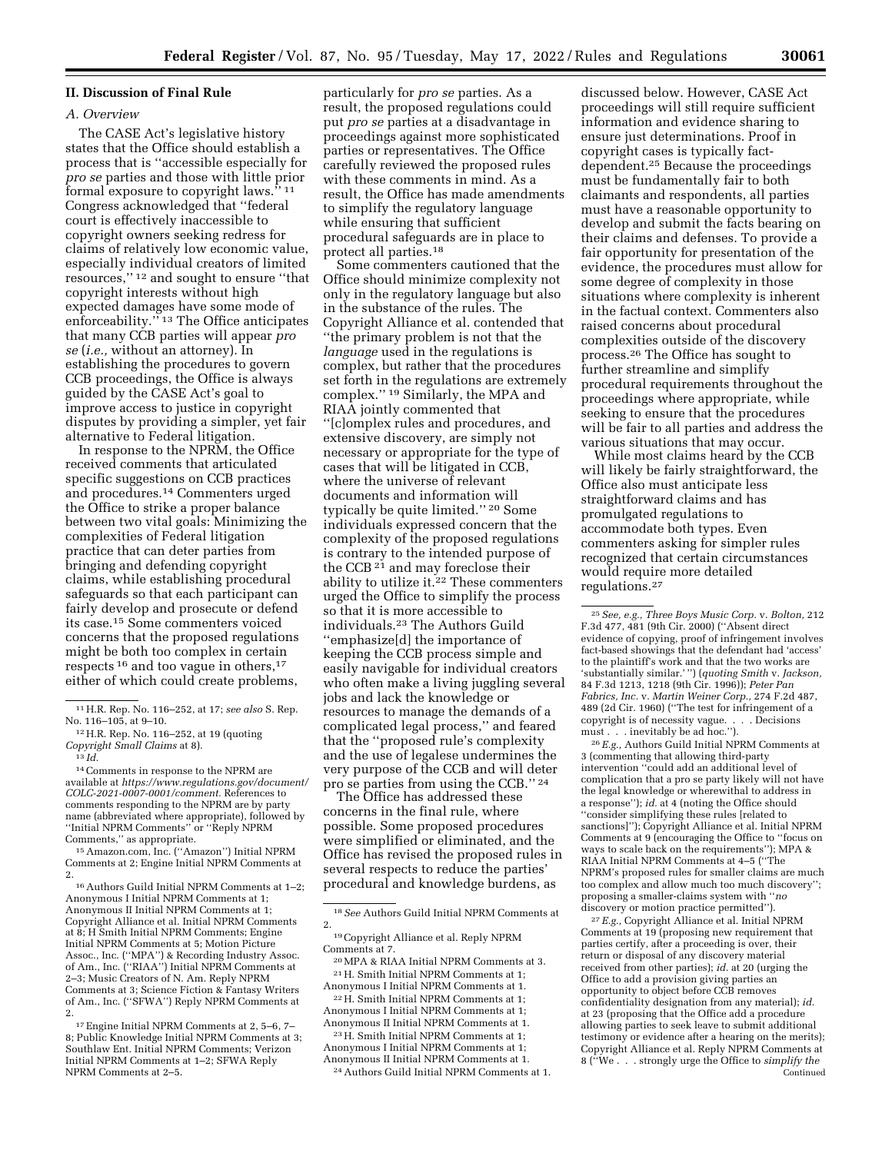### **II. Discussion of Final Rule**

#### *A. Overview*

The CASE Act's legislative history states that the Office should establish a process that is ''accessible especially for *pro se* parties and those with little prior formal exposure to copyright laws."<sup>11</sup> Congress acknowledged that ''federal court is effectively inaccessible to copyright owners seeking redress for claims of relatively low economic value, especially individual creators of limited resources,'' 12 and sought to ensure ''that copyright interests without high expected damages have some mode of enforceability."<sup>13</sup> The Office anticipates that many CCB parties will appear *pro se* (*i.e.,* without an attorney). In establishing the procedures to govern CCB proceedings, the Office is always guided by the CASE Act's goal to improve access to justice in copyright disputes by providing a simpler, yet fair alternative to Federal litigation.

In response to the NPRM, the Office received comments that articulated specific suggestions on CCB practices and procedures.14 Commenters urged the Office to strike a proper balance between two vital goals: Minimizing the complexities of Federal litigation practice that can deter parties from bringing and defending copyright claims, while establishing procedural safeguards so that each participant can fairly develop and prosecute or defend its case.15 Some commenters voiced concerns that the proposed regulations might be both too complex in certain respects 16 and too vague in others,17 either of which could create problems,

14Comments in response to the NPRM are available at *[https://www.regulations.gov/document/](https://www.regulations.gov/document/COLC-2021-0007-0001/comment)  [COLC-2021-0007-0001/comment.](https://www.regulations.gov/document/COLC-2021-0007-0001/comment)* References to comments responding to the NPRM are by party name (abbreviated where appropriate), followed by ''Initial NPRM Comments'' or ''Reply NPRM

Comments,'' as appropriate. 15Amazon.com, Inc. (''Amazon'') Initial NPRM Comments at 2; Engine Initial NPRM Comments at

2. 16Authors Guild Initial NPRM Comments at 1–2; Anonymous I Initial NPRM Comments at 1; Anonymous II Initial NPRM Comments at 1; Copyright Alliance et al. Initial NPRM Comments at 8; H Smith Initial NPRM Comments; Engine Initial NPRM Comments at 5; Motion Picture Assoc., Inc. (''MPA'') & Recording Industry Assoc. of Am., Inc. (''RIAA'') Initial NPRM Comments at 2–3; Music Creators of N. Am. Reply NPRM Comments at 3; Science Fiction & Fantasy Writers of Am., Inc. (''SFWA'') Reply NPRM Comments at 2.

17Engine Initial NPRM Comments at 2, 5–6, 7– 8; Public Knowledge Initial NPRM Comments at 3; Southlaw Ent. Initial NPRM Comments; Verizon Initial NPRM Comments at 1–2; SFWA Reply NPRM Comments at 2–5.

particularly for *pro se* parties. As a result, the proposed regulations could put *pro se* parties at a disadvantage in proceedings against more sophisticated parties or representatives. The Office carefully reviewed the proposed rules with these comments in mind. As a result, the Office has made amendments to simplify the regulatory language while ensuring that sufficient procedural safeguards are in place to protect all parties.18

Some commenters cautioned that the Office should minimize complexity not only in the regulatory language but also in the substance of the rules. The Copyright Alliance et al. contended that ''the primary problem is not that the *language* used in the regulations is complex, but rather that the procedures set forth in the regulations are extremely complex.'' 19 Similarly, the MPA and RIAA jointly commented that ''[c]omplex rules and procedures, and extensive discovery, are simply not necessary or appropriate for the type of cases that will be litigated in CCB, where the universe of relevant documents and information will typically be quite limited.'' 20 Some individuals expressed concern that the complexity of the proposed regulations is contrary to the intended purpose of the CCB<sup>21</sup> and may foreclose their ability to utilize it.<sup>22</sup> These commenters urged the Office to simplify the process so that it is more accessible to individuals.23 The Authors Guild ''emphasize[d] the importance of keeping the CCB process simple and easily navigable for individual creators who often make a living juggling several jobs and lack the knowledge or resources to manage the demands of a complicated legal process,'' and feared that the ''proposed rule's complexity and the use of legalese undermines the very purpose of the CCB and will deter pro se parties from using the CCB.'' 24

The Office has addressed these concerns in the final rule, where possible. Some proposed procedures were simplified or eliminated, and the Office has revised the proposed rules in several respects to reduce the parties' procedural and knowledge burdens, as

Anonymous I Initial NPRM Comments at 1; Anonymous II Initial NPRM Comments at 1.

23H. Smith Initial NPRM Comments at 1; Anonymous I Initial NPRM Comments at 1; Anonymous II Initial NPRM Comments at 1.

24Authors Guild Initial NPRM Comments at 1.

discussed below. However, CASE Act proceedings will still require sufficient information and evidence sharing to ensure just determinations. Proof in copyright cases is typically factdependent.25 Because the proceedings must be fundamentally fair to both claimants and respondents, all parties must have a reasonable opportunity to develop and submit the facts bearing on their claims and defenses. To provide a fair opportunity for presentation of the evidence, the procedures must allow for some degree of complexity in those situations where complexity is inherent in the factual context. Commenters also raised concerns about procedural complexities outside of the discovery process.26 The Office has sought to further streamline and simplify procedural requirements throughout the proceedings where appropriate, while seeking to ensure that the procedures will be fair to all parties and address the various situations that may occur.

While most claims heard by the CCB will likely be fairly straightforward, the Office also must anticipate less straightforward claims and has promulgated regulations to accommodate both types. Even commenters asking for simpler rules recognized that certain circumstances would require more detailed regulations.27

26*E.g.,* Authors Guild Initial NPRM Comments at 3 (commenting that allowing third-party intervention ''could add an additional level of complication that a pro se party likely will not have the legal knowledge or wherewithal to address in a response''); *id.* at 4 (noting the Office should ''consider simplifying these rules [related to sanctions]''); Copyright Alliance et al. Initial NPRM Comments at 9 (encouraging the Office to ''focus on ways to scale back on the requirements''); MPA & RIAA Initial NPRM Comments at 4–5 (''The NPRM's proposed rules for smaller claims are much too complex and allow much too much discovery''; proposing a smaller-claims system with ''*no*  discovery or motion practice permitted'').

27*E.g.,* Copyright Alliance et al. Initial NPRM Comments at 19 (proposing new requirement that parties certify, after a proceeding is over, their return or disposal of any discovery material received from other parties); *id.* at 20 (urging the Office to add a provision giving parties an opportunity to object before CCB removes confidentiality designation from any material); *id.*  at 23 (proposing that the Office add a procedure allowing parties to seek leave to submit additional testimony or evidence after a hearing on the merits); Copyright Alliance et al. Reply NPRM Comments at 8 (''We . . . strongly urge the Office to *simplify the*  Continued

<sup>11</sup>H.R. Rep. No. 116–252, at 17; *see also* S. Rep.

<sup>&</sup>lt;sup>12</sup> H.R. Rep. No. 116–252, at 19 (quoting *Copyright Small Claims* at 8). 13 *Id.* 

<sup>18</sup>*See* Authors Guild Initial NPRM Comments at 2.

<sup>19</sup>Copyright Alliance et al. Reply NPRM

Comments at 7. 20MPA & RIAA Initial NPRM Comments at 3. 21H. Smith Initial NPRM Comments at 1;

Anonymous I Initial NPRM Comments at 1. 22H. Smith Initial NPRM Comments at 1;

<sup>25</sup>*See, e.g., Three Boys Music Corp.* v. *Bolton,* 212 F.3d 477, 481 (9th Cir. 2000) (''Absent direct evidence of copying, proof of infringement involves fact-based showings that the defendant had 'access' to the plaintiff's work and that the two works are 'substantially similar.' '') (*quoting Smith* v. *Jackson,*  84 F.3d 1213, 1218 (9th Cir. 1996)); *Peter Pan Fabrics, Inc.* v. *Martin Weiner Corp.,* 274 F.2d 487, 489 (2d Cir. 1960) (''The test for infringement of a copyright is of necessity vague. . . . Decisions must . . . inevitably be ad hoc.'').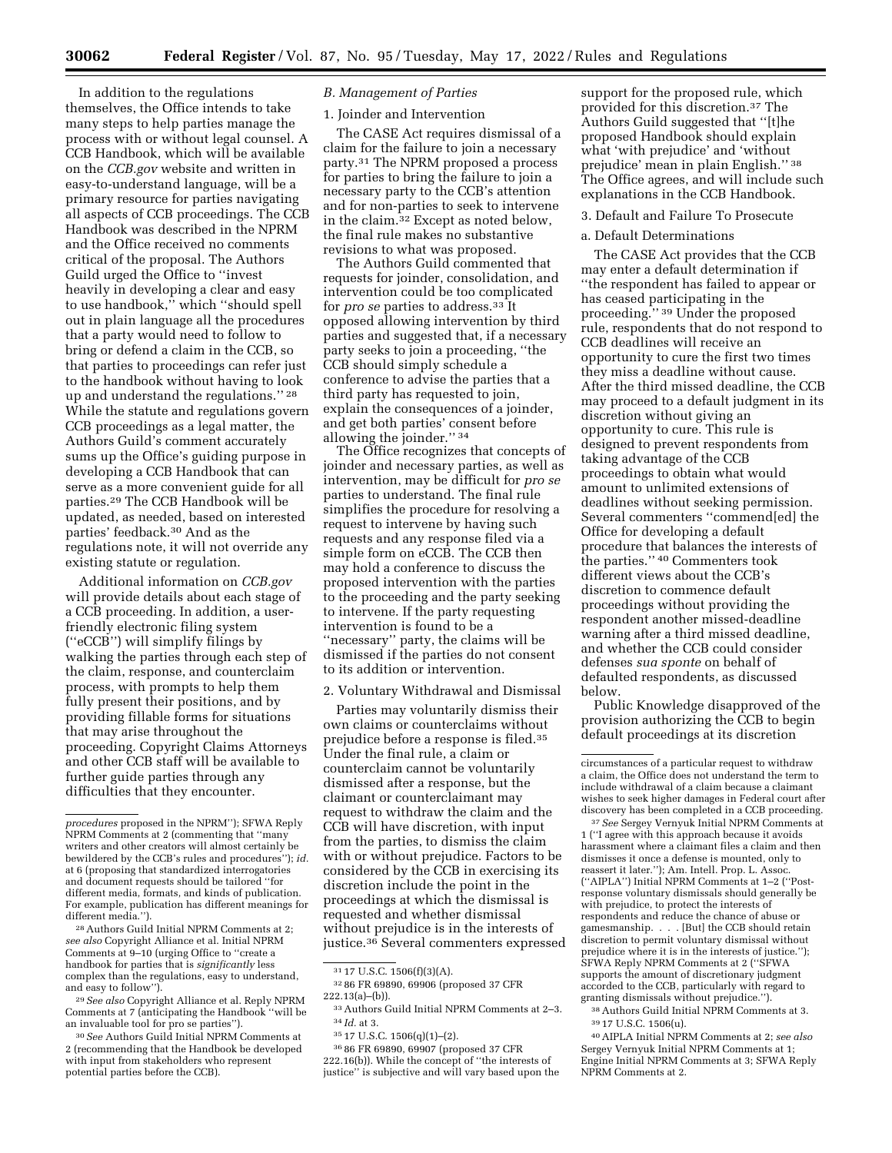In addition to the regulations themselves, the Office intends to take many steps to help parties manage the process with or without legal counsel. A CCB Handbook, which will be available on the *CCB.gov* website and written in easy-to-understand language, will be a primary resource for parties navigating all aspects of CCB proceedings. The CCB Handbook was described in the NPRM and the Office received no comments critical of the proposal. The Authors Guild urged the Office to ''invest heavily in developing a clear and easy to use handbook,'' which ''should spell out in plain language all the procedures that a party would need to follow to bring or defend a claim in the CCB, so that parties to proceedings can refer just to the handbook without having to look up and understand the regulations.'' 28 While the statute and regulations govern CCB proceedings as a legal matter, the Authors Guild's comment accurately sums up the Office's guiding purpose in developing a CCB Handbook that can serve as a more convenient guide for all parties.29 The CCB Handbook will be updated, as needed, based on interested parties' feedback.30 And as the regulations note, it will not override any existing statute or regulation.

Additional information on *CCB.gov*  will provide details about each stage of a CCB proceeding. In addition, a userfriendly electronic filing system (''eCCB'') will simplify filings by walking the parties through each step of the claim, response, and counterclaim process, with prompts to help them fully present their positions, and by providing fillable forms for situations that may arise throughout the proceeding. Copyright Claims Attorneys and other CCB staff will be available to further guide parties through any difficulties that they encounter.

28Authors Guild Initial NPRM Comments at 2; *see also* Copyright Alliance et al. Initial NPRM Comments at 9–10 (urging Office to ''create a handbook for parties that is *significantly* less complex than the regulations, easy to understand, and easy to follow'').

29*See also* Copyright Alliance et al. Reply NPRM Comments at 7 (anticipating the Handbook ''will be an invaluable tool for pro se parties'').

30*See* Authors Guild Initial NPRM Comments at 2 (recommending that the Handbook be developed with input from stakeholders who represent potential parties before the CCB).

#### *B. Management of Parties*

### 1. Joinder and Intervention

The CASE Act requires dismissal of a claim for the failure to join a necessary party.31 The NPRM proposed a process for parties to bring the failure to join a necessary party to the CCB's attention and for non-parties to seek to intervene in the claim.32 Except as noted below, the final rule makes no substantive revisions to what was proposed.

The Authors Guild commented that requests for joinder, consolidation, and intervention could be too complicated for *pro se* parties to address.33 It opposed allowing intervention by third parties and suggested that, if a necessary party seeks to join a proceeding, ''the CCB should simply schedule a conference to advise the parties that a third party has requested to join, explain the consequences of a joinder, and get both parties' consent before allowing the joinder.'' 34

The Office recognizes that concepts of joinder and necessary parties, as well as intervention, may be difficult for *pro se*  parties to understand. The final rule simplifies the procedure for resolving a request to intervene by having such requests and any response filed via a simple form on eCCB. The CCB then may hold a conference to discuss the proposed intervention with the parties to the proceeding and the party seeking to intervene. If the party requesting intervention is found to be a ''necessary'' party, the claims will be dismissed if the parties do not consent to its addition or intervention.

#### 2. Voluntary Withdrawal and Dismissal

Parties may voluntarily dismiss their own claims or counterclaims without prejudice before a response is filed.35 Under the final rule, a claim or counterclaim cannot be voluntarily dismissed after a response, but the claimant or counterclaimant may request to withdraw the claim and the CCB will have discretion, with input from the parties, to dismiss the claim with or without prejudice. Factors to be considered by the CCB in exercising its discretion include the point in the proceedings at which the dismissal is requested and whether dismissal without prejudice is in the interests of justice.36 Several commenters expressed

36 86 FR 69890, 69907 (proposed 37 CFR 222.16(b)). While the concept of ''the interests of justice" is subjective and will vary based upon the support for the proposed rule, which provided for this discretion.37 The Authors Guild suggested that ''[t]he proposed Handbook should explain what 'with prejudice' and 'without prejudice' mean in plain English.'' 38 The Office agrees, and will include such explanations in the CCB Handbook.

### 3. Default and Failure To Prosecute

### a. Default Determinations

The CASE Act provides that the CCB may enter a default determination if ''the respondent has failed to appear or has ceased participating in the proceeding.'' 39 Under the proposed rule, respondents that do not respond to CCB deadlines will receive an opportunity to cure the first two times they miss a deadline without cause. After the third missed deadline, the CCB may proceed to a default judgment in its discretion without giving an opportunity to cure. This rule is designed to prevent respondents from taking advantage of the CCB proceedings to obtain what would amount to unlimited extensions of deadlines without seeking permission. Several commenters ''commend[ed] the Office for developing a default procedure that balances the interests of the parties.'' 40 Commenters took different views about the CCB's discretion to commence default proceedings without providing the respondent another missed-deadline warning after a third missed deadline, and whether the CCB could consider defenses *sua sponte* on behalf of defaulted respondents, as discussed below.

Public Knowledge disapproved of the provision authorizing the CCB to begin default proceedings at its discretion

37*See* Sergey Vernyuk Initial NPRM Comments at 1 (''I agree with this approach because it avoids harassment where a claimant files a claim and then dismisses it once a defense is mounted, only to reassert it later.''); Am. Intell. Prop. L. Assoc. (''AIPLA'') Initial NPRM Comments at 1–2 (''Postresponse voluntary dismissals should generally be with prejudice, to protect the interests of respondents and reduce the chance of abuse or gamesmanship. . . . [But] the CCB should retain discretion to permit voluntary dismissal without prejudice where it is in the interests of justice.''); SFWA Reply NPRM Comments at 2 (''SFWA supports the amount of discretionary judgment accorded to the CCB, particularly with regard to granting dismissals without prejudice.'').

38Authors Guild Initial NPRM Comments at 3. 39 17 U.S.C. 1506(u).

40AIPLA Initial NPRM Comments at 2; *see also*  Sergey Vernyuk Initial NPRM Comments at 1; Engine Initial NPRM Comments at 3; SFWA Reply NPRM Comments at 2.

*procedures* proposed in the NPRM''); SFWA Reply NPRM Comments at 2 (commenting that ''many writers and other creators will almost certainly be bewildered by the CCB's rules and procedures''); *id.*  at 6 (proposing that standardized interrogatories and document requests should be tailored ''for different media, formats, and kinds of publication. For example, publication has different meanings for different media.'').

<sup>31</sup> 17 U.S.C. 1506(f)(3)(A).

<sup>32</sup> 86 FR 69890, 69906 (proposed 37 CFR 222.13(a)–(b)).

<sup>33</sup>Authors Guild Initial NPRM Comments at 2–3. 34 *Id.* at 3.

<sup>35</sup> 17 U.S.C. 1506(q)(1)–(2).

circumstances of a particular request to withdraw a claim, the Office does not understand the term to include withdrawal of a claim because a claimant wishes to seek higher damages in Federal court after discovery has been completed in a CCB proceeding.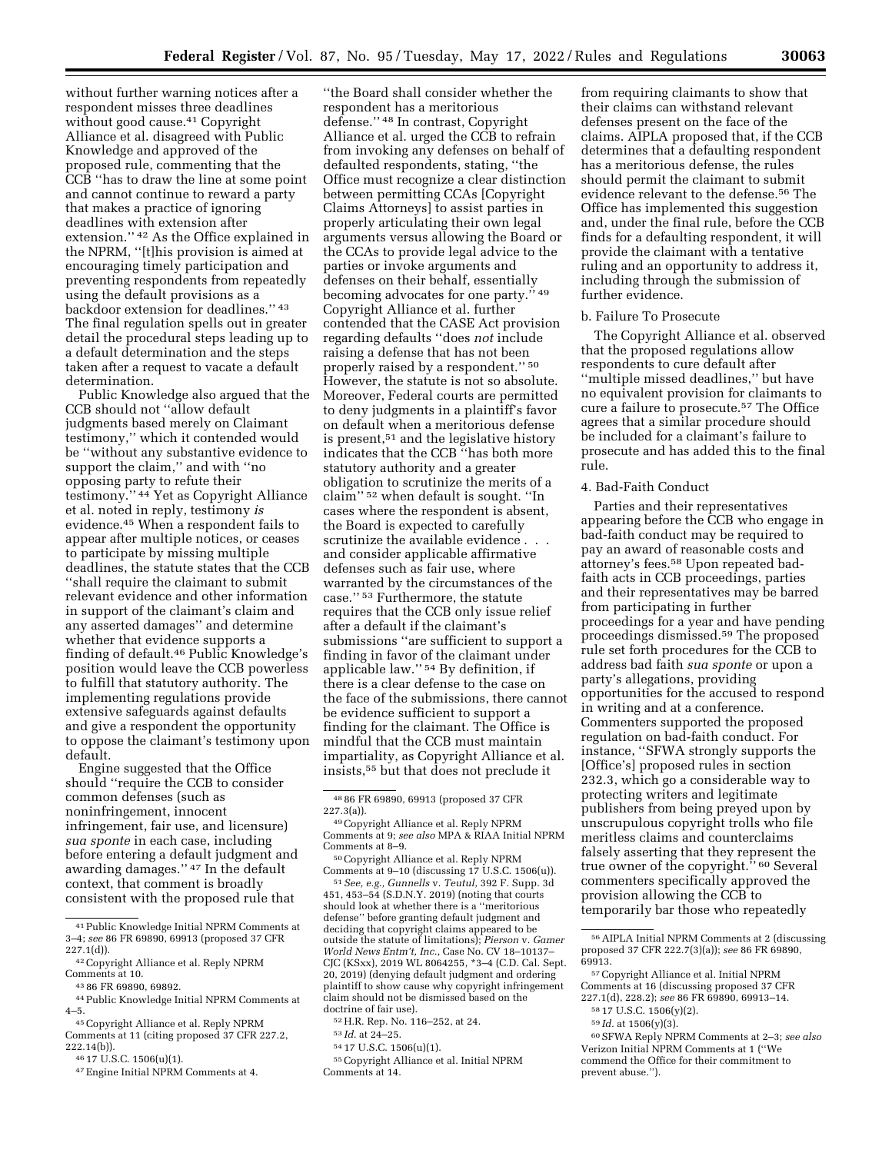without further warning notices after a respondent misses three deadlines without good cause.<sup>41</sup> Copyright Alliance et al. disagreed with Public Knowledge and approved of the proposed rule, commenting that the CCB ''has to draw the line at some point and cannot continue to reward a party that makes a practice of ignoring deadlines with extension after extension." <sup>42</sup> As the Office explained in the NPRM, ''[t]his provision is aimed at encouraging timely participation and preventing respondents from repeatedly using the default provisions as a backdoor extension for deadlines.'' 43 The final regulation spells out in greater detail the procedural steps leading up to a default determination and the steps taken after a request to vacate a default determination.

Public Knowledge also argued that the CCB should not ''allow default judgments based merely on Claimant testimony,'' which it contended would be ''without any substantive evidence to support the claim," and with "no opposing party to refute their testimony.'' 44 Yet as Copyright Alliance et al. noted in reply, testimony *is*  evidence.45 When a respondent fails to appear after multiple notices, or ceases to participate by missing multiple deadlines, the statute states that the CCB ''shall require the claimant to submit relevant evidence and other information in support of the claimant's claim and any asserted damages'' and determine whether that evidence supports a finding of default.46 Public Knowledge's position would leave the CCB powerless to fulfill that statutory authority. The implementing regulations provide extensive safeguards against defaults and give a respondent the opportunity to oppose the claimant's testimony upon default.

Engine suggested that the Office should ''require the CCB to consider common defenses (such as noninfringement, innocent infringement, fair use, and licensure) *sua sponte* in each case, including before entering a default judgment and awarding damages.'' 47 In the default context, that comment is broadly consistent with the proposed rule that

 $^{\rm 45}$  Copyright Alliance et al. Reply NPRM

''the Board shall consider whether the respondent has a meritorious defense.'' 48 In contrast, Copyright Alliance et al. urged the CCB to refrain from invoking any defenses on behalf of defaulted respondents, stating, ''the Office must recognize a clear distinction between permitting CCAs [Copyright Claims Attorneys] to assist parties in properly articulating their own legal arguments versus allowing the Board or the CCAs to provide legal advice to the parties or invoke arguments and defenses on their behalf, essentially becoming advocates for one party." 49 Copyright Alliance et al. further contended that the CASE Act provision regarding defaults ''does *not* include raising a defense that has not been properly raised by a respondent.'' 50 However, the statute is not so absolute. Moreover, Federal courts are permitted to deny judgments in a plaintiff's favor on default when a meritorious defense is present,<sup>51</sup> and the legislative history indicates that the CCB ''has both more statutory authority and a greater obligation to scrutinize the merits of a claim'' 52 when default is sought. ''In cases where the respondent is absent, the Board is expected to carefully scrutinize the available evidence . . . and consider applicable affirmative defenses such as fair use, where warranted by the circumstances of the case.'' 53 Furthermore, the statute requires that the CCB only issue relief after a default if the claimant's submissions ''are sufficient to support a finding in favor of the claimant under applicable law.'' 54 By definition, if there is a clear defense to the case on the face of the submissions, there cannot be evidence sufficient to support a finding for the claimant. The Office is mindful that the CCB must maintain impartiality, as Copyright Alliance et al. insists,55 but that does not preclude it

Comments at 8–9.<br><sup>50</sup>Copyright Alliance et al. Reply NPRM<br>Comments at 9–10 (discussing 17 U.S.C. 1506(u)).

<sup>51</sup> See, e.g., Gunnells v. Teutul, 392 F. Supp. 3d 451, 453–54 (S.D.N.Y. 2019) (noting that courts should look at whether there is a ''meritorious defense'' before granting default judgment and deciding that copyright claims appeared to be outside the statute of limitations); *Pierson* v. *Gamer World News Entm't, Inc.,* Case No. CV 18–10137– CJC (KSxx), 2019 WL 8064255, \*3–4 (C.D. Cal. Sept. 20, 2019) (denying default judgment and ordering plaintiff to show cause why copyright infringement claim should not be dismissed based on the doctrine of fair use).

- 54 17 U.S.C. 1506(u)(1).
- 55Copyright Alliance et al. Initial NPRM Comments at 14.

from requiring claimants to show that their claims can withstand relevant defenses present on the face of the claims. AIPLA proposed that, if the CCB determines that a defaulting respondent has a meritorious defense, the rules should permit the claimant to submit evidence relevant to the defense.56 The Office has implemented this suggestion and, under the final rule, before the CCB finds for a defaulting respondent, it will provide the claimant with a tentative ruling and an opportunity to address it, including through the submission of further evidence.

### b. Failure To Prosecute

The Copyright Alliance et al. observed that the proposed regulations allow respondents to cure default after ''multiple missed deadlines,'' but have no equivalent provision for claimants to cure a failure to prosecute.57 The Office agrees that a similar procedure should be included for a claimant's failure to prosecute and has added this to the final rule.

#### 4. Bad-Faith Conduct

Parties and their representatives appearing before the CCB who engage in bad-faith conduct may be required to pay an award of reasonable costs and attorney's fees.58 Upon repeated badfaith acts in CCB proceedings, parties and their representatives may be barred from participating in further proceedings for a year and have pending proceedings dismissed.59 The proposed rule set forth procedures for the CCB to address bad faith *sua sponte* or upon a party's allegations, providing opportunities for the accused to respond in writing and at a conference. Commenters supported the proposed regulation on bad-faith conduct. For instance, ''SFWA strongly supports the [Office's] proposed rules in section 232.3, which go a considerable way to protecting writers and legitimate publishers from being preyed upon by unscrupulous copyright trolls who file meritless claims and counterclaims falsely asserting that they represent the true owner of the copyright.'' 60 Several commenters specifically approved the provision allowing the CCB to temporarily bar those who repeatedly

59 *Id.* at 1506(y)(3).

<sup>41</sup>Public Knowledge Initial NPRM Comments at 3–4; *see* 86 FR 69890, 69913 (proposed 37 CFR

<sup>&</sup>lt;sup>42</sup> Copyright Alliance et al. Reply NPRM<br>Comments at 10

<sup>&</sup>lt;sup>43</sup> 86 FR 69890, 69892.<br><sup>44</sup> Public Knowledge Initial NPRM Comments at<br>4–5.

Comments at 11 (citing proposed 37 CFR 227.2, 222.14(b)). 46 17 U.S.C. 1506(u)(1). 47Engine Initial NPRM Comments at 4.

 $^{48}$  86 FR 69890, 69913 (proposed 37 CFR 227.3(a)).

<sup>227.3(</sup>a)).<br><sup>-49</sup>Copyright Alliance et al. Reply NPRM<br>Comments at 9; *see also* MPA & RIAA Initial NPRM

<sup>52</sup>H.R. Rep. No. 116–252, at 24.

<sup>53</sup> *Id.* at 24–25.

<sup>56</sup>AIPLA Initial NPRM Comments at 2 (discussing proposed 37 CFR 222.7(3)(a)); *see* 86 FR 69890, 69913.

<sup>57</sup>Copyright Alliance et al. Initial NPRM Comments at 16 (discussing proposed 37 CFR 227.1(d), 228.2); *see* 86 FR 69890, 69913–14.

<sup>58</sup> 17 U.S.C. 1506(y)(2).

<sup>60</sup>SFWA Reply NPRM Comments at 2–3; *see also*  Verizon Initial NPRM Comments at 1 (''We commend the Office for their commitment to prevent abuse.'').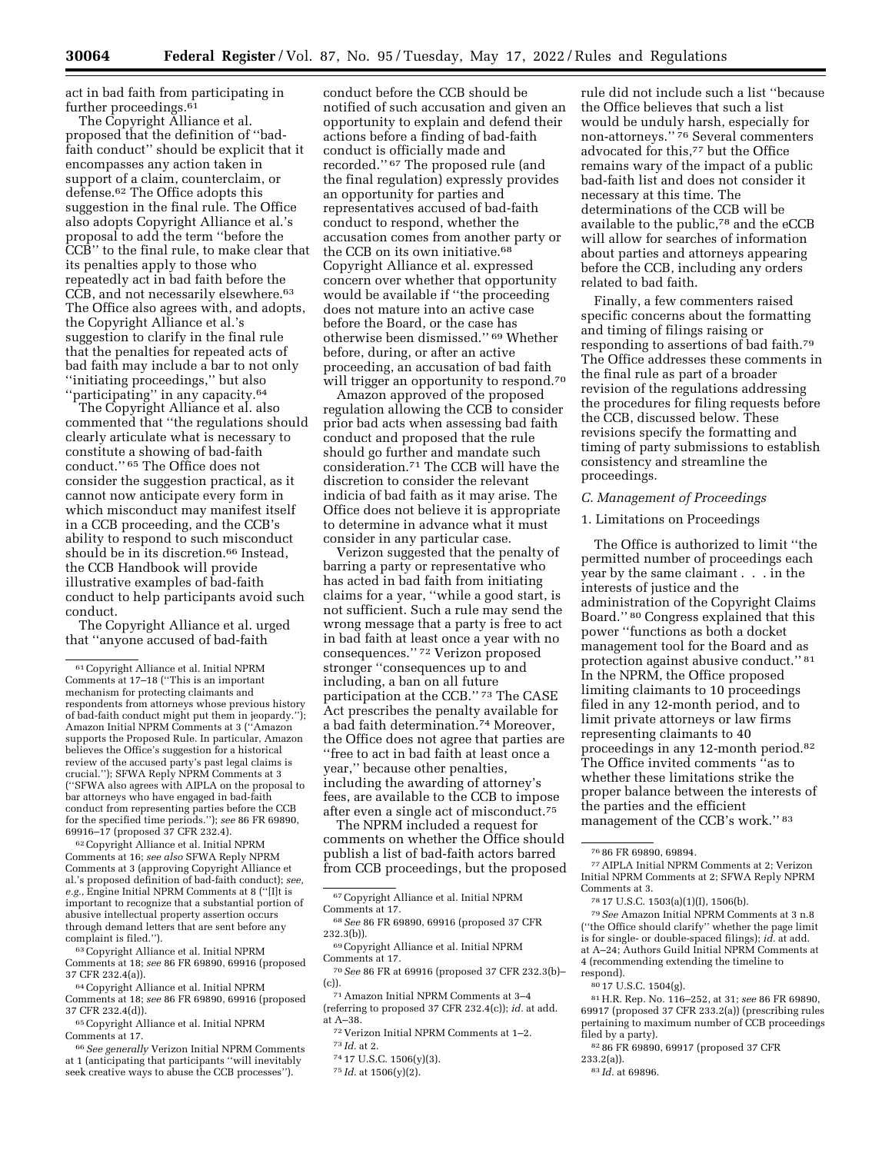act in bad faith from participating in further proceedings.<sup>61</sup>

The Copyright Alliance et al. proposed that the definition of ''badfaith conduct'' should be explicit that it encompasses any action taken in support of a claim, counterclaim, or defense.62 The Office adopts this suggestion in the final rule. The Office also adopts Copyright Alliance et al.'s proposal to add the term ''before the CCB'' to the final rule, to make clear that its penalties apply to those who repeatedly act in bad faith before the CCB, and not necessarily elsewhere.63 The Office also agrees with, and adopts, the Copyright Alliance et al.'s suggestion to clarify in the final rule that the penalties for repeated acts of bad faith may include a bar to not only ''initiating proceedings,'' but also "participating" in any capacity.<sup>64</sup>

The Copyright Alliance et al. also commented that ''the regulations should clearly articulate what is necessary to constitute a showing of bad-faith conduct.'' 65 The Office does not consider the suggestion practical, as it cannot now anticipate every form in which misconduct may manifest itself in a CCB proceeding, and the CCB's ability to respond to such misconduct should be in its discretion.<sup>66</sup> Instead, the CCB Handbook will provide illustrative examples of bad-faith conduct to help participants avoid such conduct.

The Copyright Alliance et al. urged that ''anyone accused of bad-faith

62Copyright Alliance et al. Initial NPRM Comments at 16; *see also* SFWA Reply NPRM Comments at 3 (approving Copyright Alliance et al.'s proposed definition of bad-faith conduct); *see, e.g.,* Engine Initial NPRM Comments at 8 (''[I]t is important to recognize that a substantial portion of abusive intellectual property assertion occurs through demand letters that are sent before any complaint is filed.'').

63Copyright Alliance et al. Initial NPRM Comments at 18; *see* 86 FR 69890, 69916 (proposed 37 CFR 232.4(a)).

64Copyright Alliance et al. Initial NPRM Comments at 18; *see* 86 FR 69890, 69916 (proposed 37 CFR 232.4(d)).

65Copyright Alliance et al. Initial NPRM Comments at 17.

66*See generally* Verizon Initial NPRM Comments at 1 (anticipating that participants ''will inevitably seek creative ways to abuse the CCB processes'').

conduct before the CCB should be notified of such accusation and given an opportunity to explain and defend their actions before a finding of bad-faith conduct is officially made and recorded.'' 67 The proposed rule (and the final regulation) expressly provides an opportunity for parties and representatives accused of bad-faith conduct to respond, whether the accusation comes from another party or the CCB on its own initiative.68 Copyright Alliance et al. expressed concern over whether that opportunity would be available if ''the proceeding does not mature into an active case before the Board, or the case has otherwise been dismissed.'' 69 Whether before, during, or after an active proceeding, an accusation of bad faith will trigger an opportunity to respond.<sup>70</sup>

Amazon approved of the proposed regulation allowing the CCB to consider prior bad acts when assessing bad faith conduct and proposed that the rule should go further and mandate such consideration.71 The CCB will have the discretion to consider the relevant indicia of bad faith as it may arise. The Office does not believe it is appropriate to determine in advance what it must consider in any particular case.

Verizon suggested that the penalty of barring a party or representative who has acted in bad faith from initiating claims for a year, ''while a good start, is not sufficient. Such a rule may send the wrong message that a party is free to act in bad faith at least once a year with no consequences.'' 72 Verizon proposed stronger ''consequences up to and including, a ban on all future participation at the CCB.'' 73 The CASE Act prescribes the penalty available for a bad faith determination.74 Moreover, the Office does not agree that parties are ''free to act in bad faith at least once a year,'' because other penalties, including the awarding of attorney's fees, are available to the CCB to impose after even a single act of misconduct.75

The NPRM included a request for comments on whether the Office should publish a list of bad-faith actors barred from CCB proceedings, but the proposed

67Copyright Alliance et al. Initial NPRM Comments at 17.

69Copyright Alliance et al. Initial NPRM Comments at 17.

71Amazon Initial NPRM Comments at 3–4

(referring to proposed 37 CFR 232.4(c)); *id.* at add. at A–38.

72 Verizon Initial NPRM Comments at 1–2.

73 *Id.* at 2.

rule did not include such a list ''because the Office believes that such a list would be unduly harsh, especially for non-attorneys.'' 76 Several commenters advocated for this,77 but the Office remains wary of the impact of a public bad-faith list and does not consider it necessary at this time. The determinations of the CCB will be available to the public,  $^{78}$  and the eCCB will allow for searches of information about parties and attorneys appearing before the CCB, including any orders related to bad faith.

Finally, a few commenters raised specific concerns about the formatting and timing of filings raising or responding to assertions of bad faith.79 The Office addresses these comments in the final rule as part of a broader revision of the regulations addressing the procedures for filing requests before the CCB, discussed below. These revisions specify the formatting and timing of party submissions to establish consistency and streamline the proceedings.

#### *C. Management of Proceedings*

### 1. Limitations on Proceedings

The Office is authorized to limit ''the permitted number of proceedings each year by the same claimant . . . in the interests of justice and the administration of the Copyright Claims Board.'' 80 Congress explained that this power ''functions as both a docket management tool for the Board and as protection against abusive conduct.'' 81 In the NPRM, the Office proposed limiting claimants to 10 proceedings filed in any 12-month period, and to limit private attorneys or law firms representing claimants to 40 proceedings in any 12-month period.82 The Office invited comments ''as to whether these limitations strike the proper balance between the interests of the parties and the efficient management of the CCB's work.'' 83

77AIPLA Initial NPRM Comments at 2; Verizon Initial NPRM Comments at 2; SFWA Reply NPRM Comments at 3.

79*See* Amazon Initial NPRM Comments at 3 n.8 (''the Office should clarify'' whether the page limit is for single- or double-spaced filings); *id.* at add. at A–24; Authors Guild Initial NPRM Comments at 4 (recommending extending the timeline to respond).

83 *Id.* at 69896.

<sup>61</sup>Copyright Alliance et al. Initial NPRM Comments at 17–18 (''This is an important mechanism for protecting claimants and respondents from attorneys whose previous history of bad-faith conduct might put them in jeopardy.''); Amazon Initial NPRM Comments at 3 (''Amazon supports the Proposed Rule. In particular, Amazon believes the Office's suggestion for a historical review of the accused party's past legal claims is crucial.''); SFWA Reply NPRM Comments at 3 (''SFWA also agrees with AIPLA on the proposal to bar attorneys who have engaged in bad-faith conduct from representing parties before the CCB for the specified time periods.''); *see* 86 FR 69890, 69916–17 (proposed 37 CFR 232.4).

<sup>68</sup>*See* 86 FR 69890, 69916 (proposed 37 CFR 232.3(b)).

<sup>70</sup>*See* 86 FR at 69916 (proposed 37 CFR 232.3(b)– (c)).

<sup>74</sup> 17 U.S.C. 1506(y)(3).

<sup>75</sup> *Id.* at 1506(y)(2).

<sup>76</sup> 86 FR 69890, 69894.

<sup>78</sup> 17 U.S.C. 1503(a)(1)(I), 1506(b).

<sup>80</sup> 17 U.S.C. 1504(g).

<sup>81</sup>H.R. Rep. No. 116–252, at 31; *see* 86 FR 69890, 69917 (proposed 37 CFR 233.2(a)) (prescribing rules pertaining to maximum number of CCB proceedings filed by a party).

<sup>82</sup> 86 FR 69890, 69917 (proposed 37 CFR

<sup>233.2(</sup>a)).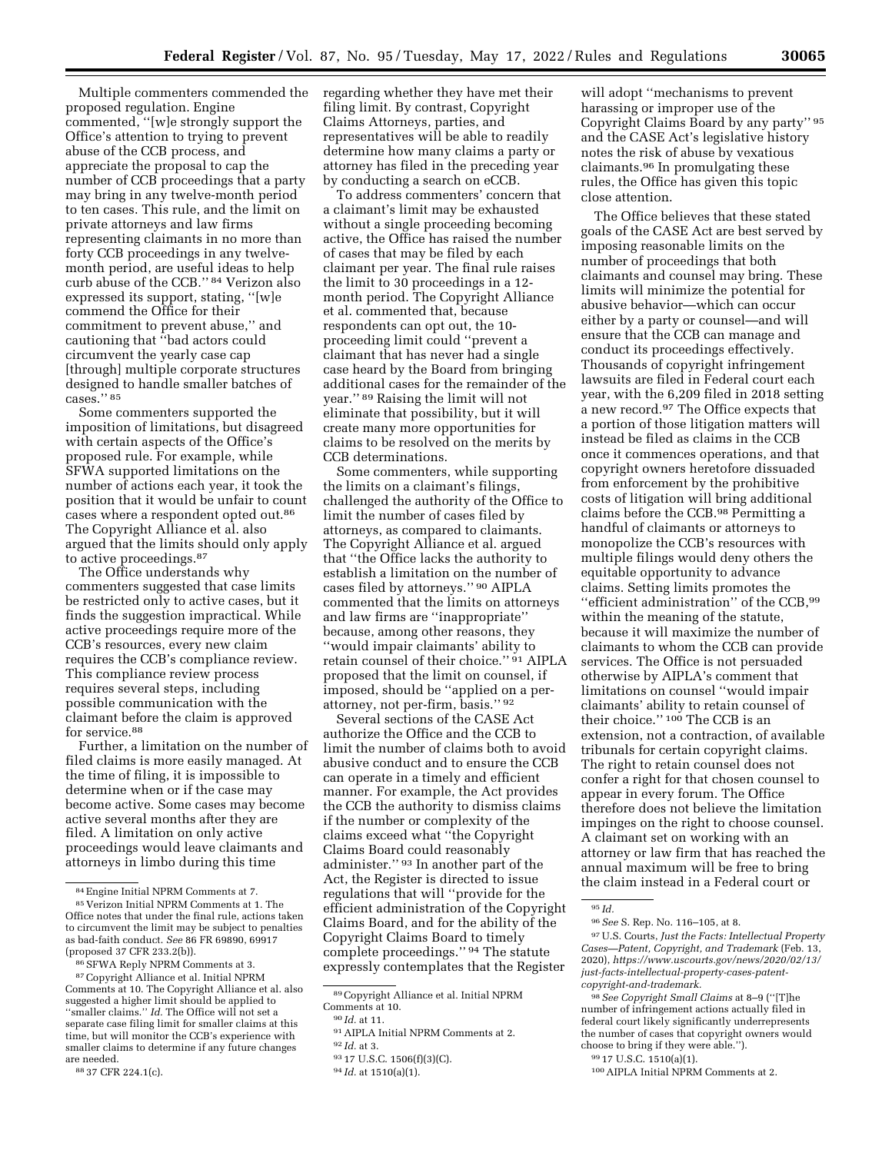Multiple commenters commended the proposed regulation. Engine commented, ''[w]e strongly support the Office's attention to trying to prevent abuse of the CCB process, and appreciate the proposal to cap the number of CCB proceedings that a party may bring in any twelve-month period to ten cases. This rule, and the limit on private attorneys and law firms representing claimants in no more than forty CCB proceedings in any twelvemonth period, are useful ideas to help curb abuse of the CCB.'' 84 Verizon also expressed its support, stating, ''[w]e commend the Office for their commitment to prevent abuse,'' and cautioning that ''bad actors could circumvent the yearly case cap [through] multiple corporate structures designed to handle smaller batches of cases.'' 85

Some commenters supported the imposition of limitations, but disagreed with certain aspects of the Office's proposed rule. For example, while SFWA supported limitations on the number of actions each year, it took the position that it would be unfair to count cases where a respondent opted out.86 The Copyright Alliance et al. also argued that the limits should only apply to active proceedings.<sup>87</sup>

The Office understands why commenters suggested that case limits be restricted only to active cases, but it finds the suggestion impractical. While active proceedings require more of the CCB's resources, every new claim requires the CCB's compliance review. This compliance review process requires several steps, including possible communication with the claimant before the claim is approved for service.88

Further, a limitation on the number of filed claims is more easily managed. At the time of filing, it is impossible to determine when or if the case may become active. Some cases may become active several months after they are filed. A limitation on only active proceedings would leave claimants and attorneys in limbo during this time

regarding whether they have met their filing limit. By contrast, Copyright Claims Attorneys, parties, and representatives will be able to readily determine how many claims a party or attorney has filed in the preceding year by conducting a search on eCCB.

To address commenters' concern that a claimant's limit may be exhausted without a single proceeding becoming active, the Office has raised the number of cases that may be filed by each claimant per year. The final rule raises the limit to 30 proceedings in a 12 month period. The Copyright Alliance et al. commented that, because respondents can opt out, the 10 proceeding limit could ''prevent a claimant that has never had a single case heard by the Board from bringing additional cases for the remainder of the year.'' 89 Raising the limit will not eliminate that possibility, but it will create many more opportunities for claims to be resolved on the merits by CCB determinations.

Some commenters, while supporting the limits on a claimant's filings, challenged the authority of the Office to limit the number of cases filed by attorneys, as compared to claimants. The Copyright Alliance et al. argued that ''the Office lacks the authority to establish a limitation on the number of cases filed by attorneys.'' 90 AIPLA commented that the limits on attorneys and law firms are ''inappropriate'' because, among other reasons, they ''would impair claimants' ability to retain counsel of their choice.'' 91 AIPLA proposed that the limit on counsel, if imposed, should be ''applied on a perattorney, not per-firm, basis.'' 92

Several sections of the CASE Act authorize the Office and the CCB to limit the number of claims both to avoid abusive conduct and to ensure the CCB can operate in a timely and efficient manner. For example, the Act provides the CCB the authority to dismiss claims if the number or complexity of the claims exceed what ''the Copyright Claims Board could reasonably administer.'' 93 In another part of the Act, the Register is directed to issue regulations that will ''provide for the efficient administration of the Copyright Claims Board, and for the ability of the Copyright Claims Board to timely complete proceedings.'' 94 The statute expressly contemplates that the Register

89Copyright Alliance et al. Initial NPRM Comments at 10.

will adopt ''mechanisms to prevent harassing or improper use of the Copyright Claims Board by any party'' 95 and the CASE Act's legislative history notes the risk of abuse by vexatious claimants.96 In promulgating these rules, the Office has given this topic close attention.

The Office believes that these stated goals of the CASE Act are best served by imposing reasonable limits on the number of proceedings that both claimants and counsel may bring. These limits will minimize the potential for abusive behavior—which can occur either by a party or counsel—and will ensure that the CCB can manage and conduct its proceedings effectively. Thousands of copyright infringement lawsuits are filed in Federal court each year, with the 6,209 filed in 2018 setting a new record.97 The Office expects that a portion of those litigation matters will instead be filed as claims in the CCB once it commences operations, and that copyright owners heretofore dissuaded from enforcement by the prohibitive costs of litigation will bring additional claims before the CCB.98 Permitting a handful of claimants or attorneys to monopolize the CCB's resources with multiple filings would deny others the equitable opportunity to advance claims. Setting limits promotes the ''efficient administration'' of the CCB,99 within the meaning of the statute, because it will maximize the number of claimants to whom the CCB can provide services. The Office is not persuaded otherwise by AIPLA's comment that limitations on counsel ''would impair claimants' ability to retain counsel of their choice." 100 The CCB is an extension, not a contraction, of available tribunals for certain copyright claims. The right to retain counsel does not confer a right for that chosen counsel to appear in every forum. The Office therefore does not believe the limitation impinges on the right to choose counsel. A claimant set on working with an attorney or law firm that has reached the annual maximum will be free to bring the claim instead in a Federal court or

97U.S. Courts, *Just the Facts: Intellectual Property Cases—Patent, Copyright, and Trademark* (Feb. 13, 2020), *[https://www.uscourts.gov/news/2020/02/13/](https://www.uscourts.gov/news/2020/02/13/just-facts-intellectual-property-cases-patent-copyright-and-trademark)  [just-facts-intellectual-property-cases-patent](https://www.uscourts.gov/news/2020/02/13/just-facts-intellectual-property-cases-patent-copyright-and-trademark)[copyright-and-trademark.](https://www.uscourts.gov/news/2020/02/13/just-facts-intellectual-property-cases-patent-copyright-and-trademark)* 

98*See Copyright Small Claims* at 8–9 (''[T]he number of infringement actions actually filed in federal court likely significantly underrepresents the number of cases that copyright owners would choose to bring if they were able.'').

<sup>84</sup>Engine Initial NPRM Comments at 7.

<sup>85</sup> Verizon Initial NPRM Comments at 1. The Office notes that under the final rule, actions taken to circumvent the limit may be subject to penalties as bad-faith conduct. *See* 86 FR 69890, 69917 (proposed 37 CFR 233.2(b)).

<sup>86</sup>SFWA Reply NPRM Comments at 3.

<sup>87</sup>Copyright Alliance et al. Initial NPRM Comments at 10. The Copyright Alliance et al. also suggested a higher limit should be applied to ''smaller claims.'' *Id.* The Office will not set a separate case filing limit for smaller claims at this time, but will monitor the CCB's experience with smaller claims to determine if any future changes are needed.

<sup>88</sup> 37 CFR 224.1(c).

<sup>90</sup> *Id.* at 11.

<sup>91</sup>AIPLA Initial NPRM Comments at 2.

<sup>92</sup> *Id.* at 3.

<sup>93</sup> 17 U.S.C. 1506(f)(3)(C).

<sup>94</sup> *Id.* at 1510(a)(1).

<sup>95</sup> *Id.* 

<sup>96</sup>*See* S. Rep. No. 116–105, at 8.

<sup>99</sup> 17 U.S.C. 1510(a)(1).

<sup>100</sup>AIPLA Initial NPRM Comments at 2.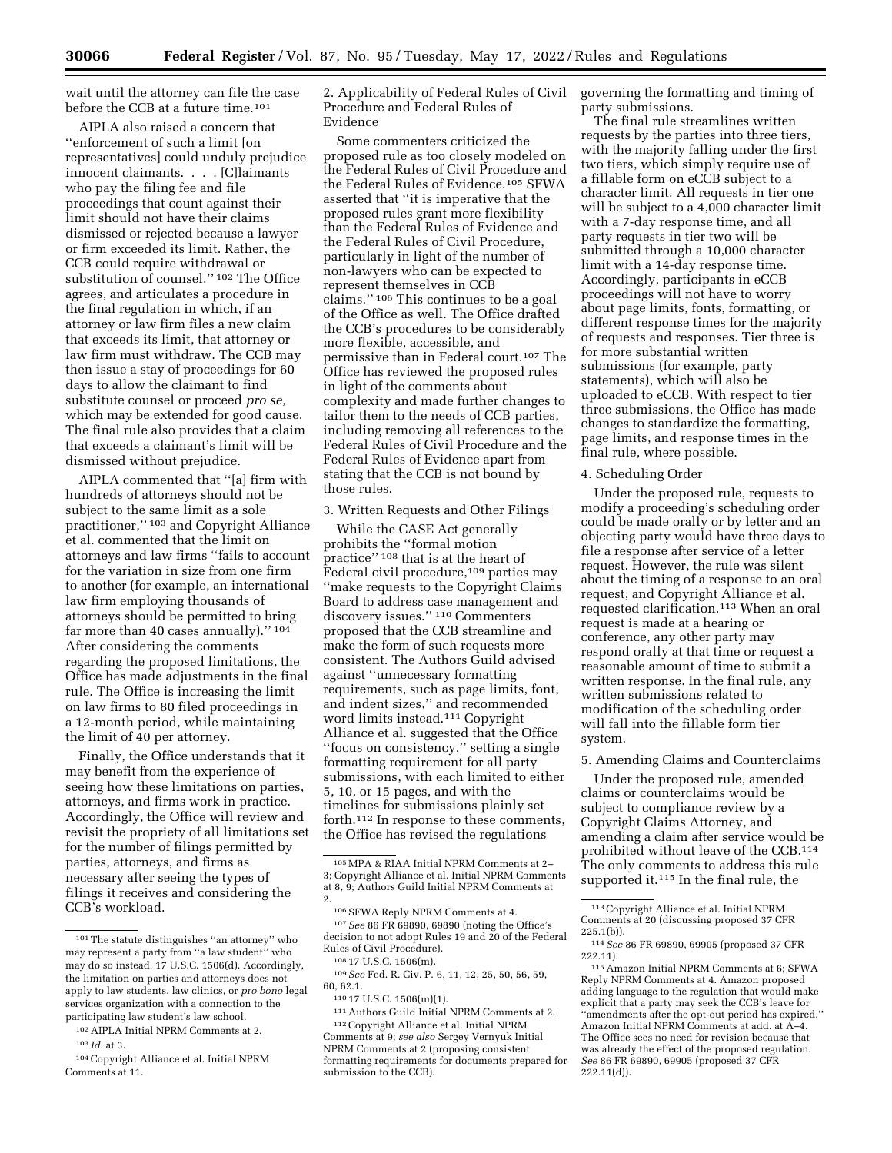wait until the attorney can file the case before the CCB at a future time.<sup>101</sup>

AIPLA also raised a concern that ''enforcement of such a limit [on representatives] could unduly prejudice innocent claimants. . . . [C]laimants who pay the filing fee and file proceedings that count against their limit should not have their claims dismissed or rejected because a lawyer or firm exceeded its limit. Rather, the CCB could require withdrawal or substitution of counsel.'' 102 The Office agrees, and articulates a procedure in the final regulation in which, if an attorney or law firm files a new claim that exceeds its limit, that attorney or law firm must withdraw. The CCB may then issue a stay of proceedings for 60 days to allow the claimant to find substitute counsel or proceed *pro se,*  which may be extended for good cause. The final rule also provides that a claim that exceeds a claimant's limit will be dismissed without prejudice.

AIPLA commented that ''[a] firm with hundreds of attorneys should not be subject to the same limit as a sole practitioner,'' 103 and Copyright Alliance et al. commented that the limit on attorneys and law firms ''fails to account for the variation in size from one firm to another (for example, an international law firm employing thousands of attorneys should be permitted to bring far more than 40 cases annually).'' 104 After considering the comments regarding the proposed limitations, the Office has made adjustments in the final rule. The Office is increasing the limit on law firms to 80 filed proceedings in a 12-month period, while maintaining the limit of 40 per attorney.

Finally, the Office understands that it may benefit from the experience of seeing how these limitations on parties, attorneys, and firms work in practice. Accordingly, the Office will review and revisit the propriety of all limitations set for the number of filings permitted by parties, attorneys, and firms as necessary after seeing the types of filings it receives and considering the CCB's workload.

103 *Id.* at 3.

104Copyright Alliance et al. Initial NPRM Comments at 11.

2. Applicability of Federal Rules of Civil Procedure and Federal Rules of Evidence

Some commenters criticized the proposed rule as too closely modeled on the Federal Rules of Civil Procedure and the Federal Rules of Evidence.105 SFWA asserted that ''it is imperative that the proposed rules grant more flexibility than the Federal Rules of Evidence and the Federal Rules of Civil Procedure, particularly in light of the number of non-lawyers who can be expected to represent themselves in CCB claims.'' 106 This continues to be a goal of the Office as well. The Office drafted the CCB's procedures to be considerably more flexible, accessible, and permissive than in Federal court.107 The Office has reviewed the proposed rules in light of the comments about complexity and made further changes to tailor them to the needs of CCB parties, including removing all references to the Federal Rules of Civil Procedure and the Federal Rules of Evidence apart from stating that the CCB is not bound by those rules.

3. Written Requests and Other Filings

While the CASE Act generally prohibits the ''formal motion practice'' 108 that is at the heart of Federal civil procedure,<sup>109</sup> parties may ''make requests to the Copyright Claims Board to address case management and discovery issues.'' 110 Commenters proposed that the CCB streamline and make the form of such requests more consistent. The Authors Guild advised against ''unnecessary formatting requirements, such as page limits, font, and indent sizes,'' and recommended word limits instead.111 Copyright Alliance et al. suggested that the Office ''focus on consistency,'' setting a single formatting requirement for all party submissions, with each limited to either 5, 10, or 15 pages, and with the timelines for submissions plainly set forth.112 In response to these comments, the Office has revised the regulations

106SFWA Reply NPRM Comments at 4. 107*See* 86 FR 69890, 69890 (noting the Office's decision to not adopt Rules 19 and 20 of the Federal Rules of Civil Procedure).

111Authors Guild Initial NPRM Comments at 2. 112Copyright Alliance et al. Initial NPRM Comments at 9; *see also* Sergey Vernyuk Initial NPRM Comments at 2 (proposing consistent formatting requirements for documents prepared for submission to the CCB).

governing the formatting and timing of party submissions.

The final rule streamlines written requests by the parties into three tiers, with the majority falling under the first two tiers, which simply require use of a fillable form on eCCB subject to a character limit. All requests in tier one will be subject to a 4,000 character limit with a 7-day response time, and all party requests in tier two will be submitted through a 10,000 character limit with a 14-day response time. Accordingly, participants in eCCB proceedings will not have to worry about page limits, fonts, formatting, or different response times for the majority of requests and responses. Tier three is for more substantial written submissions (for example, party statements), which will also be uploaded to eCCB. With respect to tier three submissions, the Office has made changes to standardize the formatting, page limits, and response times in the final rule, where possible.

### 4. Scheduling Order

Under the proposed rule, requests to modify a proceeding's scheduling order could be made orally or by letter and an objecting party would have three days to file a response after service of a letter request. However, the rule was silent about the timing of a response to an oral request, and Copyright Alliance et al. requested clarification.113 When an oral request is made at a hearing or conference, any other party may respond orally at that time or request a reasonable amount of time to submit a written response. In the final rule, any written submissions related to modification of the scheduling order will fall into the fillable form tier system.

#### 5. Amending Claims and Counterclaims

Under the proposed rule, amended claims or counterclaims would be subject to compliance review by a Copyright Claims Attorney, and amending a claim after service would be prohibited without leave of the CCB.114 The only comments to address this rule supported it.115 In the final rule, the

 $^{\rm 101}$  The statute distinguishes ''an attorney'' who may represent a party from ''a law student'' who may do so instead. 17 U.S.C. 1506(d). Accordingly, the limitation on parties and attorneys does not apply to law students, law clinics, or *pro bono* legal services organization with a connection to the participating law student's law school.

<sup>102</sup>AIPLA Initial NPRM Comments at 2.

<sup>105</sup>MPA & RIAA Initial NPRM Comments at 2– 3; Copyright Alliance et al. Initial NPRM Comments at 8, 9; Authors Guild Initial NPRM Comments at 2.

<sup>108</sup> 17 U.S.C. 1506(m).

<sup>109</sup>*See* Fed. R. Civ. P. 6, 11, 12, 25, 50, 56, 59, 60, 62.1.

<sup>110</sup> 17 U.S.C. 1506(m)(1).

<sup>113</sup>Copyright Alliance et al. Initial NPRM Comments at 20 (discussing proposed 37 CFR

<sup>225.1(</sup>b)). 114*See* 86 FR 69890, 69905 (proposed 37 CFR

<sup>222.11). 115</sup>Amazon Initial NPRM Comments at 6; SFWA Reply NPRM Comments at 4. Amazon proposed adding language to the regulation that would make explicit that a party may seek the CCB's leave for ''amendments after the opt-out period has expired.'' Amazon Initial NPRM Comments at add. at A–4. The Office sees no need for revision because that was already the effect of the proposed regulation. *See* 86 FR 69890, 69905 (proposed 37 CFR 222.11(d)).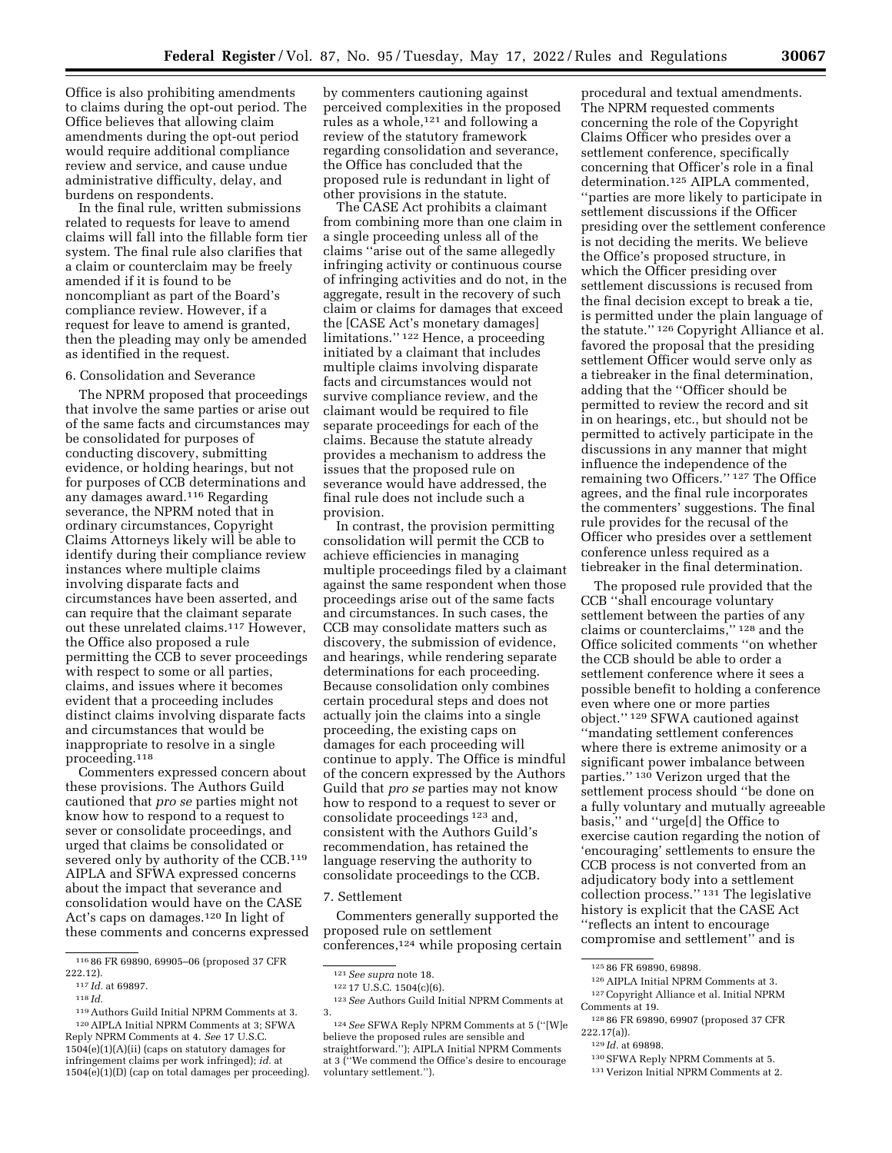Office is also prohibiting amendments to claims during the opt-out period. The Office believes that allowing claim amendments during the opt-out period would require additional compliance review and service, and cause undue administrative difficulty, delay, and burdens on respondents.

In the final rule, written submissions related to requests for leave to amend claims will fall into the fillable form tier system. The final rule also clarifies that a claim or counterclaim may be freely amended if it is found to be noncompliant as part of the Board's compliance review. However, if a request for leave to amend is granted, then the pleading may only be amended as identified in the request.

#### 6. Consolidation and Severance

The NPRM proposed that proceedings that involve the same parties or arise out of the same facts and circumstances may be consolidated for purposes of conducting discovery, submitting evidence, or holding hearings, but not for purposes of CCB determinations and any damages award.116 Regarding severance, the NPRM noted that in ordinary circumstances, Copyright Claims Attorneys likely will be able to identify during their compliance review instances where multiple claims involving disparate facts and circumstances have been asserted, and can require that the claimant separate out these unrelated claims.117 However, the Office also proposed a rule permitting the CCB to sever proceedings with respect to some or all parties, claims, and issues where it becomes evident that a proceeding includes distinct claims involving disparate facts and circumstances that would be inappropriate to resolve in a single proceeding.118

Commenters expressed concern about these provisions. The Authors Guild cautioned that *pro se* parties might not know how to respond to a request to sever or consolidate proceedings, and urged that claims be consolidated or severed only by authority of the CCB.<sup>119</sup> AIPLA and SFWA expressed concerns about the impact that severance and consolidation would have on the CASE Act's caps on damages.120 In light of these comments and concerns expressed

by commenters cautioning against perceived complexities in the proposed rules as a whole,121 and following a review of the statutory framework regarding consolidation and severance, the Office has concluded that the proposed rule is redundant in light of other provisions in the statute.

The CASE Act prohibits a claimant from combining more than one claim in a single proceeding unless all of the claims ''arise out of the same allegedly infringing activity or continuous course of infringing activities and do not, in the aggregate, result in the recovery of such claim or claims for damages that exceed the [CASE Act's monetary damages] limitations.'' 122 Hence, a proceeding initiated by a claimant that includes multiple claims involving disparate facts and circumstances would not survive compliance review, and the claimant would be required to file separate proceedings for each of the claims. Because the statute already provides a mechanism to address the issues that the proposed rule on severance would have addressed, the final rule does not include such a provision.

In contrast, the provision permitting consolidation will permit the CCB to achieve efficiencies in managing multiple proceedings filed by a claimant against the same respondent when those proceedings arise out of the same facts and circumstances. In such cases, the CCB may consolidate matters such as discovery, the submission of evidence, and hearings, while rendering separate determinations for each proceeding. Because consolidation only combines certain procedural steps and does not actually join the claims into a single proceeding, the existing caps on damages for each proceeding will continue to apply. The Office is mindful of the concern expressed by the Authors Guild that *pro se* parties may not know how to respond to a request to sever or consolidate proceedings 123 and, consistent with the Authors Guild's recommendation, has retained the language reserving the authority to consolidate proceedings to the CCB.

#### 7. Settlement

Commenters generally supported the proposed rule on settlement conferences,124 while proposing certain

procedural and textual amendments. The NPRM requested comments concerning the role of the Copyright Claims Officer who presides over a settlement conference, specifically concerning that Officer's role in a final determination.125 AIPLA commented, ''parties are more likely to participate in settlement discussions if the Officer presiding over the settlement conference is not deciding the merits. We believe the Office's proposed structure, in which the Officer presiding over settlement discussions is recused from the final decision except to break a tie, is permitted under the plain language of the statute.'' 126 Copyright Alliance et al. favored the proposal that the presiding settlement Officer would serve only as a tiebreaker in the final determination, adding that the ''Officer should be permitted to review the record and sit in on hearings, etc., but should not be permitted to actively participate in the discussions in any manner that might influence the independence of the remaining two Officers.'' 127 The Office agrees, and the final rule incorporates the commenters' suggestions. The final rule provides for the recusal of the Officer who presides over a settlement conference unless required as a tiebreaker in the final determination.

The proposed rule provided that the CCB ''shall encourage voluntary settlement between the parties of any claims or counterclaims,'' 128 and the Office solicited comments ''on whether the CCB should be able to order a settlement conference where it sees a possible benefit to holding a conference even where one or more parties object.'' 129 SFWA cautioned against ''mandating settlement conferences where there is extreme animosity or a significant power imbalance between parties.'' 130 Verizon urged that the settlement process should ''be done on a fully voluntary and mutually agreeable basis,'' and ''urge[d] the Office to exercise caution regarding the notion of 'encouraging' settlements to ensure the CCB process is not converted from an adjudicatory body into a settlement collection process.'' 131 The legislative history is explicit that the CASE Act ''reflects an intent to encourage compromise and settlement'' and is

131 Verizon Initial NPRM Comments at 2.

<sup>116</sup> 86 FR 69890, 69905–06 (proposed 37 CFR 222.12).

<sup>117</sup> *Id.* at 69897. 118 *Id.* 

<sup>119</sup>Authors Guild Initial NPRM Comments at 3. 120AIPLA Initial NPRM Comments at 3; SFWA Reply NPRM Comments at 4. *See* 17 U.S.C.  $1504(e)(1)(A)(ii)$  (caps on statutory damages for infringement claims per work infringed); *id.* at 1504(e)(1)(D) (cap on total damages per proceeding).

<sup>121</sup>*See supra* note 18.

<sup>122</sup> 17 U.S.C. 1504(c)(6).

<sup>123</sup>*See* Authors Guild Initial NPRM Comments at 3.

<sup>124</sup>*See* SFWA Reply NPRM Comments at 5 (''[W]e believe the proposed rules are sensible and straightforward.''); AIPLA Initial NPRM Comments at 3 (''We commend the Office's desire to encourage voluntary settlement.'').

<sup>125</sup> 86 FR 69890, 69898.

<sup>126</sup>AIPLA Initial NPRM Comments at 3.

<sup>127</sup>Copyright Alliance et al. Initial NPRM Comments at 19.

<sup>128</sup> 86 FR 69890, 69907 (proposed 37 CFR 222.17(a)).

<sup>129</sup> *Id.* at 69898.

<sup>130</sup>SFWA Reply NPRM Comments at 5.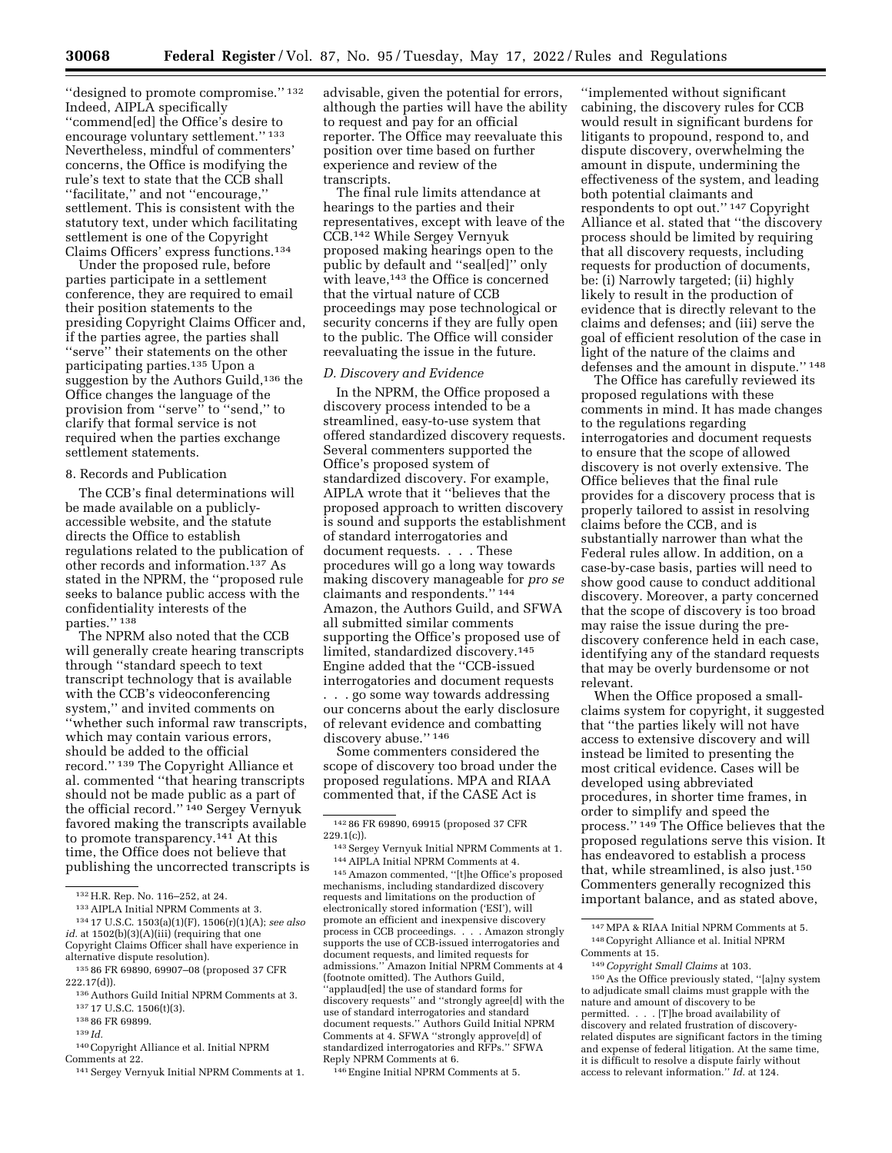''designed to promote compromise.'' 132 Indeed, AIPLA specifically ''commend[ed] the Office's desire to encourage voluntary settlement.'' 133 Nevertheless, mindful of commenters' concerns, the Office is modifying the rule's text to state that the CCB shall ''facilitate,'' and not ''encourage,'' settlement. This is consistent with the statutory text, under which facilitating settlement is one of the Copyright Claims Officers' express functions.134

Under the proposed rule, before parties participate in a settlement conference, they are required to email their position statements to the presiding Copyright Claims Officer and, if the parties agree, the parties shall "serve" their statements on the other participating parties.135 Upon a suggestion by the Authors Guild,<sup>136</sup> the Office changes the language of the provision from ''serve'' to ''send,'' to clarify that formal service is not required when the parties exchange settlement statements.

# 8. Records and Publication

The CCB's final determinations will be made available on a publiclyaccessible website, and the statute directs the Office to establish regulations related to the publication of other records and information.137 As stated in the NPRM, the ''proposed rule seeks to balance public access with the confidentiality interests of the parties." 138

The NPRM also noted that the CCB will generally create hearing transcripts through ''standard speech to text transcript technology that is available with the CCB's videoconferencing system,'' and invited comments on ''whether such informal raw transcripts, which may contain various errors, should be added to the official record.'' 139 The Copyright Alliance et al. commented ''that hearing transcripts should not be made public as a part of the official record.'' 140 Sergey Vernyuk favored making the transcripts available to promote transparency.141 At this time, the Office does not believe that publishing the uncorrected transcripts is

138 86 FR 69899.

- 140Copyright Alliance et al. Initial NPRM Comments at 22.
- 141Sergey Vernyuk Initial NPRM Comments at 1.

advisable, given the potential for errors, although the parties will have the ability to request and pay for an official reporter. The Office may reevaluate this position over time based on further experience and review of the transcripts.

The final rule limits attendance at hearings to the parties and their representatives, except with leave of the CCB.142 While Sergey Vernyuk proposed making hearings open to the public by default and ''seal[ed]'' only with leave,<sup>143</sup> the Office is concerned that the virtual nature of CCB proceedings may pose technological or security concerns if they are fully open to the public. The Office will consider reevaluating the issue in the future.

### *D. Discovery and Evidence*

In the NPRM, the Office proposed a discovery process intended to be a streamlined, easy-to-use system that offered standardized discovery requests. Several commenters supported the Office's proposed system of standardized discovery. For example, AIPLA wrote that it ''believes that the proposed approach to written discovery is sound and supports the establishment of standard interrogatories and document requests. . . . These procedures will go a long way towards making discovery manageable for *pro se*  claimants and respondents.'' 144 Amazon, the Authors Guild, and SFWA all submitted similar comments supporting the Office's proposed use of limited, standardized discovery.145 Engine added that the ''CCB-issued interrogatories and document requests

. . . go some way towards addressing our concerns about the early disclosure of relevant evidence and combatting discovery abuse.'' 146

Some commenters considered the scope of discovery too broad under the proposed regulations. MPA and RIAA commented that, if the CASE Act is

145Amazon commented, ''[t]he Office's proposed mechanisms, including standardized discovery requests and limitations on the production of electronically stored information ('ESI'), will promote an efficient and inexpensive discovery process in CCB proceedings. . . . Amazon strongly supports the use of CCB-issued interrogatories and document requests, and limited requests for admissions.'' Amazon Initial NPRM Comments at 4 (footnote omitted). The Authors Guild, ''applaud[ed] the use of standard forms for discovery requests'' and ''strongly agree[d] with the use of standard interrogatories and standard document requests.'' Authors Guild Initial NPRM Comments at 4. SFWA ''strongly approve[d] of standardized interrogatories and RFPs.'' SFWA Reply NPRM Comments at 6.

146Engine Initial NPRM Comments at 5.

''implemented without significant cabining, the discovery rules for CCB would result in significant burdens for litigants to propound, respond to, and dispute discovery, overwhelming the amount in dispute, undermining the effectiveness of the system, and leading both potential claimants and respondents to opt out.'' 147 Copyright Alliance et al. stated that ''the discovery process should be limited by requiring that all discovery requests, including requests for production of documents, be: (i) Narrowly targeted; (ii) highly likely to result in the production of evidence that is directly relevant to the claims and defenses; and (iii) serve the goal of efficient resolution of the case in light of the nature of the claims and defenses and the amount in dispute.'' 148

The Office has carefully reviewed its proposed regulations with these comments in mind. It has made changes to the regulations regarding interrogatories and document requests to ensure that the scope of allowed discovery is not overly extensive. The Office believes that the final rule provides for a discovery process that is properly tailored to assist in resolving claims before the CCB, and is substantially narrower than what the Federal rules allow. In addition, on a case-by-case basis, parties will need to show good cause to conduct additional discovery. Moreover, a party concerned that the scope of discovery is too broad may raise the issue during the prediscovery conference held in each case, identifying any of the standard requests that may be overly burdensome or not relevant.

When the Office proposed a smallclaims system for copyright, it suggested that ''the parties likely will not have access to extensive discovery and will instead be limited to presenting the most critical evidence. Cases will be developed using abbreviated procedures, in shorter time frames, in order to simplify and speed the process.'' 149 The Office believes that the proposed regulations serve this vision. It has endeavored to establish a process that, while streamlined, is also just.150 Commenters generally recognized this important balance, and as stated above,

150As the Office previously stated, ''[a]ny system to adjudicate small claims must grapple with the nature and amount of discovery to be permitted. . . . [T]he broad availability of discovery and related frustration of discoveryrelated disputes are significant factors in the timing and expense of federal litigation. At the same time, it is difficult to resolve a dispute fairly without access to relevant information.'' *Id.* at 124.

<sup>132</sup>H.R. Rep. No. 116–252, at 24.

<sup>133</sup>AIPLA Initial NPRM Comments at 3.

<sup>134</sup> 17 U.S.C. 1503(a)(1)(F), 1506(r)(1)(A); *see also id.* at 1502(b)(3)(A)(iii) (requiring that one Copyright Claims Officer shall have experience in

alternative dispute resolution). 135 86 FR 69890, 69907–08 (proposed 37 CFR

<sup>222.17(</sup>d)).

<sup>136</sup>Authors Guild Initial NPRM Comments at 3. 137 17 U.S.C. 1506(t)(3).

<sup>139</sup> *Id.* 

<sup>142</sup> 86 FR 69890, 69915 (proposed 37 CFR 229.1(c)).

<sup>143</sup>Sergey Vernyuk Initial NPRM Comments at 1. 144AIPLA Initial NPRM Comments at 4.

<sup>147</sup>MPA & RIAA Initial NPRM Comments at 5. 148Copyright Alliance et al. Initial NPRM Comments at 15.

<sup>149</sup>*Copyright Small Claims* at 103.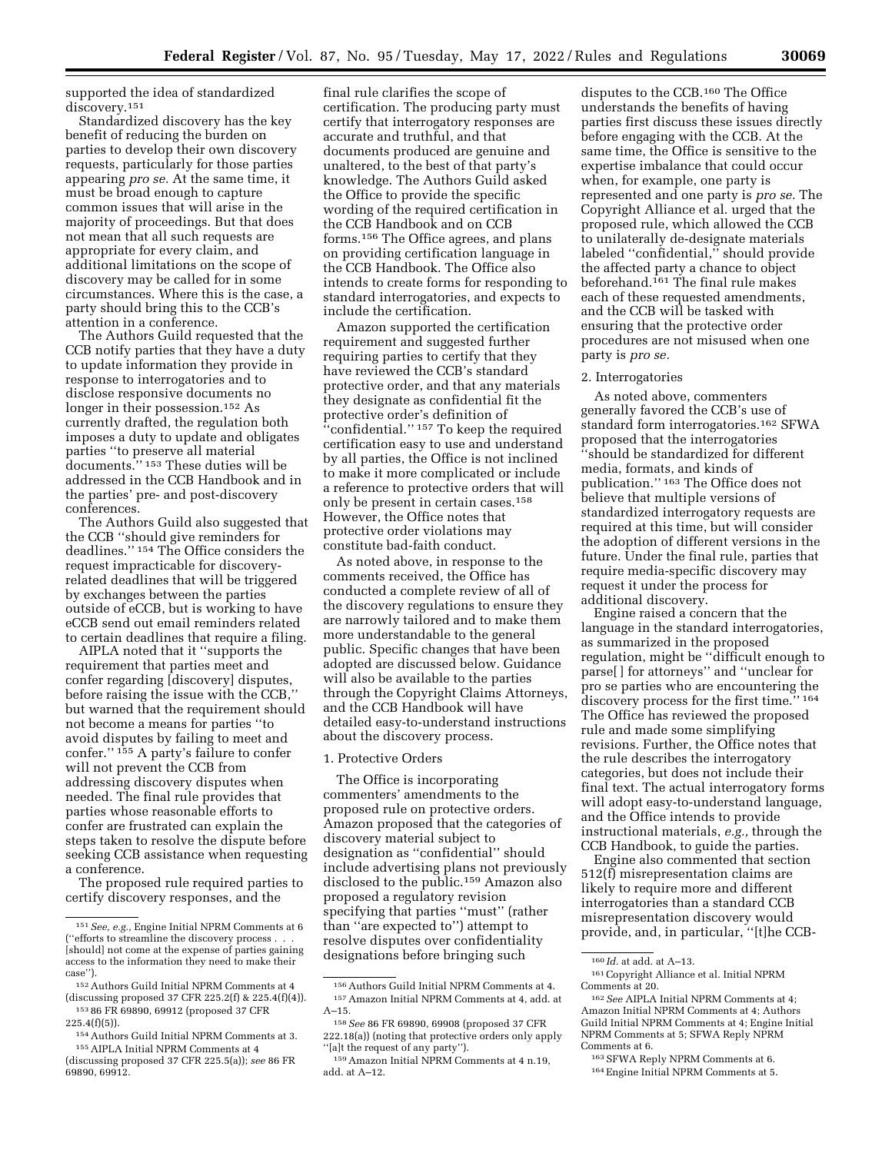supported the idea of standardized discovery.151

Standardized discovery has the key benefit of reducing the burden on parties to develop their own discovery requests, particularly for those parties appearing *pro se.* At the same time, it must be broad enough to capture common issues that will arise in the majority of proceedings. But that does not mean that all such requests are appropriate for every claim, and additional limitations on the scope of discovery may be called for in some circumstances. Where this is the case, a party should bring this to the CCB's attention in a conference.

The Authors Guild requested that the CCB notify parties that they have a duty to update information they provide in response to interrogatories and to disclose responsive documents no longer in their possession.152 As currently drafted, the regulation both imposes a duty to update and obligates parties ''to preserve all material documents.'' 153 These duties will be addressed in the CCB Handbook and in the parties' pre- and post-discovery conferences.

The Authors Guild also suggested that the CCB ''should give reminders for deadlines.'' 154 The Office considers the request impracticable for discoveryrelated deadlines that will be triggered by exchanges between the parties outside of eCCB, but is working to have eCCB send out email reminders related to certain deadlines that require a filing.

AIPLA noted that it ''supports the requirement that parties meet and confer regarding [discovery] disputes, before raising the issue with the CCB,'' but warned that the requirement should not become a means for parties ''to avoid disputes by failing to meet and confer.'' 155 A party's failure to confer will not prevent the CCB from addressing discovery disputes when needed. The final rule provides that parties whose reasonable efforts to confer are frustrated can explain the steps taken to resolve the dispute before seeking CCB assistance when requesting a conference.

The proposed rule required parties to certify discovery responses, and the

final rule clarifies the scope of certification. The producing party must certify that interrogatory responses are accurate and truthful, and that documents produced are genuine and unaltered, to the best of that party's knowledge. The Authors Guild asked the Office to provide the specific wording of the required certification in the CCB Handbook and on CCB forms.156 The Office agrees, and plans on providing certification language in the CCB Handbook. The Office also intends to create forms for responding to standard interrogatories, and expects to include the certification.

Amazon supported the certification requirement and suggested further requiring parties to certify that they have reviewed the CCB's standard protective order, and that any materials they designate as confidential fit the protective order's definition of "confidential." <sup>157</sup> To keep the required certification easy to use and understand by all parties, the Office is not inclined to make it more complicated or include a reference to protective orders that will only be present in certain cases.158 However, the Office notes that protective order violations may constitute bad-faith conduct.

As noted above, in response to the comments received, the Office has conducted a complete review of all of the discovery regulations to ensure they are narrowly tailored and to make them more understandable to the general public. Specific changes that have been adopted are discussed below. Guidance will also be available to the parties through the Copyright Claims Attorneys, and the CCB Handbook will have detailed easy-to-understand instructions about the discovery process.

#### 1. Protective Orders

The Office is incorporating commenters' amendments to the proposed rule on protective orders. Amazon proposed that the categories of discovery material subject to designation as ''confidential'' should include advertising plans not previously disclosed to the public.159 Amazon also proposed a regulatory revision specifying that parties ''must'' (rather than ''are expected to'') attempt to resolve disputes over confidentiality designations before bringing such

disputes to the CCB.160 The Office understands the benefits of having parties first discuss these issues directly before engaging with the CCB. At the same time, the Office is sensitive to the expertise imbalance that could occur when, for example, one party is represented and one party is *pro se.* The Copyright Alliance et al. urged that the proposed rule, which allowed the CCB to unilaterally de-designate materials labeled ''confidential,'' should provide the affected party a chance to object beforehand.161 The final rule makes each of these requested amendments, and the CCB will be tasked with ensuring that the protective order procedures are not misused when one party is *pro se.* 

#### 2. Interrogatories

As noted above, commenters generally favored the CCB's use of standard form interrogatories.162 SFWA proposed that the interrogatories ''should be standardized for different media, formats, and kinds of publication.'' 163 The Office does not believe that multiple versions of standardized interrogatory requests are required at this time, but will consider the adoption of different versions in the future. Under the final rule, parties that require media-specific discovery may request it under the process for additional discovery.

Engine raised a concern that the language in the standard interrogatories, as summarized in the proposed regulation, might be ''difficult enough to parse[ ] for attorneys'' and ''unclear for pro se parties who are encountering the discovery process for the first time.'' 164 The Office has reviewed the proposed rule and made some simplifying revisions. Further, the Office notes that the rule describes the interrogatory categories, but does not include their final text. The actual interrogatory forms will adopt easy-to-understand language, and the Office intends to provide instructional materials, *e.g.,* through the CCB Handbook, to guide the parties.

Engine also commented that section 512(f) misrepresentation claims are likely to require more and different interrogatories than a standard CCB misrepresentation discovery would provide, and, in particular, ''[t]he CCB-

<sup>151</sup>*See, e.g.,* Engine Initial NPRM Comments at 6 (''efforts to streamline the discovery process . . . [should] not come at the expense of parties gaining access to the information they need to make their case'').

<sup>152</sup>Authors Guild Initial NPRM Comments at 4 (discussing proposed 37 CFR 225.2(f) & 225.4(f)(4)). 153 86 FR 69890, 69912 (proposed 37 CFR 225.4(f)(5)).

<sup>154</sup>Authors Guild Initial NPRM Comments at 3.

<sup>155</sup>AIPLA Initial NPRM Comments at 4

<sup>(</sup>discussing proposed 37 CFR 225.5(a)); *see* 86 FR 69890, 69912.

 $^{\rm 156}\!$  Authors Guild Initial NPRM Comments at 4. 157Amazon Initial NPRM Comments at 4, add. at A–15.

<sup>158</sup>*See* 86 FR 69890, 69908 (proposed 37 CFR 222.18(a)) (noting that protective orders only apply ''[a]t the request of any party'').

<sup>159</sup>Amazon Initial NPRM Comments at 4 n.19, add. at A–12.

<sup>160</sup> *Id.* at add. at A–13.

<sup>161</sup>Copyright Alliance et al. Initial NPRM Comments at 20.

<sup>162</sup>*See* AIPLA Initial NPRM Comments at 4; Amazon Initial NPRM Comments at 4; Authors Guild Initial NPRM Comments at 4; Engine Initial NPRM Comments at 5; SFWA Reply NPRM Comments at 6.

<sup>163</sup>SFWA Reply NPRM Comments at 6.

<sup>164</sup>Engine Initial NPRM Comments at 5.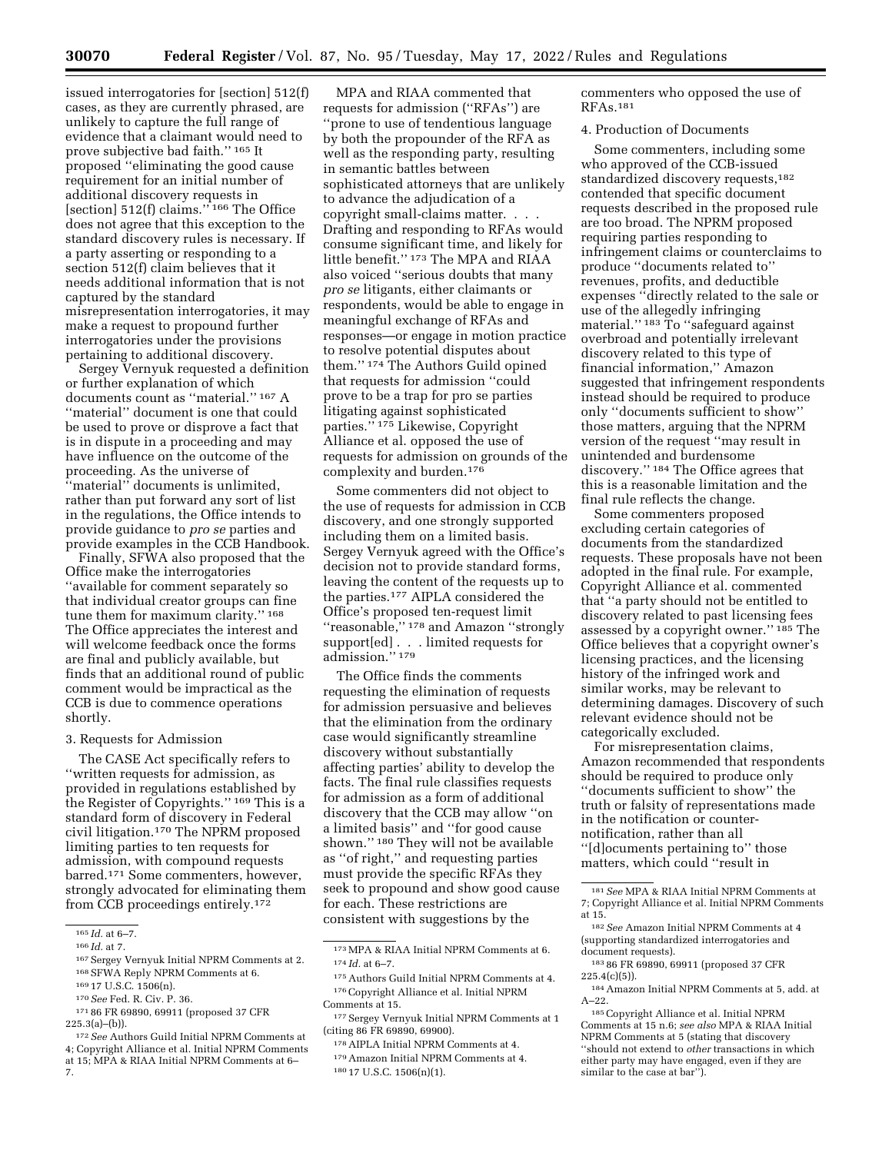issued interrogatories for [section] 512(f) cases, as they are currently phrased, are unlikely to capture the full range of evidence that a claimant would need to prove subjective bad faith.'' 165 It proposed ''eliminating the good cause requirement for an initial number of additional discovery requests in [section] 512(f) claims.'' 166 The Office does not agree that this exception to the standard discovery rules is necessary. If a party asserting or responding to a section 512(f) claim believes that it needs additional information that is not captured by the standard misrepresentation interrogatories, it may make a request to propound further interrogatories under the provisions pertaining to additional discovery.

Sergey Vernyuk requested a definition or further explanation of which documents count as ''material.'' 167 A "material" document is one that could be used to prove or disprove a fact that is in dispute in a proceeding and may have influence on the outcome of the proceeding. As the universe of ''material'' documents is unlimited, rather than put forward any sort of list in the regulations, the Office intends to provide guidance to *pro se* parties and provide examples in the CCB Handbook.

Finally, SFWA also proposed that the Office make the interrogatories ''available for comment separately so that individual creator groups can fine tune them for maximum clarity.'' 168 The Office appreciates the interest and will welcome feedback once the forms are final and publicly available, but finds that an additional round of public comment would be impractical as the CCB is due to commence operations shortly.

#### 3. Requests for Admission

The CASE Act specifically refers to ''written requests for admission, as provided in regulations established by the Register of Copyrights.'' 169 This is a standard form of discovery in Federal civil litigation.170 The NPRM proposed limiting parties to ten requests for admission, with compound requests barred.171 Some commenters, however, strongly advocated for eliminating them from CCB proceedings entirely.172

171 86 FR 69890, 69911 (proposed 37 CFR 225.3(a)–(b)).

MPA and RIAA commented that requests for admission (''RFAs'') are 'prone to use of tendentious language by both the propounder of the RFA as well as the responding party, resulting in semantic battles between sophisticated attorneys that are unlikely to advance the adjudication of a copyright small-claims matter. . . . Drafting and responding to RFAs would consume significant time, and likely for little benefit.'' 173 The MPA and RIAA also voiced ''serious doubts that many *pro se* litigants, either claimants or respondents, would be able to engage in meaningful exchange of RFAs and responses—or engage in motion practice to resolve potential disputes about them.'' 174 The Authors Guild opined that requests for admission ''could prove to be a trap for pro se parties litigating against sophisticated parties.'' 175 Likewise, Copyright Alliance et al. opposed the use of requests for admission on grounds of the complexity and burden.176

Some commenters did not object to the use of requests for admission in CCB discovery, and one strongly supported including them on a limited basis. Sergey Vernyuk agreed with the Office's decision not to provide standard forms, leaving the content of the requests up to the parties.177 AIPLA considered the Office's proposed ten-request limit ''reasonable,'' 178 and Amazon ''strongly support[ed] . . . limited requests for admission.'' 179

The Office finds the comments requesting the elimination of requests for admission persuasive and believes that the elimination from the ordinary case would significantly streamline discovery without substantially affecting parties' ability to develop the facts. The final rule classifies requests for admission as a form of additional discovery that the CCB may allow ''on a limited basis'' and ''for good cause shown.'' 180 They will not be available as ''of right,'' and requesting parties must provide the specific RFAs they seek to propound and show good cause for each. These restrictions are consistent with suggestions by the

commenters who opposed the use of RFAs.181

### 4. Production of Documents

Some commenters, including some who approved of the CCB-issued standardized discovery requests,182 contended that specific document requests described in the proposed rule are too broad. The NPRM proposed requiring parties responding to infringement claims or counterclaims to produce ''documents related to'' revenues, profits, and deductible expenses ''directly related to the sale or use of the allegedly infringing material.'' 183 To ''safeguard against overbroad and potentially irrelevant discovery related to this type of financial information,'' Amazon suggested that infringement respondents instead should be required to produce only ''documents sufficient to show'' those matters, arguing that the NPRM version of the request ''may result in unintended and burdensome discovery.'' 184 The Office agrees that this is a reasonable limitation and the final rule reflects the change.

Some commenters proposed excluding certain categories of documents from the standardized requests. These proposals have not been adopted in the final rule. For example, Copyright Alliance et al. commented that ''a party should not be entitled to discovery related to past licensing fees assessed by a copyright owner.'' 185 The Office believes that a copyright owner's licensing practices, and the licensing history of the infringed work and similar works, may be relevant to determining damages. Discovery of such relevant evidence should not be categorically excluded.

For misrepresentation claims, Amazon recommended that respondents should be required to produce only ''documents sufficient to show'' the truth or falsity of representations made in the notification or counternotification, rather than all ''[d]ocuments pertaining to'' those matters, which could ''result in

 $^{165}\,Id.$  at 6–7.

<sup>166</sup> *Id.* at 7.

<sup>167</sup> Sergey Vernyuk Initial NPRM Comments at 2. 168SFWA Reply NPRM Comments at 6.

<sup>169</sup> 17 U.S.C. 1506(n).

<sup>170</sup>*See* Fed. R. Civ. P. 36.

<sup>172</sup>*See* Authors Guild Initial NPRM Comments at 4; Copyright Alliance et al. Initial NPRM Comments at 15; MPA & RIAA Initial NPRM Comments at 6– 7.

<sup>173</sup>MPA & RIAA Initial NPRM Comments at 6. 174 *Id.* at 6–7.

<sup>175</sup>Authors Guild Initial NPRM Comments at 4. 176Copyright Alliance et al. Initial NPRM Comments at 15.

<sup>177</sup>Sergey Vernyuk Initial NPRM Comments at 1 (citing 86 FR 69890, 69900).

<sup>178</sup>AIPLA Initial NPRM Comments at 4. 179Amazon Initial NPRM Comments at 4. 180 17 U.S.C. 1506(n)(1).

<sup>181</sup>*See* MPA & RIAA Initial NPRM Comments at 7; Copyright Alliance et al. Initial NPRM Comments at 15.

<sup>182</sup>*See* Amazon Initial NPRM Comments at 4 (supporting standardized interrogatories and document requests).

<sup>183</sup> 86 FR 69890, 69911 (proposed 37 CFR 225.4(c)(5)).

<sup>184</sup>Amazon Initial NPRM Comments at 5, add. at  $A-22.$ 

<sup>185</sup>Copyright Alliance et al. Initial NPRM Comments at 15 n.6; *see also* MPA & RIAA Initial NPRM Comments at 5 (stating that discovery ''should not extend to *other* transactions in which either party may have engaged, even if they are similar to the case at bar'').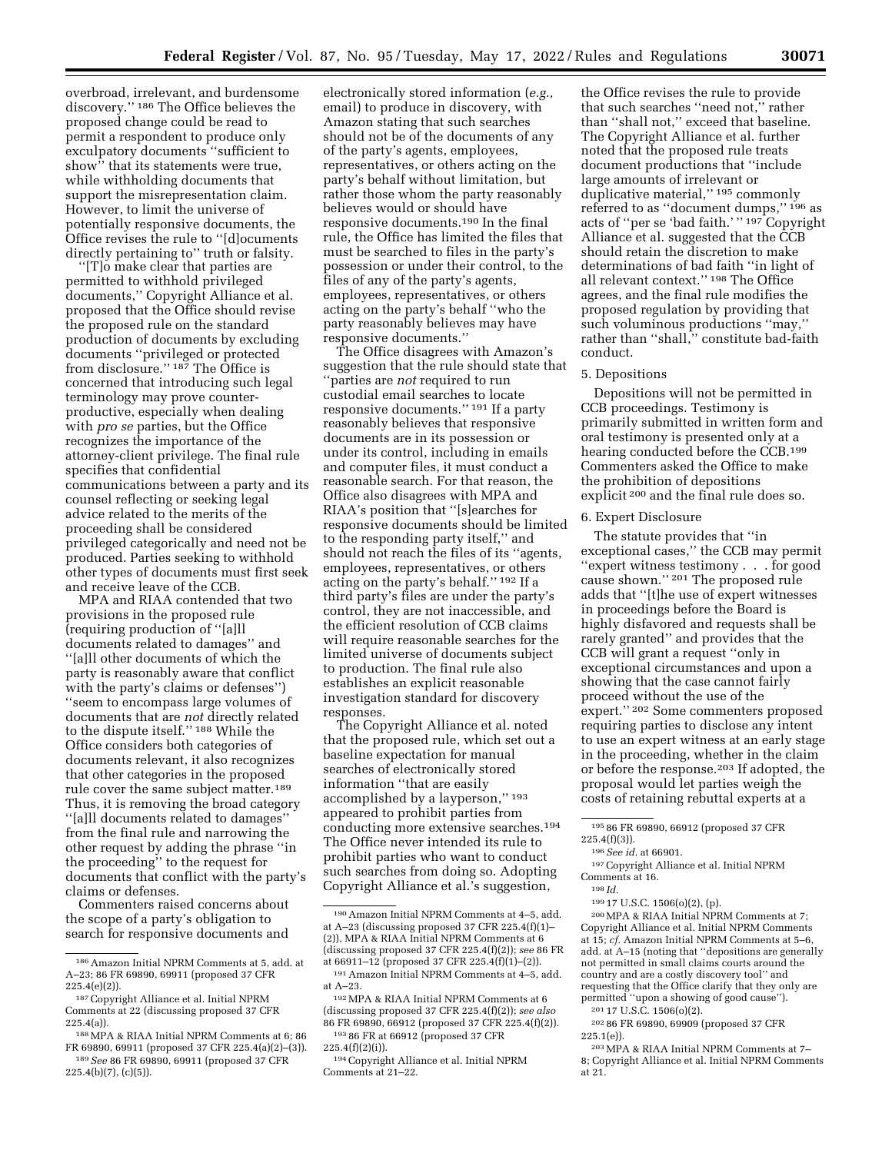overbroad, irrelevant, and burdensome discovery.'' 186 The Office believes the proposed change could be read to permit a respondent to produce only exculpatory documents ''sufficient to show" that its statements were true, while withholding documents that support the misrepresentation claim. However, to limit the universe of potentially responsive documents, the Office revises the rule to ''[d]ocuments directly pertaining to'' truth or falsity.

''[T]o make clear that parties are permitted to withhold privileged documents,'' Copyright Alliance et al. proposed that the Office should revise the proposed rule on the standard production of documents by excluding documents ''privileged or protected from disclosure.'' 187 The Office is concerned that introducing such legal terminology may prove counterproductive, especially when dealing with *pro se* parties, but the Office recognizes the importance of the attorney-client privilege. The final rule specifies that confidential communications between a party and its counsel reflecting or seeking legal advice related to the merits of the proceeding shall be considered privileged categorically and need not be produced. Parties seeking to withhold other types of documents must first seek and receive leave of the CCB.

MPA and RIAA contended that two provisions in the proposed rule (requiring production of ''[a]ll documents related to damages'' and ''[a]ll other documents of which the party is reasonably aware that conflict with the party's claims or defenses'') ''seem to encompass large volumes of documents that are *not* directly related to the dispute itself.'' 188 While the Office considers both categories of documents relevant, it also recognizes that other categories in the proposed rule cover the same subject matter.189 Thus, it is removing the broad category ''[a]ll documents related to damages'' from the final rule and narrowing the other request by adding the phrase ''in the proceeding'' to the request for documents that conflict with the party's claims or defenses.

Commenters raised concerns about the scope of a party's obligation to search for responsive documents and

electronically stored information (*e.g.,*  email) to produce in discovery, with Amazon stating that such searches should not be of the documents of any of the party's agents, employees, representatives, or others acting on the party's behalf without limitation, but rather those whom the party reasonably believes would or should have responsive documents.190 In the final rule, the Office has limited the files that must be searched to files in the party's possession or under their control, to the files of any of the party's agents, employees, representatives, or others acting on the party's behalf ''who the party reasonably believes may have responsive documents.''

The Office disagrees with Amazon's suggestion that the rule should state that ''parties are *not* required to run custodial email searches to locate responsive documents.'' 191 If a party reasonably believes that responsive documents are in its possession or under its control, including in emails and computer files, it must conduct a reasonable search. For that reason, the Office also disagrees with MPA and RIAA's position that ''[s]earches for responsive documents should be limited to the responding party itself,'' and should not reach the files of its ''agents, employees, representatives, or others acting on the party's behalf.'' 192 If a third party's files are under the party's control, they are not inaccessible, and the efficient resolution of CCB claims will require reasonable searches for the limited universe of documents subject to production. The final rule also establishes an explicit reasonable investigation standard for discovery responses.

The Copyright Alliance et al. noted that the proposed rule, which set out a baseline expectation for manual searches of electronically stored information ''that are easily accomplished by a layperson,'' 193 appeared to prohibit parties from conducting more extensive searches.194 The Office never intended its rule to prohibit parties who want to conduct such searches from doing so. Adopting Copyright Alliance et al.'s suggestion,

192MPA & RIAA Initial NPRM Comments at 6 (discussing proposed 37 CFR 225.4(f)(2)); *see also*  86 FR 69890, 66912 (proposed 37 CFR 225.4(f)(2)). 193 86 FR at 66912 (proposed 37 CFR

225.4(f)(2)(i)).

the Office revises the rule to provide that such searches ''need not,'' rather than ''shall not,'' exceed that baseline. The Copyright Alliance et al. further noted that the proposed rule treats document productions that ''include large amounts of irrelevant or duplicative material,'' 195 commonly referred to as ''document dumps,'' 196 as acts of ''per se 'bad faith.' '' 197 Copyright Alliance et al. suggested that the CCB should retain the discretion to make determinations of bad faith ''in light of all relevant context.'' 198 The Office agrees, and the final rule modifies the proposed regulation by providing that such voluminous productions ''may,'' rather than ''shall,'' constitute bad-faith conduct.

### 5. Depositions

Depositions will not be permitted in CCB proceedings. Testimony is primarily submitted in written form and oral testimony is presented only at a hearing conducted before the CCB.199 Commenters asked the Office to make the prohibition of depositions explicit 200 and the final rule does so.

# 6. Expert Disclosure

The statute provides that ''in exceptional cases,'' the CCB may permit ''expert witness testimony . . . for good cause shown.'' 201 The proposed rule adds that ''[t]he use of expert witnesses in proceedings before the Board is highly disfavored and requests shall be rarely granted'' and provides that the CCB will grant a request ''only in exceptional circumstances and upon a showing that the case cannot fairly proceed without the use of the expert.'' 202 Some commenters proposed requiring parties to disclose any intent to use an expert witness at an early stage in the proceeding, whether in the claim or before the response.203 If adopted, the proposal would let parties weigh the costs of retaining rebuttal experts at a

197Copyright Alliance et al. Initial NPRM Comments at 16.

199 17 U.S.C. 1506(o)(2), (p). 200MPA & RIAA Initial NPRM Comments at 7; Copyright Alliance et al. Initial NPRM Comments at 15; *cf.* Amazon Initial NPRM Comments at 5–6, add. at A–15 (noting that ''depositions are generally not permitted in small claims courts around the country and are a costly discovery tool'' and requesting that the Office clarify that they only are permitted ''upon a showing of good cause''). 201 17 U.S.C. 1506(o)(2).

202 86 FR 69890, 69909 (proposed 37 CFR 225.1(e)).

<sup>186</sup>Amazon Initial NPRM Comments at 5, add. at A–23; 86 FR 69890, 69911 (proposed 37 CFR 225.4(e)(2)).

<sup>187</sup>Copyright Alliance et al. Initial NPRM Comments at 22 (discussing proposed 37 CFR  $225.4(a)$ ).

<sup>188</sup>MPA & RIAA Initial NPRM Comments at 6; 86 FR 69890, 69911 (proposed 37 CFR 225.4(a)(2)–(3)). 189*See* 86 FR 69890, 69911 (proposed 37 CFR 225.4(b)(7), (c)(5)).

<sup>190</sup>Amazon Initial NPRM Comments at 4–5, add. at A–23 (discussing proposed 37 CFR 225.4(f)(1)– (2)), MPA & RIAA Initial NPRM Comments at 6 (discussing proposed 37 CFR 225.4(f)(2)); *see* 86 FR at 66911–12 (proposed 37 CFR 225.4(f)(1)–(2)).

<sup>191</sup>Amazon Initial NPRM Comments at 4–5, add. at A–23.

<sup>194</sup>Copyright Alliance et al. Initial NPRM Comments at 21–22.

<sup>195</sup> 86 FR 69890, 66912 (proposed 37 CFR 225.4(f)(3)).

<sup>196</sup>*See id.* at 66901.

<sup>198</sup> *Id.* 

<sup>203</sup>MPA & RIAA Initial NPRM Comments at 7– 8; Copyright Alliance et al. Initial NPRM Comments at 21.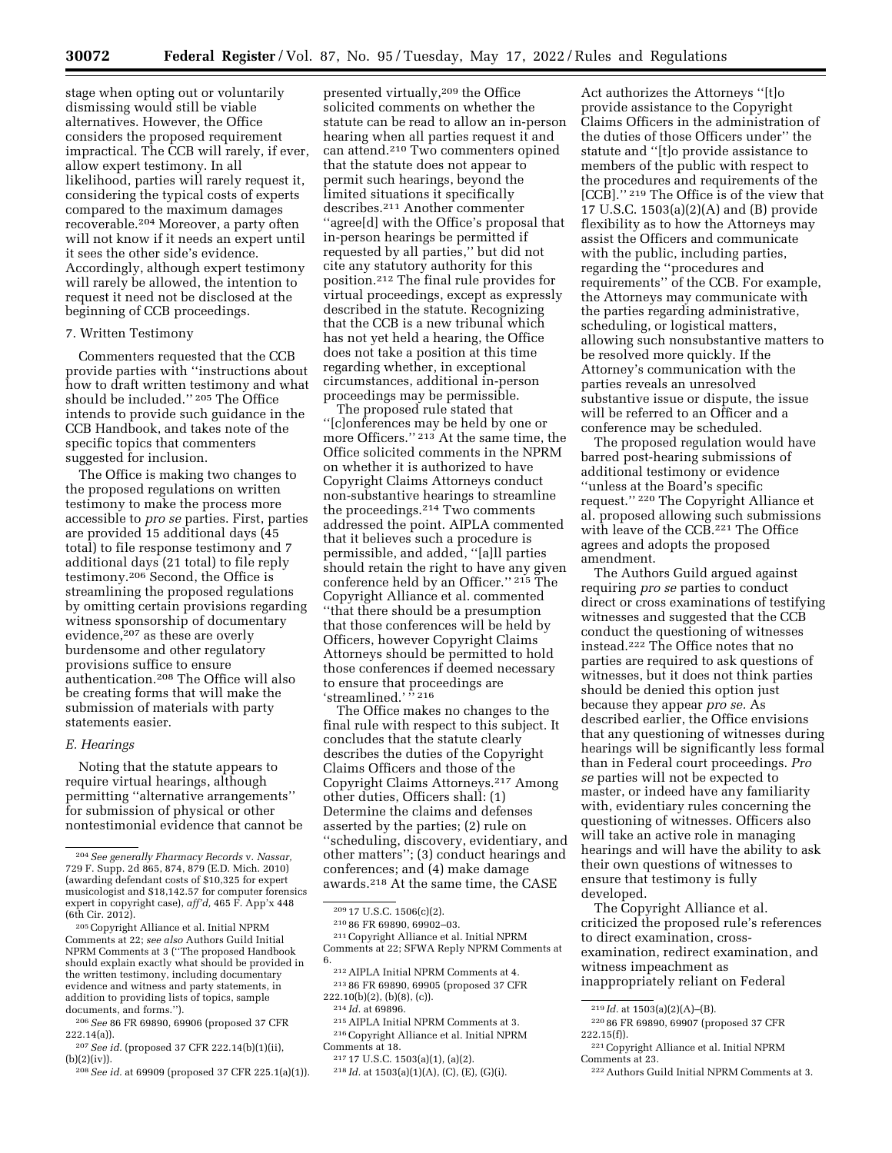stage when opting out or voluntarily dismissing would still be viable alternatives. However, the Office considers the proposed requirement impractical. The CCB will rarely, if ever, allow expert testimony. In all likelihood, parties will rarely request it, considering the typical costs of experts compared to the maximum damages recoverable.204 Moreover, a party often will not know if it needs an expert until it sees the other side's evidence. Accordingly, although expert testimony will rarely be allowed, the intention to request it need not be disclosed at the beginning of CCB proceedings.

# 7. Written Testimony

Commenters requested that the CCB provide parties with ''instructions about how to draft written testimony and what should be included.'' 205 The Office intends to provide such guidance in the CCB Handbook, and takes note of the specific topics that commenters suggested for inclusion.

The Office is making two changes to the proposed regulations on written testimony to make the process more accessible to *pro se* parties. First, parties are provided 15 additional days (45 total) to file response testimony and 7 additional days (21 total) to file reply testimony.206 Second, the Office is streamlining the proposed regulations by omitting certain provisions regarding witness sponsorship of documentary evidence,207 as these are overly burdensome and other regulatory provisions suffice to ensure authentication.208 The Office will also be creating forms that will make the submission of materials with party statements easier.

### *E. Hearings*

Noting that the statute appears to require virtual hearings, although permitting ''alternative arrangements'' for submission of physical or other nontestimonial evidence that cannot be

208*See id.* at 69909 (proposed 37 CFR 225.1(a)(1)).

presented virtually,209 the Office solicited comments on whether the statute can be read to allow an in-person hearing when all parties request it and can attend.210 Two commenters opined that the statute does not appear to permit such hearings, beyond the limited situations it specifically describes.211 Another commenter ''agree[d] with the Office's proposal that in-person hearings be permitted if requested by all parties,'' but did not cite any statutory authority for this position.212 The final rule provides for virtual proceedings, except as expressly described in the statute. Recognizing that the CCB is a new tribunal which has not yet held a hearing, the Office does not take a position at this time regarding whether, in exceptional circumstances, additional in-person proceedings may be permissible.

The proposed rule stated that ''[c]onferences may be held by one or more Officers.'' 213 At the same time, the Office solicited comments in the NPRM on whether it is authorized to have Copyright Claims Attorneys conduct non-substantive hearings to streamline the proceedings.214 Two comments addressed the point. AIPLA commented that it believes such a procedure is permissible, and added, ''[a]ll parties should retain the right to have any given conference held by an Officer.'' 215 The Copyright Alliance et al. commented ''that there should be a presumption that those conferences will be held by Officers, however Copyright Claims Attorneys should be permitted to hold those conferences if deemed necessary to ensure that proceedings are 'streamlined.'<sup>"</sup> 216

The Office makes no changes to the final rule with respect to this subject. It concludes that the statute clearly describes the duties of the Copyright Claims Officers and those of the Copyright Claims Attorneys.217 Among other duties, Officers shall: (1) Determine the claims and defenses asserted by the parties; (2) rule on ''scheduling, discovery, evidentiary, and other matters''; (3) conduct hearings and conferences; and (4) make damage awards.218 At the same time, the CASE

<sup>209</sup> 17 U.S.C. 1506(c)(2). 210 86 FR 69890, 69902–03. 211Copyright Alliance et al. Initial NPRM Comments at 22; SFWA Reply NPRM Comments at

<sup>212</sup> AIPLA Initial NPRM Comments at 4.<br><sup>213</sup> 86 FR 69890, 69905 (proposed 37 CFR<br>222.10(b)(2), (b)(8), (c)).

- 
- <sup>214</sup> *Id.* at 69896.<br><sup>215</sup> AIPLA Initial NPRM Comments at 3.<br><sup>216</sup> Copyright Alliance et al. Initial NPRM<br>Comments at 18.

Act authorizes the Attorneys ''[t]o provide assistance to the Copyright Claims Officers in the administration of the duties of those Officers under'' the statute and ''[t]o provide assistance to members of the public with respect to the procedures and requirements of the [CCB].'' 219 The Office is of the view that 17 U.S.C. 1503(a)(2)(A) and (B) provide flexibility as to how the Attorneys may assist the Officers and communicate with the public, including parties, regarding the ''procedures and requirements'' of the CCB. For example, the Attorneys may communicate with the parties regarding administrative, scheduling, or logistical matters, allowing such nonsubstantive matters to be resolved more quickly. If the Attorney's communication with the parties reveals an unresolved substantive issue or dispute, the issue will be referred to an Officer and a conference may be scheduled.

The proposed regulation would have barred post-hearing submissions of additional testimony or evidence ''unless at the Board's specific request.'' 220 The Copyright Alliance et al. proposed allowing such submissions with leave of the CCB.<sup>221</sup> The Office agrees and adopts the proposed amendment.

The Authors Guild argued against requiring *pro se* parties to conduct direct or cross examinations of testifying witnesses and suggested that the CCB conduct the questioning of witnesses instead.222 The Office notes that no parties are required to ask questions of witnesses, but it does not think parties should be denied this option just because they appear *pro se.* As described earlier, the Office envisions that any questioning of witnesses during hearings will be significantly less formal than in Federal court proceedings. *Pro se* parties will not be expected to master, or indeed have any familiarity with, evidentiary rules concerning the questioning of witnesses. Officers also will take an active role in managing hearings and will have the ability to ask their own questions of witnesses to ensure that testimony is fully developed.

The Copyright Alliance et al. criticized the proposed rule's references to direct examination, crossexamination, redirect examination, and witness impeachment as inappropriately reliant on Federal

<sup>204</sup>*See generally Fharmacy Records* v. *Nassar,*  729 F. Supp. 2d 865, 874, 879 (E.D. Mich. 2010) (awarding defendant costs of \$10,325 for expert musicologist and \$18,142.57 for computer forensics expert in copyright case), *aff'd,* 465 F. App'x 448 (6th Cir. 2012).

<sup>205</sup>Copyright Alliance et al. Initial NPRM Comments at 22; *see also* Authors Guild Initial NPRM Comments at 3 (''The proposed Handbook should explain exactly what should be provided in the written testimony, including documentary evidence and witness and party statements, in addition to providing lists of topics, sample documents, and forms.'').

<sup>206</sup>*See* 86 FR 69890, 69906 (proposed 37 CFR 222.14(a)).

<sup>207</sup>*See id.* (proposed 37 CFR 222.14(b)(1)(ii), (b)(2)(iv)).

<sup>&</sup>lt;sup>217</sup> 17 U.S.C. 1503(a)(1), (a)(2).<br><sup>218</sup> *Id.* at 1503(a)(1)(A), (C), (E), (G)(i).

<sup>219</sup> *Id.* at 1503(a)(2)(A)–(B).

<sup>220</sup> 86 FR 69890, 69907 (proposed 37 CFR 222.15(f)).

<sup>221</sup>Copyright Alliance et al. Initial NPRM Comments at 23.

<sup>222</sup>Authors Guild Initial NPRM Comments at 3.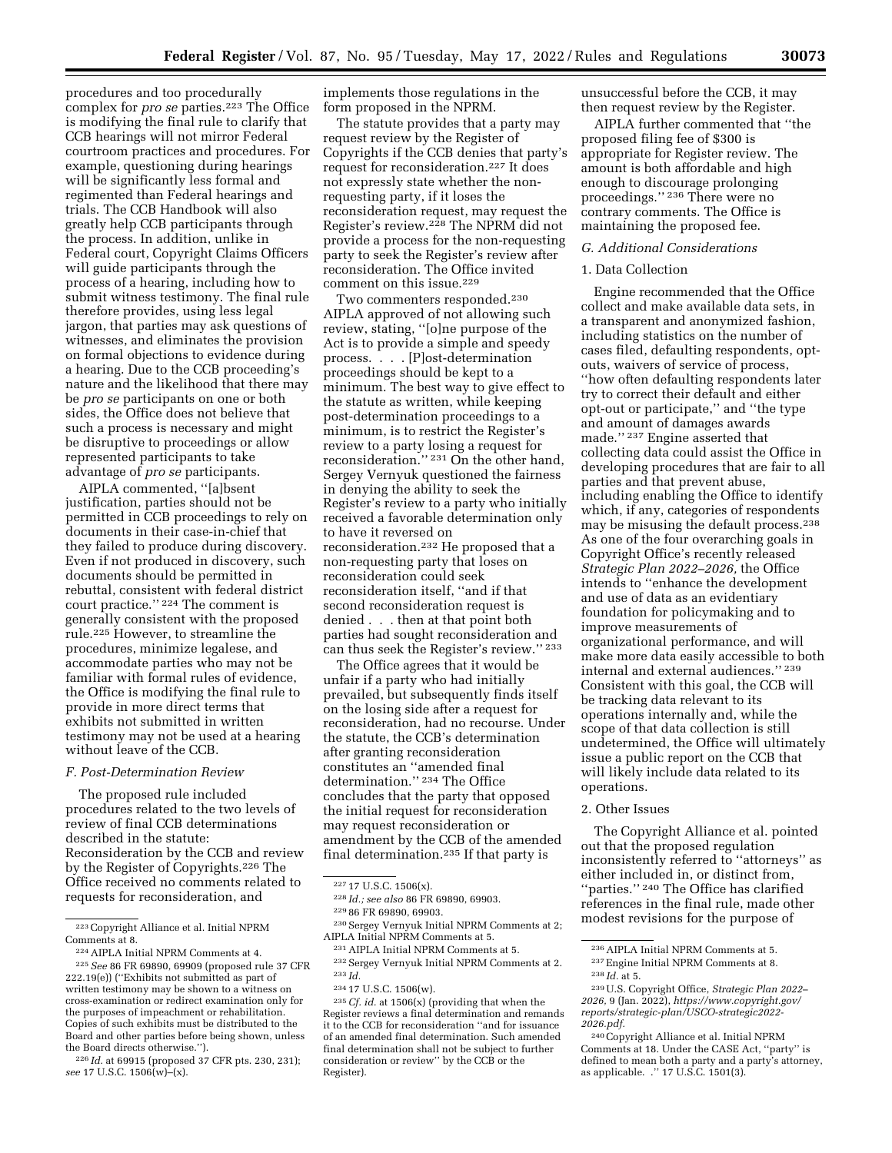procedures and too procedurally complex for *pro se* parties.223 The Office is modifying the final rule to clarify that CCB hearings will not mirror Federal courtroom practices and procedures. For example, questioning during hearings will be significantly less formal and regimented than Federal hearings and trials. The CCB Handbook will also greatly help CCB participants through the process. In addition, unlike in Federal court, Copyright Claims Officers will guide participants through the process of a hearing, including how to submit witness testimony. The final rule therefore provides, using less legal jargon, that parties may ask questions of witnesses, and eliminates the provision on formal objections to evidence during a hearing. Due to the CCB proceeding's nature and the likelihood that there may be *pro se* participants on one or both sides, the Office does not believe that such a process is necessary and might be disruptive to proceedings or allow represented participants to take advantage of *pro se* participants.

AIPLA commented, ''[a]bsent justification, parties should not be permitted in CCB proceedings to rely on documents in their case-in-chief that they failed to produce during discovery. Even if not produced in discovery, such documents should be permitted in rebuttal, consistent with federal district court practice.'' 224 The comment is generally consistent with the proposed rule.225 However, to streamline the procedures, minimize legalese, and accommodate parties who may not be familiar with formal rules of evidence, the Office is modifying the final rule to provide in more direct terms that exhibits not submitted in written testimony may not be used at a hearing without leave of the CCB.

#### *F. Post-Determination Review*

The proposed rule included procedures related to the two levels of review of final CCB determinations described in the statute: Reconsideration by the CCB and review by the Register of Copyrights.226 The Office received no comments related to requests for reconsideration, and

implements those regulations in the form proposed in the NPRM.

The statute provides that a party may request review by the Register of Copyrights if the CCB denies that party's request for reconsideration.227 It does not expressly state whether the nonrequesting party, if it loses the reconsideration request, may request the Register's review.228 The NPRM did not provide a process for the non-requesting party to seek the Register's review after reconsideration. The Office invited comment on this issue.229

Two commenters responded.230 AIPLA approved of not allowing such review, stating, ''[o]ne purpose of the Act is to provide a simple and speedy process. . . . [P]ost-determination proceedings should be kept to a minimum. The best way to give effect to the statute as written, while keeping post-determination proceedings to a minimum, is to restrict the Register's review to a party losing a request for reconsideration.'' 231 On the other hand, Sergey Vernyuk questioned the fairness in denying the ability to seek the Register's review to a party who initially received a favorable determination only to have it reversed on reconsideration.232 He proposed that a non-requesting party that loses on reconsideration could seek reconsideration itself, ''and if that second reconsideration request is denied . . . then at that point both parties had sought reconsideration and can thus seek the Register's review.'' 233

The Office agrees that it would be unfair if a party who had initially prevailed, but subsequently finds itself on the losing side after a request for reconsideration, had no recourse. Under the statute, the CCB's determination after granting reconsideration constitutes an ''amended final determination.'' 234 The Office concludes that the party that opposed the initial request for reconsideration may request reconsideration or amendment by the CCB of the amended final determination.235 If that party is

230Sergey Vernyuk Initial NPRM Comments at 2; AIPLA Initial NPRM Comments at 5.

235*Cf. id.* at 1506(x) (providing that when the Register reviews a final determination and remands it to the CCB for reconsideration ''and for issuance of an amended final determination. Such amended final determination shall not be subject to further consideration or review'' by the CCB or the Register).

unsuccessful before the CCB, it may then request review by the Register.

AIPLA further commented that ''the proposed filing fee of \$300 is appropriate for Register review. The amount is both affordable and high enough to discourage prolonging proceedings.'' 236 There were no contrary comments. The Office is maintaining the proposed fee.

### *G. Additional Considerations*

### 1. Data Collection

Engine recommended that the Office collect and make available data sets, in a transparent and anonymized fashion, including statistics on the number of cases filed, defaulting respondents, optouts, waivers of service of process, ''how often defaulting respondents later try to correct their default and either opt-out or participate,'' and ''the type and amount of damages awards made.'' 237 Engine asserted that collecting data could assist the Office in developing procedures that are fair to all parties and that prevent abuse, including enabling the Office to identify which, if any, categories of respondents may be misusing the default process.238 As one of the four overarching goals in Copyright Office's recently released *Strategic Plan 2022–2026,* the Office intends to ''enhance the development and use of data as an evidentiary foundation for policymaking and to improve measurements of organizational performance, and will make more data easily accessible to both internal and external audiences.'' 239 Consistent with this goal, the CCB will be tracking data relevant to its operations internally and, while the scope of that data collection is still undetermined, the Office will ultimately issue a public report on the CCB that will likely include data related to its operations.

# 2. Other Issues

The Copyright Alliance et al. pointed out that the proposed regulation inconsistently referred to ''attorneys'' as either included in, or distinct from, ''parties.'' 240 The Office has clarified references in the final rule, made other modest revisions for the purpose of

<sup>223</sup>Copyright Alliance et al. Initial NPRM Comments at 8.

<sup>224</sup>AIPLA Initial NPRM Comments at 4.

<sup>225</sup>*See* 86 FR 69890, 69909 (proposed rule 37 CFR 222.19(e)) (''Exhibits not submitted as part of written testimony may be shown to a witness on cross-examination or redirect examination only for the purposes of impeachment or rehabilitation. Copies of such exhibits must be distributed to the Board and other parties before being shown, unless the Board directs otherwise.'').

<sup>226</sup> *Id.* at 69915 (proposed 37 CFR pts. 230, 231); *see* 17 U.S.C. 1506(w)–(x).

<sup>227</sup> 17 U.S.C. 1506(x).

<sup>228</sup> *Id.; see also* 86 FR 69890, 69903. 229 86 FR 69890, 69903.

<sup>231</sup>AIPLA Initial NPRM Comments at 5.

<sup>232</sup>Sergey Vernyuk Initial NPRM Comments at 2. 233 *Id.* 

<sup>234</sup> 17 U.S.C. 1506(w).

<sup>236</sup>AIPLA Initial NPRM Comments at 5.

<sup>237</sup>Engine Initial NPRM Comments at 8. 238 *Id.* at 5.

<sup>239</sup>U.S. Copyright Office, *Strategic Plan 2022– 2026,* 9 (Jan. 2022), *[https://www.copyright.gov/](https://www.copyright.gov/reports/strategic-plan/USCO-strategic2022-2026.pdf)  [reports/strategic-plan/USCO-strategic2022-](https://www.copyright.gov/reports/strategic-plan/USCO-strategic2022-2026.pdf) [2026.pdf.](https://www.copyright.gov/reports/strategic-plan/USCO-strategic2022-2026.pdf)* 

<sup>240</sup>Copyright Alliance et al. Initial NPRM Comments at 18. Under the CASE Act, ''party'' is defined to mean both a party and a party's attorney, as applicable. .'' 17 U.S.C. 1501(3).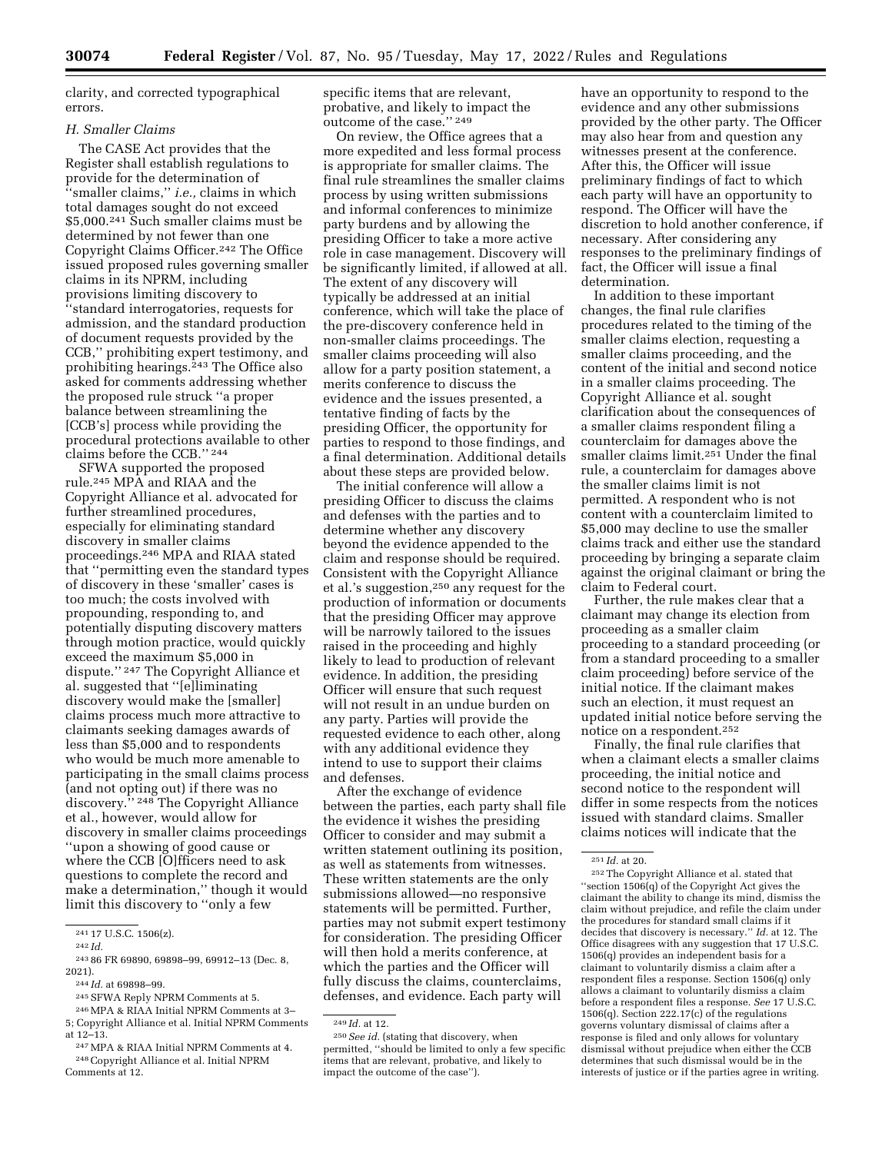clarity, and corrected typographical errors.

# *H. Smaller Claims*

The CASE Act provides that the Register shall establish regulations to provide for the determination of ''smaller claims,'' *i.e.,* claims in which total damages sought do not exceed \$5,000.241 Such smaller claims must be determined by not fewer than one Copyright Claims Officer.242 The Office issued proposed rules governing smaller claims in its NPRM, including provisions limiting discovery to ''standard interrogatories, requests for admission, and the standard production of document requests provided by the CCB,'' prohibiting expert testimony, and prohibiting hearings.<sup>243</sup> The Office also asked for comments addressing whether the proposed rule struck ''a proper balance between streamlining the [CCB's] process while providing the procedural protections available to other claims before the CCB.'' 244

SFWA supported the proposed rule.245 MPA and RIAA and the Copyright Alliance et al. advocated for further streamlined procedures, especially for eliminating standard discovery in smaller claims proceedings.246 MPA and RIAA stated that ''permitting even the standard types of discovery in these 'smaller' cases is too much; the costs involved with propounding, responding to, and potentially disputing discovery matters through motion practice, would quickly exceed the maximum \$5,000 in dispute.'' 247 The Copyright Alliance et al. suggested that ''[e]liminating discovery would make the [smaller] claims process much more attractive to claimants seeking damages awards of less than \$5,000 and to respondents who would be much more amenable to participating in the small claims process (and not opting out) if there was no discovery.'' 248 The Copyright Alliance et al., however, would allow for discovery in smaller claims proceedings ''upon a showing of good cause or where the CCB [O]fficers need to ask questions to complete the record and make a determination,'' though it would limit this discovery to ''only a few

- 244 *Id.* at 69898–99.
- 245SFWA Reply NPRM Comments at 5.
- 246MPA & RIAA Initial NPRM Comments at 3– 5; Copyright Alliance et al. Initial NPRM Comments at 12–13.

247MPA & RIAA Initial NPRM Comments at 4. 248Copyright Alliance et al. Initial NPRM Comments at 12.

specific items that are relevant, probative, and likely to impact the outcome of the case.'' 249

On review, the Office agrees that a more expedited and less formal process is appropriate for smaller claims. The final rule streamlines the smaller claims process by using written submissions and informal conferences to minimize party burdens and by allowing the presiding Officer to take a more active role in case management. Discovery will be significantly limited, if allowed at all. The extent of any discovery will typically be addressed at an initial conference, which will take the place of the pre-discovery conference held in non-smaller claims proceedings. The smaller claims proceeding will also allow for a party position statement, a merits conference to discuss the evidence and the issues presented, a tentative finding of facts by the presiding Officer, the opportunity for parties to respond to those findings, and a final determination. Additional details about these steps are provided below.

The initial conference will allow a presiding Officer to discuss the claims and defenses with the parties and to determine whether any discovery beyond the evidence appended to the claim and response should be required. Consistent with the Copyright Alliance et al.'s suggestion,250 any request for the production of information or documents that the presiding Officer may approve will be narrowly tailored to the issues raised in the proceeding and highly likely to lead to production of relevant evidence. In addition, the presiding Officer will ensure that such request will not result in an undue burden on any party. Parties will provide the requested evidence to each other, along with any additional evidence they intend to use to support their claims and defenses.

After the exchange of evidence between the parties, each party shall file the evidence it wishes the presiding Officer to consider and may submit a written statement outlining its position, as well as statements from witnesses. These written statements are the only submissions allowed—no responsive statements will be permitted. Further, parties may not submit expert testimony for consideration. The presiding Officer will then hold a merits conference, at which the parties and the Officer will fully discuss the claims, counterclaims, defenses, and evidence. Each party will

have an opportunity to respond to the evidence and any other submissions provided by the other party. The Officer may also hear from and question any witnesses present at the conference. After this, the Officer will issue preliminary findings of fact to which each party will have an opportunity to respond. The Officer will have the discretion to hold another conference, if necessary. After considering any responses to the preliminary findings of fact, the Officer will issue a final determination.

In addition to these important changes, the final rule clarifies procedures related to the timing of the smaller claims election, requesting a smaller claims proceeding, and the content of the initial and second notice in a smaller claims proceeding. The Copyright Alliance et al. sought clarification about the consequences of a smaller claims respondent filing a counterclaim for damages above the smaller claims limit.251 Under the final rule, a counterclaim for damages above the smaller claims limit is not permitted. A respondent who is not content with a counterclaim limited to \$5,000 may decline to use the smaller claims track and either use the standard proceeding by bringing a separate claim against the original claimant or bring the claim to Federal court.

Further, the rule makes clear that a claimant may change its election from proceeding as a smaller claim proceeding to a standard proceeding (or from a standard proceeding to a smaller claim proceeding) before service of the initial notice. If the claimant makes such an election, it must request an updated initial notice before serving the notice on a respondent.252

Finally, the final rule clarifies that when a claimant elects a smaller claims proceeding, the initial notice and second notice to the respondent will differ in some respects from the notices issued with standard claims. Smaller claims notices will indicate that the

252The Copyright Alliance et al. stated that ''section 1506(q) of the Copyright Act gives the claimant the ability to change its mind, dismiss the claim without prejudice, and refile the claim under the procedures for standard small claims if it decides that discovery is necessary.'' *Id.* at 12. The Office disagrees with any suggestion that 17 U.S.C. 1506(q) provides an independent basis for a claimant to voluntarily dismiss a claim after a respondent files a response. Section 1506(q) only allows a claimant to voluntarily dismiss a claim before a respondent files a response. *See* 17 U.S.C. 1506(q). Section 222.17(c) of the regulations governs voluntary dismissal of claims after a response is filed and only allows for voluntary dismissal without prejudice when either the CCB determines that such dismissal would be in the interests of justice or if the parties agree in writing.

<sup>241</sup> 17 U.S.C. 1506(z).

<sup>242</sup> *Id.* 

<sup>243</sup> 86 FR 69890, 69898–99, 69912–13 (Dec. 8, 2021).

<sup>249</sup> *Id.* at 12.

<sup>&</sup>lt;sup>250</sup> See id. (stating that discovery, when permitted, ''should be limited to only a few specific items that are relevant, probative, and likely to impact the outcome of the case'').

<sup>251</sup> *Id.* at 20.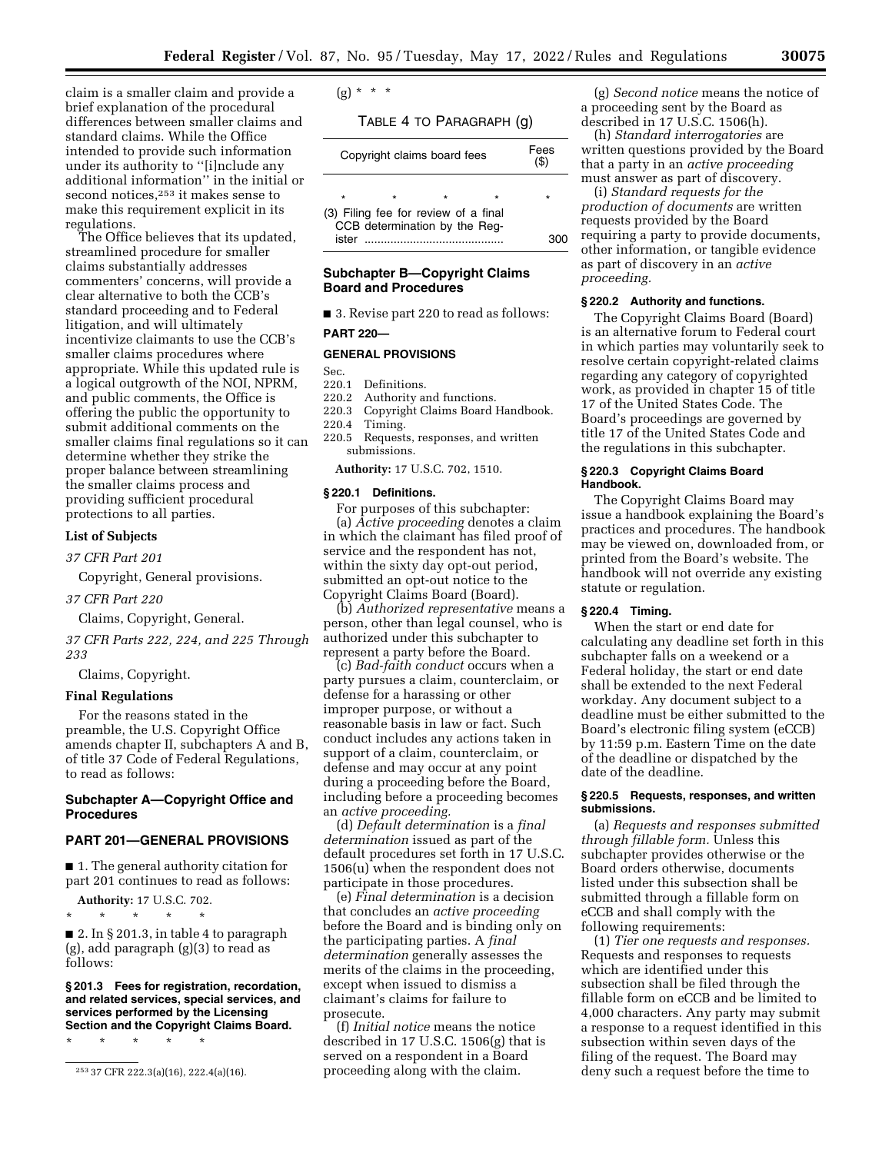claim is a smaller claim and provide a brief explanation of the procedural differences between smaller claims and standard claims. While the Office intended to provide such information under its authority to ''[i]nclude any additional information'' in the initial or second notices,253 it makes sense to make this requirement explicit in its regulations.

The Office believes that its updated, streamlined procedure for smaller claims substantially addresses commenters' concerns, will provide a clear alternative to both the CCB's standard proceeding and to Federal litigation, and will ultimately incentivize claimants to use the CCB's smaller claims procedures where appropriate. While this updated rule is a logical outgrowth of the NOI, NPRM, and public comments, the Office is offering the public the opportunity to submit additional comments on the smaller claims final regulations so it can determine whether they strike the proper balance between streamlining the smaller claims process and providing sufficient procedural protections to all parties.

# **List of Subjects**

*37 CFR Part 201* 

Copyright, General provisions.

*37 CFR Part 220* 

Claims, Copyright, General.

*37 CFR Parts 222, 224, and 225 Through 233* 

Claims, Copyright.

# **Final Regulations**

For the reasons stated in the preamble, the U.S. Copyright Office amends chapter II, subchapters A and B, of title 37 Code of Federal Regulations, to read as follows:

# **Subchapter A—Copyright Office and Procedures**

# **PART 201—GENERAL PROVISIONS**

■ 1. The general authority citation for part 201 continues to read as follows:

**Authority:** 17 U.S.C. 702.

\* \* \* \* \*  $\blacksquare$  2. In § 201.3, in table 4 to paragraph (g), add paragraph (g)(3) to read as follows:

**§ 201.3 Fees for registration, recordation, and related services, special services, and services performed by the Licensing Section and the Copyright Claims Board.** 

\* \* \* \* \*

 $(g) * * * *$ 

TABLE 4 TO PARAGRAPH (g)

| Copyright claims board fees                                                    |  |  |  | Fees<br>(S) |
|--------------------------------------------------------------------------------|--|--|--|-------------|
| $\star$                                                                        |  |  |  | ÷           |
| (3) Filing fee for review of a final<br>CCB determination by the Reg-<br>ister |  |  |  |             |

# **Subchapter B—Copyright Claims Board and Procedures**

■ 3. Revise part 220 to read as follows:

**PART 220—** 

### **GENERAL PROVISIONS**

Sec.<br>220.1

- Definitions.
- 220.2 Authority and functions.
- 220.3 Copyright Claims Board Handbook.<br>220.4 Timing.
- Timing. 220.5 Requests, responses, and written submissions.

**Authority:** 17 U.S.C. 702, 1510.

## **§ 220.1 Definitions.**

For purposes of this subchapter: (a) *Active proceeding* denotes a claim in which the claimant has filed proof of service and the respondent has not, within the sixty day opt-out period, submitted an opt-out notice to the Copyright Claims Board (Board).

(b) *Authorized representative* means a person, other than legal counsel, who is authorized under this subchapter to represent a party before the Board.

(c) *Bad-faith conduct* occurs when a party pursues a claim, counterclaim, or defense for a harassing or other improper purpose, or without a reasonable basis in law or fact. Such conduct includes any actions taken in support of a claim, counterclaim, or defense and may occur at any point during a proceeding before the Board, including before a proceeding becomes an *active proceeding.* 

(d) *Default determination* is a *final determination* issued as part of the default procedures set forth in 17 U.S.C. 1506(u) when the respondent does not participate in those procedures.

(e) *Final determination* is a decision that concludes an *active proceeding*  before the Board and is binding only on the participating parties. A *final determination* generally assesses the merits of the claims in the proceeding, except when issued to dismiss a claimant's claims for failure to prosecute.

(f) *Initial notice* means the notice described in 17 U.S.C. 1506(g) that is served on a respondent in a Board proceeding along with the claim.

(g) *Second notice* means the notice of a proceeding sent by the Board as described in 17 U.S.C. 1506(h).

(h) *Standard interrogatories* are written questions provided by the Board that a party in an *active proceeding*  must answer as part of discovery.

(i) *Standard requests for the production of documents* are written requests provided by the Board requiring a party to provide documents, other information, or tangible evidence as part of discovery in an *active proceeding.* 

# **§ 220.2 Authority and functions.**

The Copyright Claims Board (Board) is an alternative forum to Federal court in which parties may voluntarily seek to resolve certain copyright-related claims regarding any category of copyrighted work, as provided in chapter 15 of title 17 of the United States Code. The Board's proceedings are governed by title 17 of the United States Code and the regulations in this subchapter.

### **§ 220.3 Copyright Claims Board Handbook.**

The Copyright Claims Board may issue a handbook explaining the Board's practices and procedures. The handbook may be viewed on, downloaded from, or printed from the Board's website. The handbook will not override any existing statute or regulation.

# **§ 220.4 Timing.**

When the start or end date for calculating any deadline set forth in this subchapter falls on a weekend or a Federal holiday, the start or end date shall be extended to the next Federal workday. Any document subject to a deadline must be either submitted to the Board's electronic filing system (eCCB) by 11:59 p.m. Eastern Time on the date of the deadline or dispatched by the date of the deadline.

#### **§ 220.5 Requests, responses, and written submissions.**

(a) *Requests and responses submitted through fillable form.* Unless this subchapter provides otherwise or the Board orders otherwise, documents listed under this subsection shall be submitted through a fillable form on eCCB and shall comply with the following requirements:

(1) *Tier one requests and responses.*  Requests and responses to requests which are identified under this subsection shall be filed through the fillable form on eCCB and be limited to 4,000 characters. Any party may submit a response to a request identified in this subsection within seven days of the filing of the request. The Board may deny such a request before the time to

<sup>253</sup> 37 CFR 222.3(a)(16), 222.4(a)(16).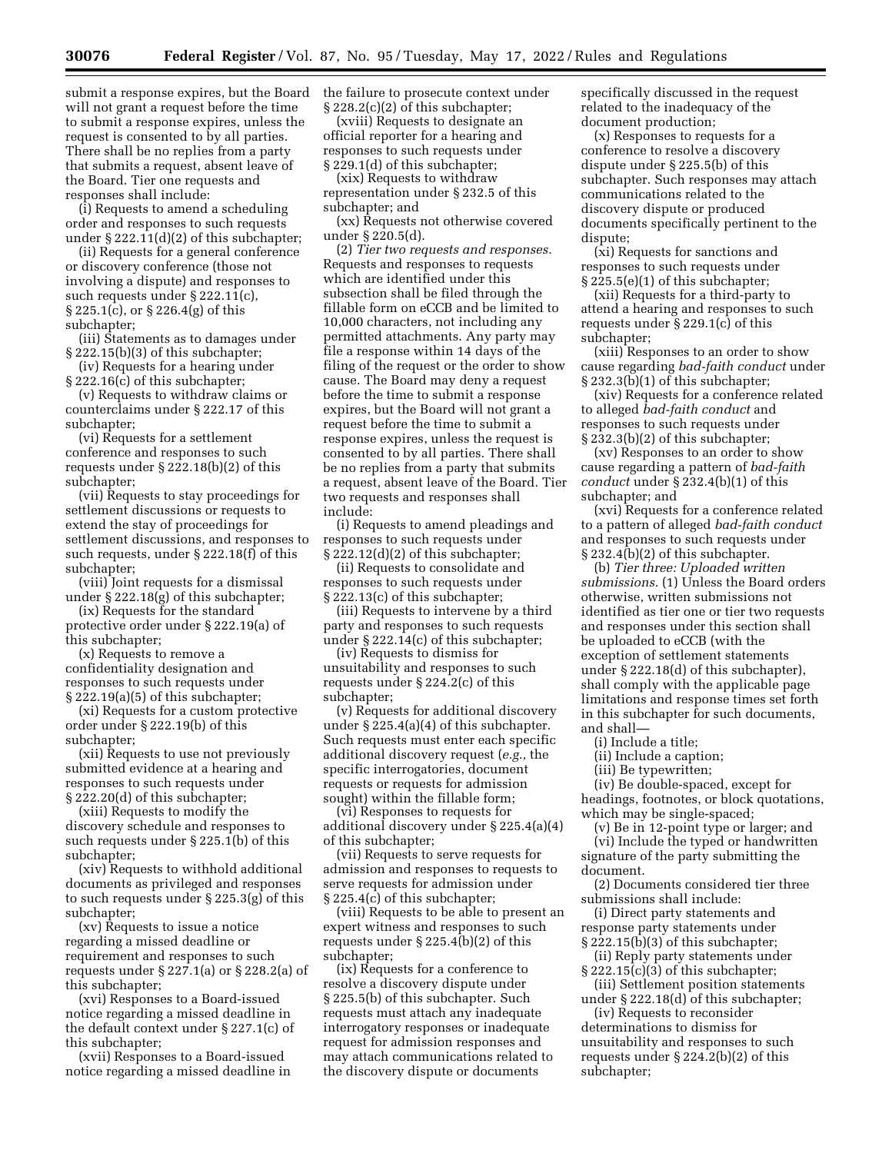submit a response expires, but the Board will not grant a request before the time to submit a response expires, unless the request is consented to by all parties. There shall be no replies from a party that submits a request, absent leave of the Board. Tier one requests and responses shall include:

(i) Requests to amend a scheduling order and responses to such requests under § 222.11(d)(2) of this subchapter;

(ii) Requests for a general conference or discovery conference (those not involving a dispute) and responses to such requests under § 222.11(c), § 225.1(c), or § 226.4(g) of this subchapter;

(iii) Statements as to damages under § 222.15(b)(3) of this subchapter;

(iv) Requests for a hearing under § 222.16(c) of this subchapter;

(v) Requests to withdraw claims or counterclaims under § 222.17 of this subchapter;

(vi) Requests for a settlement conference and responses to such requests under § 222.18(b)(2) of this subchapter;

(vii) Requests to stay proceedings for settlement discussions or requests to extend the stay of proceedings for settlement discussions, and responses to such requests, under § 222.18(f) of this subchapter;

(viii) Joint requests for a dismissal under § 222.18(g) of this subchapter;

(ix) Requests for the standard protective order under § 222.19(a) of this subchapter;

(x) Requests to remove a confidentiality designation and responses to such requests under § 222.19(a)(5) of this subchapter;

(xi) Requests for a custom protective order under § 222.19(b) of this subchapter;

(xii) Requests to use not previously submitted evidence at a hearing and responses to such requests under § 222.20(d) of this subchapter;

(xiii) Requests to modify the discovery schedule and responses to such requests under § 225.1(b) of this subchapter;

(xiv) Requests to withhold additional documents as privileged and responses to such requests under § 225.3(g) of this subchapter;

(xv) Requests to issue a notice regarding a missed deadline or requirement and responses to such requests under § 227.1(a) or § 228.2(a) of this subchapter;

(xvi) Responses to a Board-issued notice regarding a missed deadline in the default context under § 227.1(c) of this subchapter;

(xvii) Responses to a Board-issued notice regarding a missed deadline in the failure to prosecute context under § 228.2(c)(2) of this subchapter;

(xviii) Requests to designate an official reporter for a hearing and responses to such requests under § 229.1(d) of this subchapter;

(xix) Requests to withdraw representation under § 232.5 of this subchapter; and

(xx) Requests not otherwise covered under § 220.5(d).

(2) *Tier two requests and responses.*  Requests and responses to requests which are identified under this subsection shall be filed through the fillable form on eCCB and be limited to 10,000 characters, not including any permitted attachments. Any party may file a response within 14 days of the filing of the request or the order to show cause. The Board may deny a request before the time to submit a response expires, but the Board will not grant a request before the time to submit a response expires, unless the request is consented to by all parties. There shall be no replies from a party that submits a request, absent leave of the Board. Tier two requests and responses shall include:

(i) Requests to amend pleadings and responses to such requests under § 222.12(d)(2) of this subchapter;

(ii) Requests to consolidate and responses to such requests under § 222.13(c) of this subchapter;

(iii) Requests to intervene by a third party and responses to such requests under § 222.14(c) of this subchapter;

(iv) Requests to dismiss for unsuitability and responses to such requests under § 224.2(c) of this subchapter;

(v) Requests for additional discovery under § 225.4(a)(4) of this subchapter. Such requests must enter each specific additional discovery request (*e.g.,* the specific interrogatories, document requests or requests for admission sought) within the fillable form;

(vi) Responses to requests for additional discovery under § 225.4(a)(4) of this subchapter;

(vii) Requests to serve requests for admission and responses to requests to serve requests for admission under § 225.4(c) of this subchapter;

(viii) Requests to be able to present an expert witness and responses to such requests under § 225.4(b)(2) of this subchapter;

(ix) Requests for a conference to resolve a discovery dispute under § 225.5(b) of this subchapter. Such requests must attach any inadequate interrogatory responses or inadequate request for admission responses and may attach communications related to the discovery dispute or documents

specifically discussed in the request related to the inadequacy of the document production;

(x) Responses to requests for a conference to resolve a discovery dispute under § 225.5(b) of this subchapter. Such responses may attach communications related to the discovery dispute or produced documents specifically pertinent to the dispute;

(xi) Requests for sanctions and responses to such requests under § 225.5(e)(1) of this subchapter;

(xii) Requests for a third-party to attend a hearing and responses to such requests under § 229.1(c) of this subchapter;

(xiii) Responses to an order to show cause regarding *bad-faith conduct* under  $\S 232.3(b)(1)$  of this subchapter;

(xiv) Requests for a conference related to alleged *bad-faith conduct* and responses to such requests under § 232.3(b)(2) of this subchapter;

(xv) Responses to an order to show cause regarding a pattern of *bad-faith conduct* under § 232.4(b)(1) of this subchapter; and

(xvi) Requests for a conference related to a pattern of alleged *bad-faith conduct*  and responses to such requests under § 232.4(b)(2) of this subchapter.

(b) *Tier three: Uploaded written submissions.* (1) Unless the Board orders otherwise, written submissions not identified as tier one or tier two requests and responses under this section shall be uploaded to eCCB (with the exception of settlement statements under § 222.18(d) of this subchapter), shall comply with the applicable page limitations and response times set forth in this subchapter for such documents, and shall—

(i) Include a title;

(ii) Include a caption;

(iii) Be typewritten;

(iv) Be double-spaced, except for headings, footnotes, or block quotations, which may be single-spaced;

(v) Be in 12-point type or larger; and (vi) Include the typed or handwritten signature of the party submitting the document.

(2) Documents considered tier three submissions shall include:

(i) Direct party statements and response party statements under § 222.15(b)(3) of this subchapter;

(ii) Reply party statements under § 222.15(c)(3) of this subchapter;

(iii) Settlement position statements under § 222.18(d) of this subchapter;

(iv) Requests to reconsider determinations to dismiss for unsuitability and responses to such requests under § 224.2(b)(2) of this subchapter;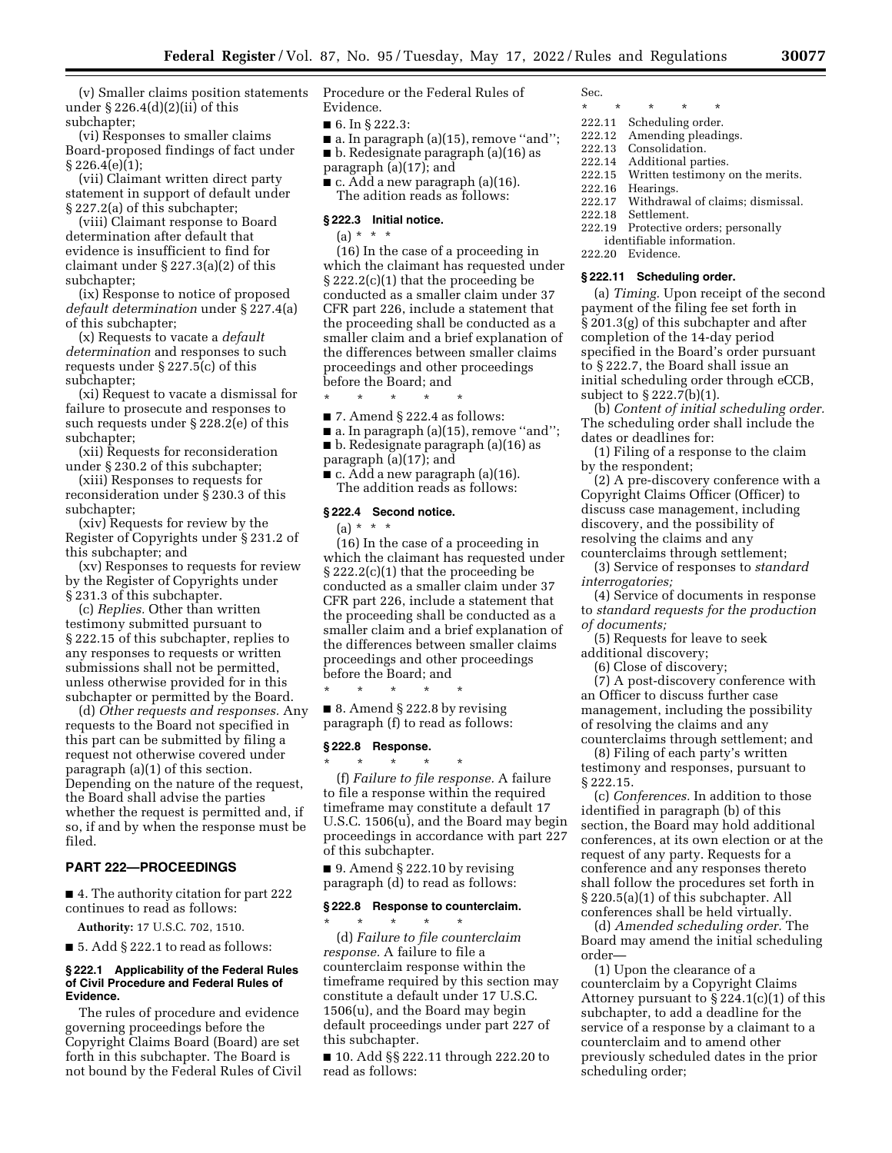(v) Smaller claims position statements under § 226.4(d)(2)(ii) of this subchapter;

(vi) Responses to smaller claims Board-proposed findings of fact under § 226.4(e)(1);

(vii) Claimant written direct party statement in support of default under § 227.2(a) of this subchapter;

(viii) Claimant response to Board determination after default that evidence is insufficient to find for claimant under § 227.3(a)(2) of this subchapter;

(ix) Response to notice of proposed *default determination* under § 227.4(a) of this subchapter;

(x) Requests to vacate a *default determination* and responses to such requests under § 227.5(c) of this subchapter;

(xi) Request to vacate a dismissal for failure to prosecute and responses to such requests under § 228.2(e) of this subchapter;

(xii) Requests for reconsideration under § 230.2 of this subchapter;

(xiii) Responses to requests for reconsideration under § 230.3 of this subchapter;

(xiv) Requests for review by the Register of Copyrights under § 231.2 of this subchapter; and

(xv) Responses to requests for review by the Register of Copyrights under § 231.3 of this subchapter.

(c) *Replies.* Other than written testimony submitted pursuant to § 222.15 of this subchapter, replies to any responses to requests or written submissions shall not be permitted, unless otherwise provided for in this subchapter or permitted by the Board.

(d) *Other requests and responses.* Any requests to the Board not specified in this part can be submitted by filing a request not otherwise covered under paragraph (a)(1) of this section. Depending on the nature of the request, the Board shall advise the parties whether the request is permitted and, if so, if and by when the response must be filed.

#### **PART 222—PROCEEDINGS**

■ 4. The authority citation for part 222 continues to read as follows:

**Authority:** 17 U.S.C. 702, 1510.

 $\blacksquare$  5. Add § 222.1 to read as follows:

#### **§ 222.1 Applicability of the Federal Rules of Civil Procedure and Federal Rules of Evidence.**

The rules of procedure and evidence governing proceedings before the Copyright Claims Board (Board) are set forth in this subchapter. The Board is not bound by the Federal Rules of Civil Procedure or the Federal Rules of Evidence.

- 6. In § 222.3:
- $\blacksquare$  a. In paragraph (a)(15), remove "and";
- b. Redesignate paragraph (a)(16) as
- paragraph (a)(17); and
- c. Add a new paragraph (a)(16).

The adition reads as follows:

# **§ 222.3 Initial notice.**

 $(a) * * * *$ 

(16) In the case of a proceeding in which the claimant has requested under § 222.2(c)(1) that the proceeding be conducted as a smaller claim under 37 CFR part 226, include a statement that the proceeding shall be conducted as a smaller claim and a brief explanation of the differences between smaller claims proceedings and other proceedings before the Board; and

■ 7. Amend § 222.4 as follows:

- a. In paragraph (a)(15), remove "and";
- b. Redesignate paragraph (a)(16) as
- paragraph (a)(17); and

\* \* \* \* \*

 $\blacksquare$  c. Add a new paragraph (a)(16). The addition reads as follows:

### **§ 222.4 Second notice.**

 $(a) * * * *$ 

(16) In the case of a proceeding in which the claimant has requested under § 222.2(c)(1) that the proceeding be conducted as a smaller claim under 37 CFR part 226, include a statement that the proceeding shall be conducted as a smaller claim and a brief explanation of the differences between smaller claims proceedings and other proceedings before the Board; and  $*$ 

■ 8. Amend § 222.8 by revising paragraph (f) to read as follows:

\* \* \* \* \*

# **§ 222.8 Response.**

\* \* \* \* \* (f) *Failure to file response.* A failure to file a response within the required timeframe may constitute a default 17 U.S.C. 1506(u), and the Board may begin proceedings in accordance with part 227 of this subchapter.

 $\blacksquare$  9. Amend § 222.10 by revising paragraph (d) to read as follows:

#### **§ 222.8 Response to counterclaim.**

\* \* \* \* \* (d) *Failure to file counterclaim response.* A failure to file a counterclaim response within the timeframe required by this section may constitute a default under 17 U.S.C. 1506(u), and the Board may begin default proceedings under part 227 of this subchapter.

■ 10. Add §§ 222.11 through 222.20 to read as follows:

Sec.

- 
- \* \* \* \* \* 222.11 Scheduling order.
- 222.12 Amending pleadings.
	-
- 222.13 Consolidation.<br>222.14 Additional par Additional parties.
- 222.15 Written testimony on the merits.
- 222.16 Hearings.
- 222.17 Withdrawal of claims; dismissal.
- Settlement.
- 222.19 Protective orders; personally
- identifiable information.
- 222.20 Evidence.

# **§ 222.11 Scheduling order.**

(a) *Timing.* Upon receipt of the second payment of the filing fee set forth in § 201.3(g) of this subchapter and after completion of the 14-day period specified in the Board's order pursuant to § 222.7, the Board shall issue an initial scheduling order through eCCB, subject to § 222.7(b)(1).

(b) *Content of initial scheduling order.*  The scheduling order shall include the dates or deadlines for:

(1) Filing of a response to the claim by the respondent;

(2) A pre-discovery conference with a Copyright Claims Officer (Officer) to discuss case management, including discovery, and the possibility of resolving the claims and any counterclaims through settlement;

(3) Service of responses to *standard interrogatories;* 

(4) Service of documents in response to *standard requests for the production of documents;* 

(5) Requests for leave to seek additional discovery;

(6) Close of discovery;

(7) A post-discovery conference with an Officer to discuss further case management, including the possibility of resolving the claims and any counterclaims through settlement; and

(8) Filing of each party's written testimony and responses, pursuant to § 222.15.

(c) *Conferences.* In addition to those identified in paragraph (b) of this section, the Board may hold additional conferences, at its own election or at the request of any party. Requests for a conference and any responses thereto shall follow the procedures set forth in § 220.5(a)(1) of this subchapter. All conferences shall be held virtually.

(d) *Amended scheduling order.* The Board may amend the initial scheduling order—

(1) Upon the clearance of a counterclaim by a Copyright Claims Attorney pursuant to § 224.1(c)(1) of this subchapter, to add a deadline for the service of a response by a claimant to a counterclaim and to amend other previously scheduled dates in the prior scheduling order;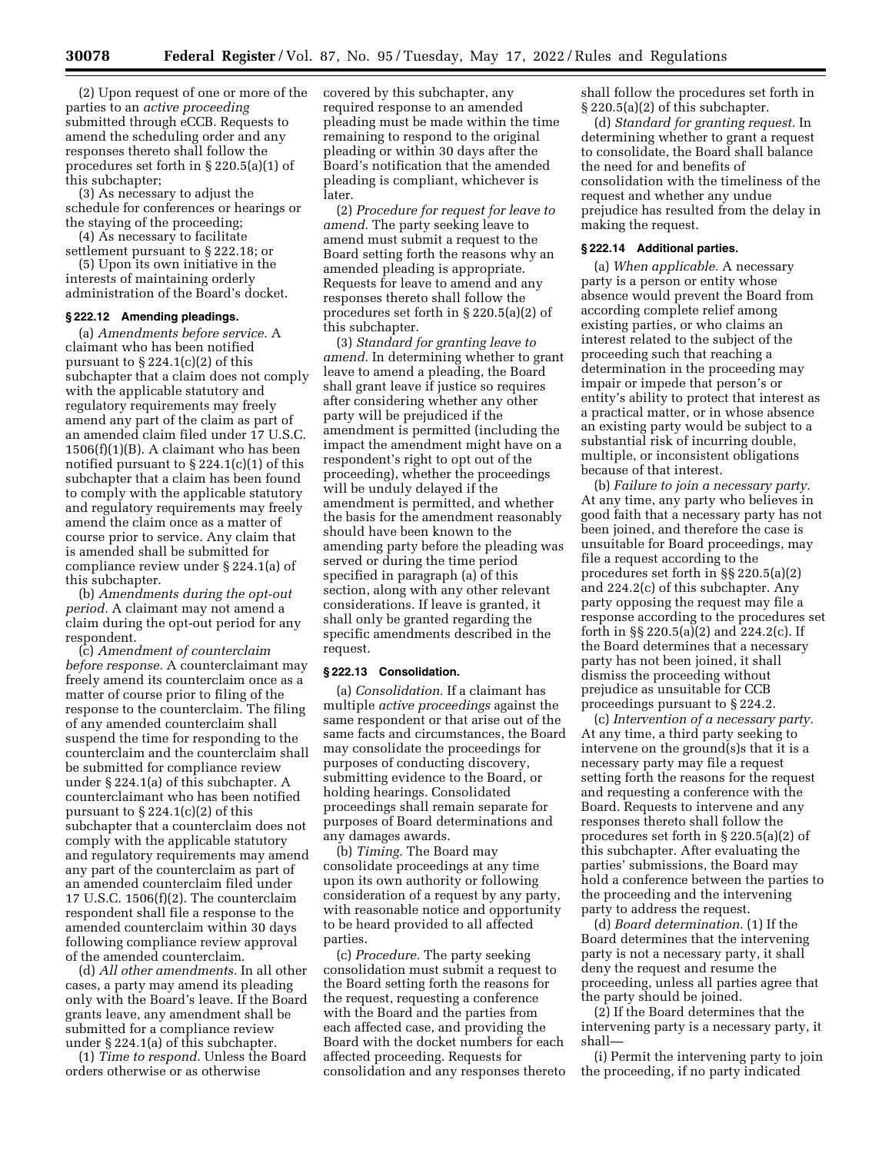(2) Upon request of one or more of the parties to an *active proceeding*  submitted through eCCB. Requests to amend the scheduling order and any responses thereto shall follow the procedures set forth in § 220.5(a)(1) of this subchapter;

(3) As necessary to adjust the schedule for conferences or hearings or the staying of the proceeding;

(4) As necessary to facilitate

settlement pursuant to § 222.18; or (5) Upon its own initiative in the interests of maintaining orderly administration of the Board's docket.

#### **§ 222.12 Amending pleadings.**

(a) *Amendments before service.* A claimant who has been notified pursuant to § 224.1(c)(2) of this subchapter that a claim does not comply with the applicable statutory and regulatory requirements may freely amend any part of the claim as part of an amended claim filed under 17 U.S.C.  $1506(f)(1)(B)$ . A claimant who has been notified pursuant to  $\S 224.1(c)(1)$  of this subchapter that a claim has been found to comply with the applicable statutory and regulatory requirements may freely amend the claim once as a matter of course prior to service. Any claim that is amended shall be submitted for compliance review under § 224.1(a) of this subchapter.

(b) *Amendments during the opt-out period.* A claimant may not amend a claim during the opt-out period for any respondent.

(c) *Amendment of counterclaim before response.* A counterclaimant may freely amend its counterclaim once as a matter of course prior to filing of the response to the counterclaim. The filing of any amended counterclaim shall suspend the time for responding to the counterclaim and the counterclaim shall be submitted for compliance review under § 224.1(a) of this subchapter. A counterclaimant who has been notified pursuant to  $\S 224.1(c)(2)$  of this subchapter that a counterclaim does not comply with the applicable statutory and regulatory requirements may amend any part of the counterclaim as part of an amended counterclaim filed under 17 U.S.C. 1506(f)(2). The counterclaim respondent shall file a response to the amended counterclaim within 30 days following compliance review approval of the amended counterclaim.

(d) *All other amendments.* In all other cases, a party may amend its pleading only with the Board's leave. If the Board grants leave, any amendment shall be submitted for a compliance review under § 224.1(a) of this subchapter.

(1) *Time to respond.* Unless the Board orders otherwise or as otherwise

covered by this subchapter, any required response to an amended pleading must be made within the time remaining to respond to the original pleading or within 30 days after the Board's notification that the amended pleading is compliant, whichever is later.

(2) *Procedure for request for leave to amend.* The party seeking leave to amend must submit a request to the Board setting forth the reasons why an amended pleading is appropriate. Requests for leave to amend and any responses thereto shall follow the procedures set forth in § 220.5(a)(2) of this subchapter.

(3) *Standard for granting leave to amend.* In determining whether to grant leave to amend a pleading, the Board shall grant leave if justice so requires after considering whether any other party will be prejudiced if the amendment is permitted (including the impact the amendment might have on a respondent's right to opt out of the proceeding), whether the proceedings will be unduly delayed if the amendment is permitted, and whether the basis for the amendment reasonably should have been known to the amending party before the pleading was served or during the time period specified in paragraph (a) of this section, along with any other relevant considerations. If leave is granted, it shall only be granted regarding the specific amendments described in the request.

#### **§ 222.13 Consolidation.**

(a) *Consolidation.* If a claimant has multiple *active proceedings* against the same respondent or that arise out of the same facts and circumstances, the Board may consolidate the proceedings for purposes of conducting discovery, submitting evidence to the Board, or holding hearings. Consolidated proceedings shall remain separate for purposes of Board determinations and any damages awards.

(b) *Timing.* The Board may consolidate proceedings at any time upon its own authority or following consideration of a request by any party, with reasonable notice and opportunity to be heard provided to all affected parties.

(c) *Procedure.* The party seeking consolidation must submit a request to the Board setting forth the reasons for the request, requesting a conference with the Board and the parties from each affected case, and providing the Board with the docket numbers for each affected proceeding. Requests for consolidation and any responses thereto shall follow the procedures set forth in § 220.5(a)(2) of this subchapter.

(d) *Standard for granting request.* In determining whether to grant a request to consolidate, the Board shall balance the need for and benefits of consolidation with the timeliness of the request and whether any undue prejudice has resulted from the delay in making the request.

#### **§ 222.14 Additional parties.**

(a) *When applicable.* A necessary party is a person or entity whose absence would prevent the Board from according complete relief among existing parties, or who claims an interest related to the subject of the proceeding such that reaching a determination in the proceeding may impair or impede that person's or entity's ability to protect that interest as a practical matter, or in whose absence an existing party would be subject to a substantial risk of incurring double, multiple, or inconsistent obligations because of that interest.

(b) *Failure to join a necessary party.*  At any time, any party who believes in good faith that a necessary party has not been joined, and therefore the case is unsuitable for Board proceedings, may file a request according to the procedures set forth in §§ 220.5(a)(2) and 224.2(c) of this subchapter. Any party opposing the request may file a response according to the procedures set forth in §§ 220.5(a)(2) and 224.2(c). If the Board determines that a necessary party has not been joined, it shall dismiss the proceeding without prejudice as unsuitable for CCB proceedings pursuant to § 224.2.

(c) *Intervention of a necessary party.*  At any time, a third party seeking to intervene on the ground(s)s that it is a necessary party may file a request setting forth the reasons for the request and requesting a conference with the Board. Requests to intervene and any responses thereto shall follow the procedures set forth in § 220.5(a)(2) of this subchapter. After evaluating the parties' submissions, the Board may hold a conference between the parties to the proceeding and the intervening party to address the request.

(d) *Board determination.* (1) If the Board determines that the intervening party is not a necessary party, it shall deny the request and resume the proceeding, unless all parties agree that the party should be joined.

(2) If the Board determines that the intervening party is a necessary party, it shall—

(i) Permit the intervening party to join the proceeding, if no party indicated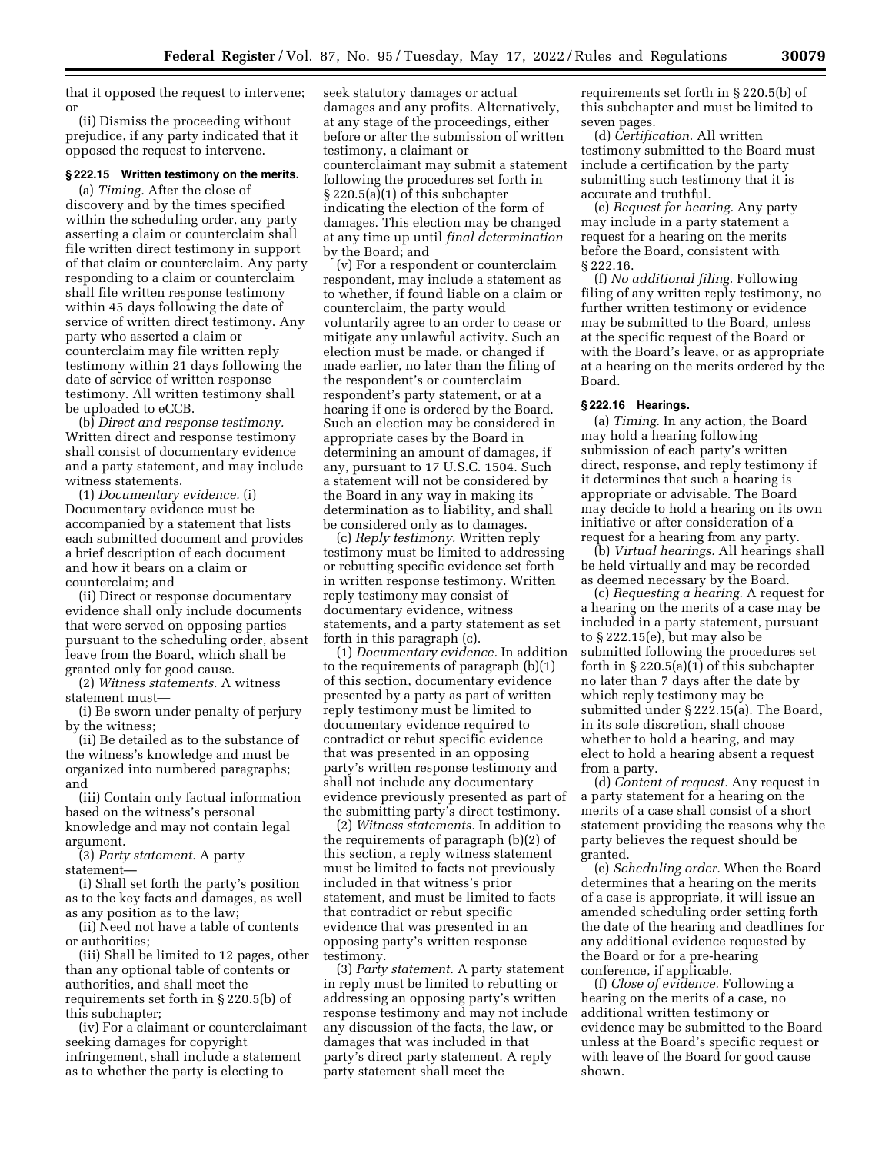that it opposed the request to intervene; or

(ii) Dismiss the proceeding without prejudice, if any party indicated that it opposed the request to intervene.

# **§ 222.15 Written testimony on the merits.**

(a) *Timing.* After the close of discovery and by the times specified within the scheduling order, any party asserting a claim or counterclaim shall file written direct testimony in support of that claim or counterclaim. Any party responding to a claim or counterclaim shall file written response testimony within 45 days following the date of service of written direct testimony. Any party who asserted a claim or counterclaim may file written reply testimony within 21 days following the date of service of written response testimony. All written testimony shall be uploaded to eCCB.

(b) *Direct and response testimony.*  Written direct and response testimony shall consist of documentary evidence and a party statement, and may include witness statements.

(1) *Documentary evidence.* (i) Documentary evidence must be accompanied by a statement that lists each submitted document and provides a brief description of each document and how it bears on a claim or counterclaim; and

(ii) Direct or response documentary evidence shall only include documents that were served on opposing parties pursuant to the scheduling order, absent leave from the Board, which shall be granted only for good cause.

(2) *Witness statements.* A witness statement must—

(i) Be sworn under penalty of perjury by the witness;

(ii) Be detailed as to the substance of the witness's knowledge and must be organized into numbered paragraphs; and

(iii) Contain only factual information based on the witness's personal knowledge and may not contain legal argument.

(3) *Party statement.* A party statement—

(i) Shall set forth the party's position as to the key facts and damages, as well as any position as to the law;

(ii) Need not have a table of contents or authorities;

(iii) Shall be limited to 12 pages, other than any optional table of contents or authorities, and shall meet the requirements set forth in § 220.5(b) of this subchapter;

(iv) For a claimant or counterclaimant seeking damages for copyright infringement, shall include a statement as to whether the party is electing to

seek statutory damages or actual damages and any profits. Alternatively, at any stage of the proceedings, either before or after the submission of written testimony, a claimant or counterclaimant may submit a statement following the procedures set forth in § 220.5(a)(1) of this subchapter indicating the election of the form of damages. This election may be changed at any time up until *final determination*  by the Board; and

(v) For a respondent or counterclaim respondent, may include a statement as to whether, if found liable on a claim or counterclaim, the party would voluntarily agree to an order to cease or mitigate any unlawful activity. Such an election must be made, or changed if made earlier, no later than the filing of the respondent's or counterclaim respondent's party statement, or at a hearing if one is ordered by the Board. Such an election may be considered in appropriate cases by the Board in determining an amount of damages, if any, pursuant to 17 U.S.C. 1504. Such a statement will not be considered by the Board in any way in making its determination as to liability, and shall be considered only as to damages.

(c) *Reply testimony.* Written reply testimony must be limited to addressing or rebutting specific evidence set forth in written response testimony. Written reply testimony may consist of documentary evidence, witness statements, and a party statement as set forth in this paragraph (c).

(1) *Documentary evidence.* In addition to the requirements of paragraph (b)(1) of this section, documentary evidence presented by a party as part of written reply testimony must be limited to documentary evidence required to contradict or rebut specific evidence that was presented in an opposing party's written response testimony and shall not include any documentary evidence previously presented as part of the submitting party's direct testimony.

(2) *Witness statements.* In addition to the requirements of paragraph (b)(2) of this section, a reply witness statement must be limited to facts not previously included in that witness's prior statement, and must be limited to facts that contradict or rebut specific evidence that was presented in an opposing party's written response testimony.

(3) *Party statement.* A party statement in reply must be limited to rebutting or addressing an opposing party's written response testimony and may not include any discussion of the facts, the law, or damages that was included in that party's direct party statement. A reply party statement shall meet the

requirements set forth in § 220.5(b) of this subchapter and must be limited to seven pages.

(d) *Certification.* All written testimony submitted to the Board must include a certification by the party submitting such testimony that it is accurate and truthful.

(e) *Request for hearing.* Any party may include in a party statement a request for a hearing on the merits before the Board, consistent with § 222.16.

(f) *No additional filing.* Following filing of any written reply testimony, no further written testimony or evidence may be submitted to the Board, unless at the specific request of the Board or with the Board's leave, or as appropriate at a hearing on the merits ordered by the Board.

# **§ 222.16 Hearings.**

(a) *Timing.* In any action, the Board may hold a hearing following submission of each party's written direct, response, and reply testimony if it determines that such a hearing is appropriate or advisable. The Board may decide to hold a hearing on its own initiative or after consideration of a request for a hearing from any party.

(b) *Virtual hearings.* All hearings shall be held virtually and may be recorded as deemed necessary by the Board.

(c) *Requesting a hearing.* A request for a hearing on the merits of a case may be included in a party statement, pursuant to § 222.15(e), but may also be submitted following the procedures set forth in § 220.5(a)(1) of this subchapter no later than 7 days after the date by which reply testimony may be submitted under § 222.15(a). The Board, in its sole discretion, shall choose whether to hold a hearing, and may elect to hold a hearing absent a request from a party.

(d) *Content of request.* Any request in a party statement for a hearing on the merits of a case shall consist of a short statement providing the reasons why the party believes the request should be granted.

(e) *Scheduling order.* When the Board determines that a hearing on the merits of a case is appropriate, it will issue an amended scheduling order setting forth the date of the hearing and deadlines for any additional evidence requested by the Board or for a pre-hearing conference, if applicable.

(f) *Close of evidence.* Following a hearing on the merits of a case, no additional written testimony or evidence may be submitted to the Board unless at the Board's specific request or with leave of the Board for good cause shown.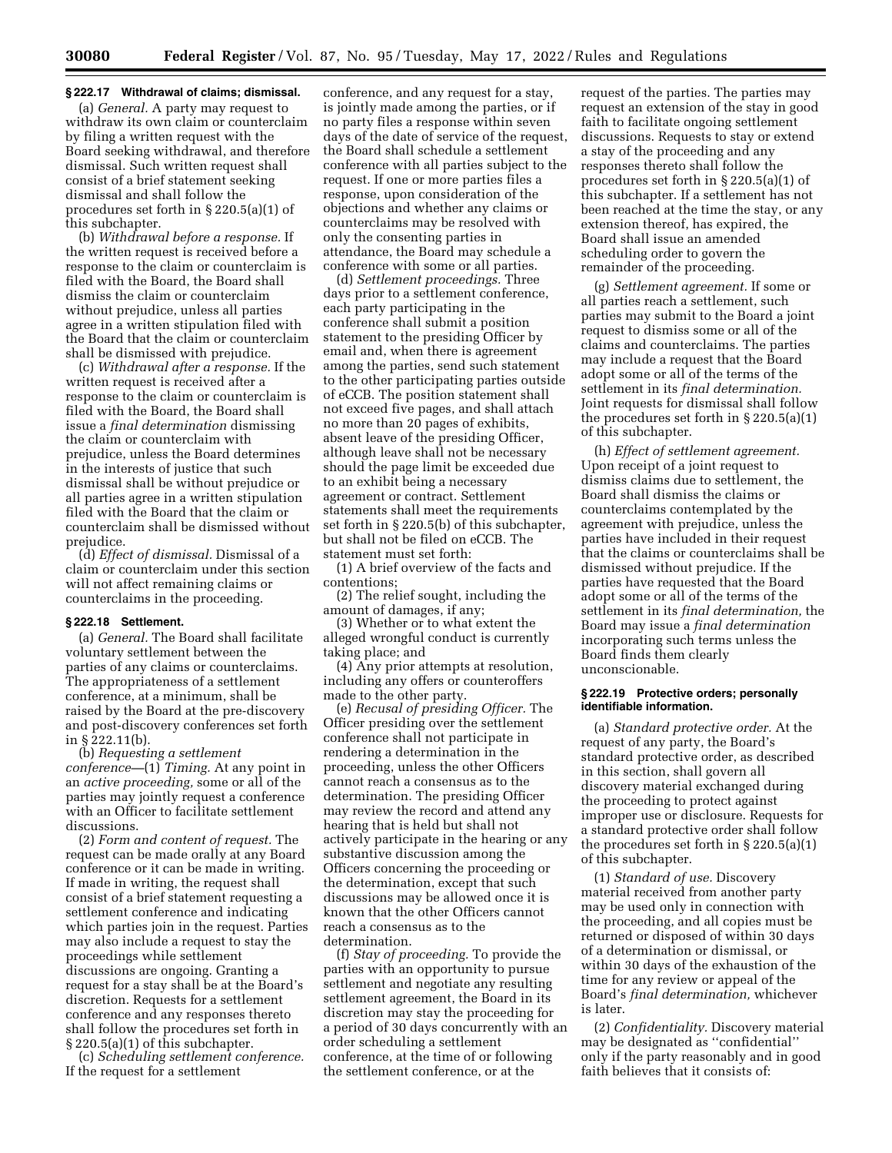### **§ 222.17 Withdrawal of claims; dismissal.**

(a) *General.* A party may request to withdraw its own claim or counterclaim by filing a written request with the Board seeking withdrawal, and therefore dismissal. Such written request shall consist of a brief statement seeking dismissal and shall follow the procedures set forth in § 220.5(a)(1) of this subchapter.

(b) *Withdrawal before a response.* If the written request is received before a response to the claim or counterclaim is filed with the Board, the Board shall dismiss the claim or counterclaim without prejudice, unless all parties agree in a written stipulation filed with the Board that the claim or counterclaim shall be dismissed with prejudice.

(c) *Withdrawal after a response.* If the written request is received after a response to the claim or counterclaim is filed with the Board, the Board shall issue a *final determination* dismissing the claim or counterclaim with prejudice, unless the Board determines in the interests of justice that such dismissal shall be without prejudice or all parties agree in a written stipulation filed with the Board that the claim or counterclaim shall be dismissed without prejudice.

(d) *Effect of dismissal.* Dismissal of a claim or counterclaim under this section will not affect remaining claims or counterclaims in the proceeding.

### **§ 222.18 Settlement.**

(a) *General.* The Board shall facilitate voluntary settlement between the parties of any claims or counterclaims. The appropriateness of a settlement conference, at a minimum, shall be raised by the Board at the pre-discovery and post-discovery conferences set forth in § 222.11(b).

(b) *Requesting a settlement conference—*(1) *Timing.* At any point in an *active proceeding,* some or all of the parties may jointly request a conference with an Officer to facilitate settlement discussions.

(2) *Form and content of request.* The request can be made orally at any Board conference or it can be made in writing. If made in writing, the request shall consist of a brief statement requesting a settlement conference and indicating which parties join in the request. Parties may also include a request to stay the proceedings while settlement discussions are ongoing. Granting a request for a stay shall be at the Board's discretion. Requests for a settlement conference and any responses thereto shall follow the procedures set forth in § 220.5(a)(1) of this subchapter.

(c) *Scheduling settlement conference.*  If the request for a settlement

conference, and any request for a stay, is jointly made among the parties, or if no party files a response within seven days of the date of service of the request, the Board shall schedule a settlement conference with all parties subject to the request. If one or more parties files a response, upon consideration of the objections and whether any claims or counterclaims may be resolved with only the consenting parties in attendance, the Board may schedule a conference with some or all parties.

(d) *Settlement proceedings.* Three days prior to a settlement conference, each party participating in the conference shall submit a position statement to the presiding Officer by email and, when there is agreement among the parties, send such statement to the other participating parties outside of eCCB. The position statement shall not exceed five pages, and shall attach no more than 20 pages of exhibits, absent leave of the presiding Officer, although leave shall not be necessary should the page limit be exceeded due to an exhibit being a necessary agreement or contract. Settlement statements shall meet the requirements set forth in § 220.5(b) of this subchapter, but shall not be filed on eCCB. The statement must set forth:

(1) A brief overview of the facts and contentions;

(2) The relief sought, including the amount of damages, if any;

(3) Whether or to what extent the alleged wrongful conduct is currently taking place; and

(4) Any prior attempts at resolution, including any offers or counteroffers made to the other party.

(e) *Recusal of presiding Officer.* The Officer presiding over the settlement conference shall not participate in rendering a determination in the proceeding, unless the other Officers cannot reach a consensus as to the determination. The presiding Officer may review the record and attend any hearing that is held but shall not actively participate in the hearing or any substantive discussion among the Officers concerning the proceeding or the determination, except that such discussions may be allowed once it is known that the other Officers cannot reach a consensus as to the determination.

(f) *Stay of proceeding.* To provide the parties with an opportunity to pursue settlement and negotiate any resulting settlement agreement, the Board in its discretion may stay the proceeding for a period of 30 days concurrently with an order scheduling a settlement conference, at the time of or following the settlement conference, or at the

request of the parties. The parties may request an extension of the stay in good faith to facilitate ongoing settlement discussions. Requests to stay or extend a stay of the proceeding and any responses thereto shall follow the procedures set forth in § 220.5(a)(1) of this subchapter. If a settlement has not been reached at the time the stay, or any extension thereof, has expired, the Board shall issue an amended scheduling order to govern the remainder of the proceeding.

(g) *Settlement agreement.* If some or all parties reach a settlement, such parties may submit to the Board a joint request to dismiss some or all of the claims and counterclaims. The parties may include a request that the Board adopt some or all of the terms of the settlement in its *final determination.*  Joint requests for dismissal shall follow the procedures set forth in § 220.5(a)(1) of this subchapter.

(h) *Effect of settlement agreement.*  Upon receipt of a joint request to dismiss claims due to settlement, the Board shall dismiss the claims or counterclaims contemplated by the agreement with prejudice, unless the parties have included in their request that the claims or counterclaims shall be dismissed without prejudice. If the parties have requested that the Board adopt some or all of the terms of the settlement in its *final determination,* the Board may issue a *final determination*  incorporating such terms unless the Board finds them clearly unconscionable.

### **§ 222.19 Protective orders; personally identifiable information.**

(a) *Standard protective order.* At the request of any party, the Board's standard protective order, as described in this section, shall govern all discovery material exchanged during the proceeding to protect against improper use or disclosure. Requests for a standard protective order shall follow the procedures set forth in § 220.5(a)(1) of this subchapter.

(1) *Standard of use.* Discovery material received from another party may be used only in connection with the proceeding, and all copies must be returned or disposed of within 30 days of a determination or dismissal, or within 30 days of the exhaustion of the time for any review or appeal of the Board's *final determination,* whichever is later.

(2) *Confidentiality.* Discovery material may be designated as ''confidential'' only if the party reasonably and in good faith believes that it consists of: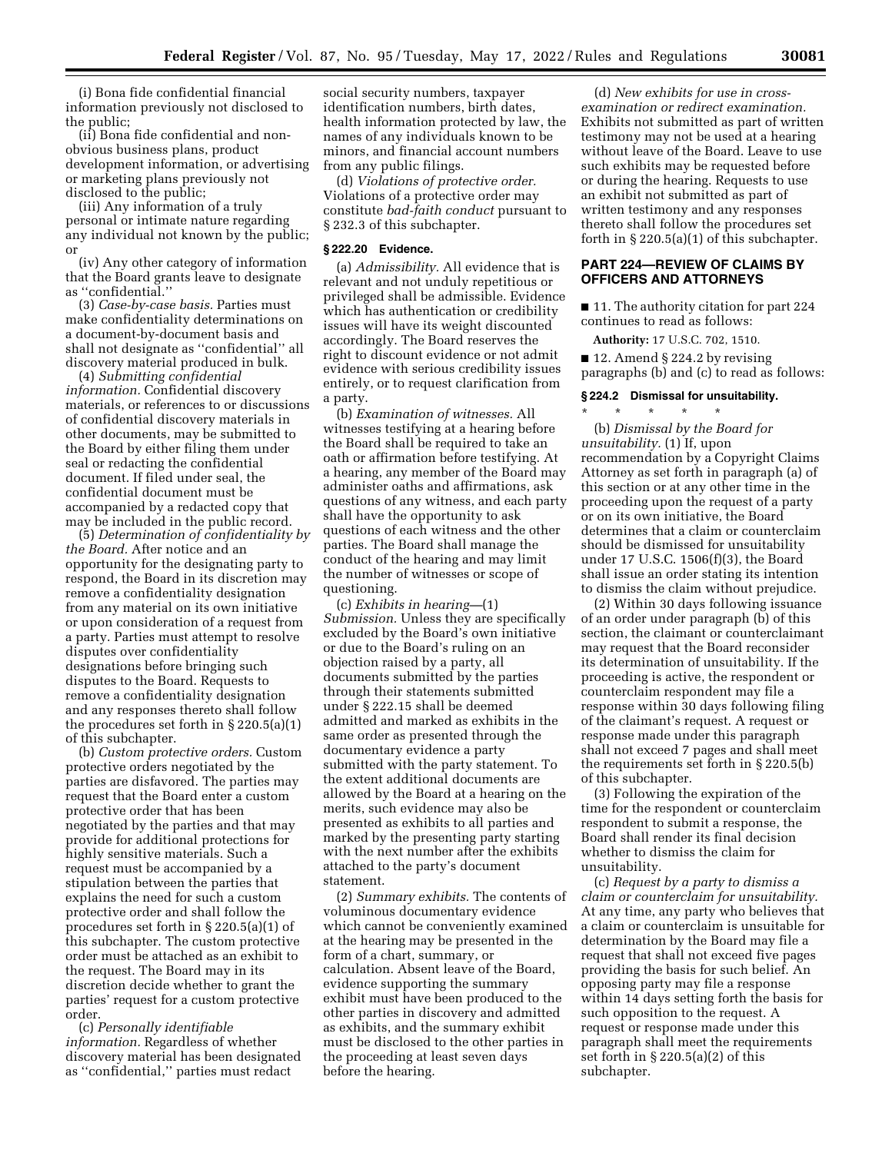(i) Bona fide confidential financial information previously not disclosed to the public;

(ii) Bona fide confidential and nonobvious business plans, product development information, or advertising or marketing plans previously not disclosed to the public;

(iii) Any information of a truly personal or intimate nature regarding any individual not known by the public; or

(iv) Any other category of information that the Board grants leave to designate as ''confidential.''

(3) *Case-by-case basis.* Parties must make confidentiality determinations on a document-by-document basis and shall not designate as ''confidential'' all discovery material produced in bulk.

(4) *Submitting confidential information.* Confidential discovery materials, or references to or discussions of confidential discovery materials in other documents, may be submitted to the Board by either filing them under seal or redacting the confidential document. If filed under seal, the confidential document must be accompanied by a redacted copy that may be included in the public record.

(5) *Determination of confidentiality by the Board.* After notice and an opportunity for the designating party to respond, the Board in its discretion may remove a confidentiality designation from any material on its own initiative or upon consideration of a request from a party. Parties must attempt to resolve disputes over confidentiality designations before bringing such disputes to the Board. Requests to remove a confidentiality designation and any responses thereto shall follow the procedures set forth in § 220.5(a)(1) of this subchapter.

(b) *Custom protective orders.* Custom protective orders negotiated by the parties are disfavored. The parties may request that the Board enter a custom protective order that has been negotiated by the parties and that may provide for additional protections for highly sensitive materials. Such a request must be accompanied by a stipulation between the parties that explains the need for such a custom protective order and shall follow the procedures set forth in § 220.5(a)(1) of this subchapter. The custom protective order must be attached as an exhibit to the request. The Board may in its discretion decide whether to grant the parties' request for a custom protective order.

(c) *Personally identifiable information.* Regardless of whether discovery material has been designated as ''confidential,'' parties must redact

social security numbers, taxpayer identification numbers, birth dates, health information protected by law, the names of any individuals known to be minors, and financial account numbers from any public filings.

(d) *Violations of protective order.*  Violations of a protective order may constitute *bad-faith conduct* pursuant to § 232.3 of this subchapter.

### **§ 222.20 Evidence.**

(a) *Admissibility.* All evidence that is relevant and not unduly repetitious or privileged shall be admissible. Evidence which has authentication or credibility issues will have its weight discounted accordingly. The Board reserves the right to discount evidence or not admit evidence with serious credibility issues entirely, or to request clarification from a party.

(b) *Examination of witnesses.* All witnesses testifying at a hearing before the Board shall be required to take an oath or affirmation before testifying. At a hearing, any member of the Board may administer oaths and affirmations, ask questions of any witness, and each party shall have the opportunity to ask questions of each witness and the other parties. The Board shall manage the conduct of the hearing and may limit the number of witnesses or scope of questioning.

(c) *Exhibits in hearing—*(1) *Submission.* Unless they are specifically excluded by the Board's own initiative or due to the Board's ruling on an objection raised by a party, all documents submitted by the parties through their statements submitted under § 222.15 shall be deemed admitted and marked as exhibits in the same order as presented through the documentary evidence a party submitted with the party statement. To the extent additional documents are allowed by the Board at a hearing on the merits, such evidence may also be presented as exhibits to all parties and marked by the presenting party starting with the next number after the exhibits attached to the party's document statement.

(2) *Summary exhibits.* The contents of voluminous documentary evidence which cannot be conveniently examined at the hearing may be presented in the form of a chart, summary, or calculation. Absent leave of the Board, evidence supporting the summary exhibit must have been produced to the other parties in discovery and admitted as exhibits, and the summary exhibit must be disclosed to the other parties in the proceeding at least seven days before the hearing.

(d) *New exhibits for use in crossexamination or redirect examination.*  Exhibits not submitted as part of written testimony may not be used at a hearing without leave of the Board. Leave to use such exhibits may be requested before or during the hearing. Requests to use an exhibit not submitted as part of written testimony and any responses thereto shall follow the procedures set forth in § 220.5(a)(1) of this subchapter.

### **PART 224—REVIEW OF CLAIMS BY OFFICERS AND ATTORNEYS**

■ 11. The authority citation for part 224 continues to read as follows:

**Authority:** 17 U.S.C. 702, 1510.

■ 12. Amend § 224.2 by revising paragraphs (b) and (c) to read as follows:

### **§ 224.2 Dismissal for unsuitability.**

\* \* \* \* \*

(b) *Dismissal by the Board for unsuitability.* (1) If, upon recommendation by a Copyright Claims Attorney as set forth in paragraph (a) of this section or at any other time in the proceeding upon the request of a party or on its own initiative, the Board determines that a claim or counterclaim should be dismissed for unsuitability under 17 U.S.C. 1506(f)(3), the Board shall issue an order stating its intention to dismiss the claim without prejudice.

(2) Within 30 days following issuance of an order under paragraph (b) of this section, the claimant or counterclaimant may request that the Board reconsider its determination of unsuitability. If the proceeding is active, the respondent or counterclaim respondent may file a response within 30 days following filing of the claimant's request. A request or response made under this paragraph shall not exceed 7 pages and shall meet the requirements set forth in § 220.5(b) of this subchapter.

(3) Following the expiration of the time for the respondent or counterclaim respondent to submit a response, the Board shall render its final decision whether to dismiss the claim for unsuitability.

(c) *Request by a party to dismiss a claim or counterclaim for unsuitability.*  At any time, any party who believes that a claim or counterclaim is unsuitable for determination by the Board may file a request that shall not exceed five pages providing the basis for such belief. An opposing party may file a response within 14 days setting forth the basis for such opposition to the request. A request or response made under this paragraph shall meet the requirements set forth in § 220.5(a)(2) of this subchapter.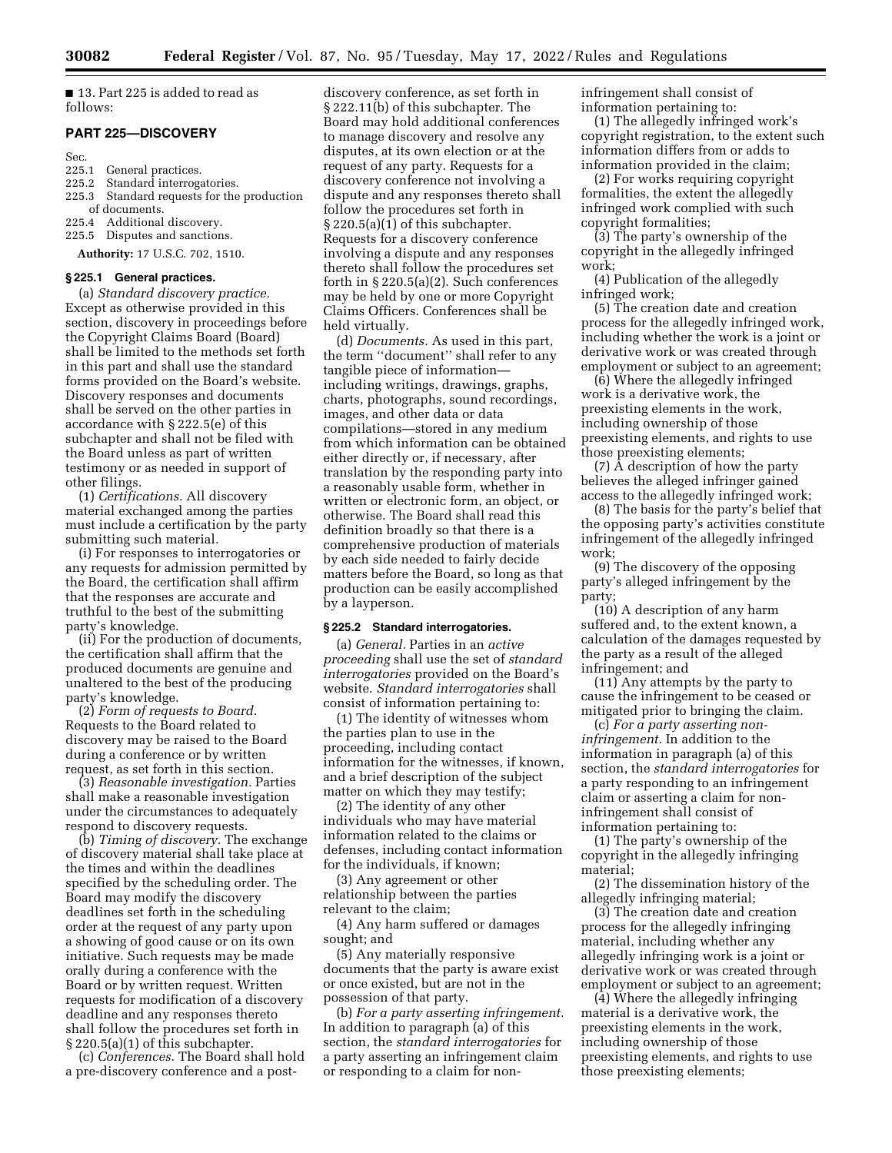■ 13. Part 225 is added to read as follows:

#### **PART 225—DISCOVERY**

Sec.

- 225.1 General practices.<br>225.2 Standard interroga
- 225.2 Standard interrogatories.<br>225.3 Standard requests for the
- Standard requests for the production of documents.<br>225.4 Additional
- Additional discovery.
- 225.5 Disputes and sanctions.

**Authority:** 17 U.S.C. 702, 1510.

### **§ 225.1 General practices.**

(a) *Standard discovery practice.*  Except as otherwise provided in this section, discovery in proceedings before the Copyright Claims Board (Board) shall be limited to the methods set forth in this part and shall use the standard forms provided on the Board's website. Discovery responses and documents shall be served on the other parties in accordance with § 222.5(e) of this subchapter and shall not be filed with the Board unless as part of written testimony or as needed in support of other filings.

(1) *Certifications.* All discovery material exchanged among the parties must include a certification by the party submitting such material.

(i) For responses to interrogatories or any requests for admission permitted by the Board, the certification shall affirm that the responses are accurate and truthful to the best of the submitting party's knowledge.

(ii) For the production of documents, the certification shall affirm that the produced documents are genuine and unaltered to the best of the producing party's knowledge.

(2) *Form of requests to Board.*  Requests to the Board related to discovery may be raised to the Board during a conference or by written request, as set forth in this section.

(3) *Reasonable investigation.* Parties shall make a reasonable investigation under the circumstances to adequately respond to discovery requests.

(b) *Timing of discovery.* The exchange of discovery material shall take place at the times and within the deadlines specified by the scheduling order. The Board may modify the discovery deadlines set forth in the scheduling order at the request of any party upon a showing of good cause or on its own initiative. Such requests may be made orally during a conference with the Board or by written request. Written requests for modification of a discovery deadline and any responses thereto shall follow the procedures set forth in § 220.5(a)(1) of this subchapter.

(c) *Conferences.* The Board shall hold a pre-discovery conference and a post-

discovery conference, as set forth in § 222.11(b) of this subchapter. The Board may hold additional conferences to manage discovery and resolve any disputes, at its own election or at the request of any party. Requests for a discovery conference not involving a dispute and any responses thereto shall follow the procedures set forth in § 220.5(a)(1) of this subchapter. Requests for a discovery conference involving a dispute and any responses thereto shall follow the procedures set forth in § 220.5(a)(2). Such conferences may be held by one or more Copyright Claims Officers. Conferences shall be held virtually.

(d) *Documents.* As used in this part, the term ''document'' shall refer to any tangible piece of information including writings, drawings, graphs, charts, photographs, sound recordings, images, and other data or data compilations—stored in any medium from which information can be obtained either directly or, if necessary, after translation by the responding party into a reasonably usable form, whether in written or electronic form, an object, or otherwise. The Board shall read this definition broadly so that there is a comprehensive production of materials by each side needed to fairly decide matters before the Board, so long as that production can be easily accomplished by a layperson.

#### **§ 225.2 Standard interrogatories.**

(a) *General.* Parties in an *active proceeding* shall use the set of *standard interrogatories* provided on the Board's website. *Standard interrogatories* shall consist of information pertaining to:

(1) The identity of witnesses whom the parties plan to use in the proceeding, including contact information for the witnesses, if known, and a brief description of the subject matter on which they may testify;

(2) The identity of any other individuals who may have material information related to the claims or defenses, including contact information for the individuals, if known;

(3) Any agreement or other relationship between the parties relevant to the claim;

(4) Any harm suffered or damages sought; and

(5) Any materially responsive documents that the party is aware exist or once existed, but are not in the possession of that party.

(b) *For a party asserting infringement.*  In addition to paragraph (a) of this section, the *standard interrogatories* for a party asserting an infringement claim or responding to a claim for noninfringement shall consist of information pertaining to:

(1) The allegedly infringed work's copyright registration, to the extent such information differs from or adds to information provided in the claim;

(2) For works requiring copyright formalities, the extent the allegedly infringed work complied with such copyright formalities;

(3) The party's ownership of the copyright in the allegedly infringed work;

(4) Publication of the allegedly infringed work;

(5) The creation date and creation process for the allegedly infringed work, including whether the work is a joint or derivative work or was created through employment or subject to an agreement;

(6) Where the allegedly infringed work is a derivative work, the preexisting elements in the work, including ownership of those preexisting elements, and rights to use those preexisting elements;

(7) A description of how the party believes the alleged infringer gained access to the allegedly infringed work;

(8) The basis for the party's belief that the opposing party's activities constitute infringement of the allegedly infringed work;

(9) The discovery of the opposing party's alleged infringement by the party;

(10) A description of any harm suffered and, to the extent known, a calculation of the damages requested by the party as a result of the alleged infringement; and

(11) Any attempts by the party to cause the infringement to be ceased or mitigated prior to bringing the claim.

(c) *For a party asserting noninfringement.* In addition to the information in paragraph (a) of this section, the *standard interrogatories* for a party responding to an infringement claim or asserting a claim for noninfringement shall consist of information pertaining to:

(1) The party's ownership of the copyright in the allegedly infringing material;

(2) The dissemination history of the allegedly infringing material;

(3) The creation date and creation process for the allegedly infringing material, including whether any allegedly infringing work is a joint or derivative work or was created through employment or subject to an agreement;

(4) Where the allegedly infringing material is a derivative work, the preexisting elements in the work, including ownership of those preexisting elements, and rights to use those preexisting elements;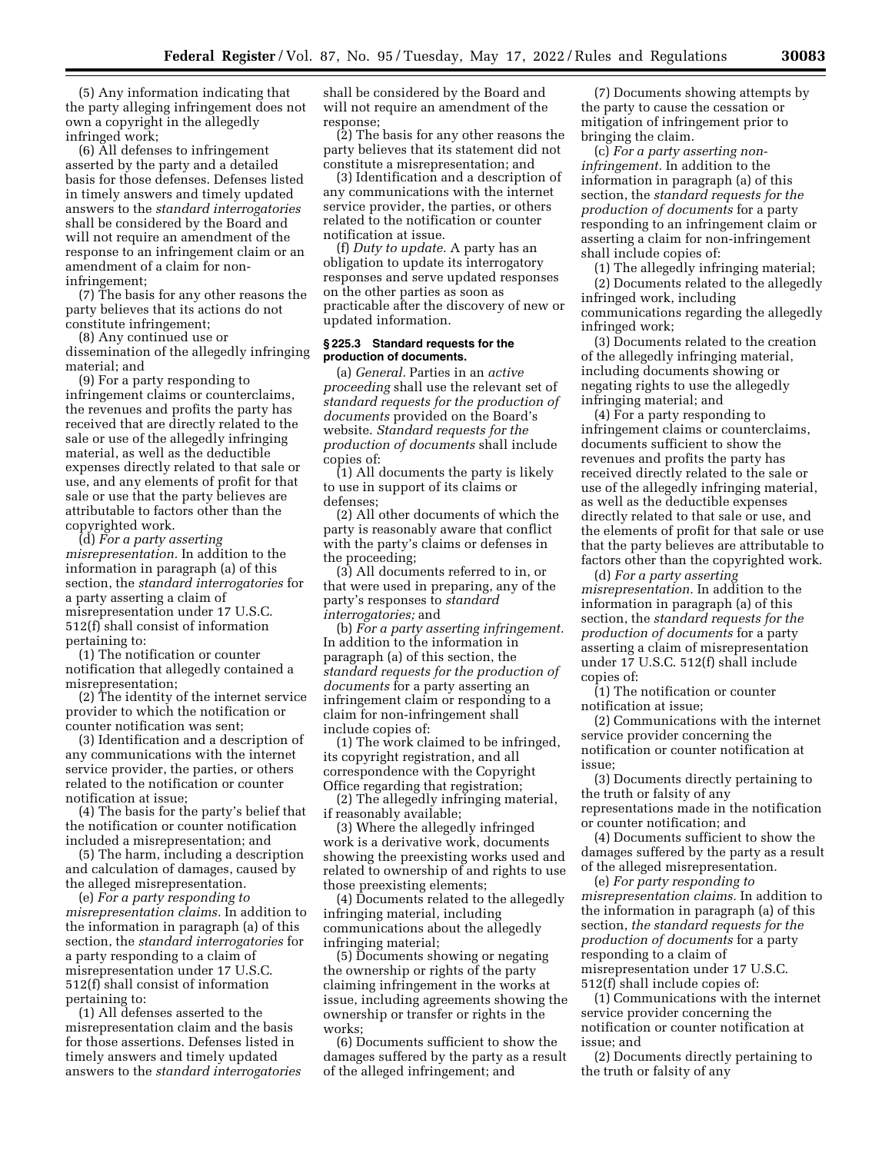(5) Any information indicating that the party alleging infringement does not own a copyright in the allegedly infringed work;

(6) All defenses to infringement asserted by the party and a detailed basis for those defenses. Defenses listed in timely answers and timely updated answers to the *standard interrogatories*  shall be considered by the Board and will not require an amendment of the response to an infringement claim or an amendment of a claim for noninfringement;

(7) The basis for any other reasons the party believes that its actions do not constitute infringement;

(8) Any continued use or

dissemination of the allegedly infringing material; and

(9) For a party responding to infringement claims or counterclaims, the revenues and profits the party has received that are directly related to the sale or use of the allegedly infringing material, as well as the deductible expenses directly related to that sale or use, and any elements of profit for that sale or use that the party believes are attributable to factors other than the copyrighted work.

(d) *For a party asserting misrepresentation.* In addition to the information in paragraph (a) of this section, the *standard interrogatories* for a party asserting a claim of misrepresentation under 17 U.S.C. 512(f) shall consist of information pertaining to:

(1) The notification or counter notification that allegedly contained a misrepresentation;

(2) The identity of the internet service provider to which the notification or counter notification was sent;

(3) Identification and a description of any communications with the internet service provider, the parties, or others related to the notification or counter notification at issue;

(4) The basis for the party's belief that the notification or counter notification included a misrepresentation; and

(5) The harm, including a description and calculation of damages, caused by the alleged misrepresentation.

(e) *For a party responding to misrepresentation claims.* In addition to the information in paragraph (a) of this section, the *standard interrogatories* for a party responding to a claim of misrepresentation under 17 U.S.C. 512(f) shall consist of information pertaining to:

(1) All defenses asserted to the misrepresentation claim and the basis for those assertions. Defenses listed in timely answers and timely updated answers to the *standard interrogatories*  shall be considered by the Board and will not require an amendment of the response;

(2) The basis for any other reasons the party believes that its statement did not constitute a misrepresentation; and

(3) Identification and a description of any communications with the internet service provider, the parties, or others related to the notification or counter notification at issue.

(f) *Duty to update.* A party has an obligation to update its interrogatory responses and serve updated responses on the other parties as soon as practicable after the discovery of new or updated information.

### **§ 225.3 Standard requests for the production of documents.**

(a) *General.* Parties in an *active proceeding* shall use the relevant set of *standard requests for the production of documents* provided on the Board's website. *Standard requests for the production of documents* shall include copies of:

(1) All documents the party is likely to use in support of its claims or defenses;

(2) All other documents of which the party is reasonably aware that conflict with the party's claims or defenses in the proceeding;

(3) All documents referred to in, or that were used in preparing, any of the party's responses to *standard interrogatories;* and

(b) *For a party asserting infringement.*  In addition to the information in paragraph (a) of this section, the *standard requests for the production of documents* for a party asserting an infringement claim or responding to a claim for non-infringement shall include copies of:

(1) The work claimed to be infringed, its copyright registration, and all correspondence with the Copyright Office regarding that registration;

(2) The allegedly infringing material, if reasonably available;

(3) Where the allegedly infringed work is a derivative work, documents showing the preexisting works used and related to ownership of and rights to use those preexisting elements;

(4) Documents related to the allegedly infringing material, including communications about the allegedly infringing material;

(5) Documents showing or negating the ownership or rights of the party claiming infringement in the works at issue, including agreements showing the ownership or transfer or rights in the works;

(6) Documents sufficient to show the damages suffered by the party as a result of the alleged infringement; and

(7) Documents showing attempts by the party to cause the cessation or mitigation of infringement prior to bringing the claim.

(c) *For a party asserting noninfringement.* In addition to the information in paragraph (a) of this section, the *standard requests for the production of documents* for a party responding to an infringement claim or asserting a claim for non-infringement shall include copies of:

(1) The allegedly infringing material;

(2) Documents related to the allegedly infringed work, including communications regarding the allegedly infringed work;

(3) Documents related to the creation of the allegedly infringing material, including documents showing or negating rights to use the allegedly infringing material; and

(4) For a party responding to infringement claims or counterclaims, documents sufficient to show the revenues and profits the party has received directly related to the sale or use of the allegedly infringing material, as well as the deductible expenses directly related to that sale or use, and the elements of profit for that sale or use that the party believes are attributable to factors other than the copyrighted work.

(d) *For a party asserting misrepresentation.* In addition to the information in paragraph (a) of this section, the *standard requests for the production of documents* for a party asserting a claim of misrepresentation under 17 U.S.C. 512(f) shall include copies of:

(1) The notification or counter notification at issue;

(2) Communications with the internet service provider concerning the notification or counter notification at issue;

(3) Documents directly pertaining to the truth or falsity of any representations made in the notification or counter notification; and

(4) Documents sufficient to show the damages suffered by the party as a result of the alleged misrepresentation.

(e) *For party responding to misrepresentation claims.* In addition to the information in paragraph (a) of this section, *the standard requests for the production of documents* for a party responding to a claim of misrepresentation under 17 U.S.C. 512(f) shall include copies of:

(1) Communications with the internet service provider concerning the notification or counter notification at issue; and

(2) Documents directly pertaining to the truth or falsity of any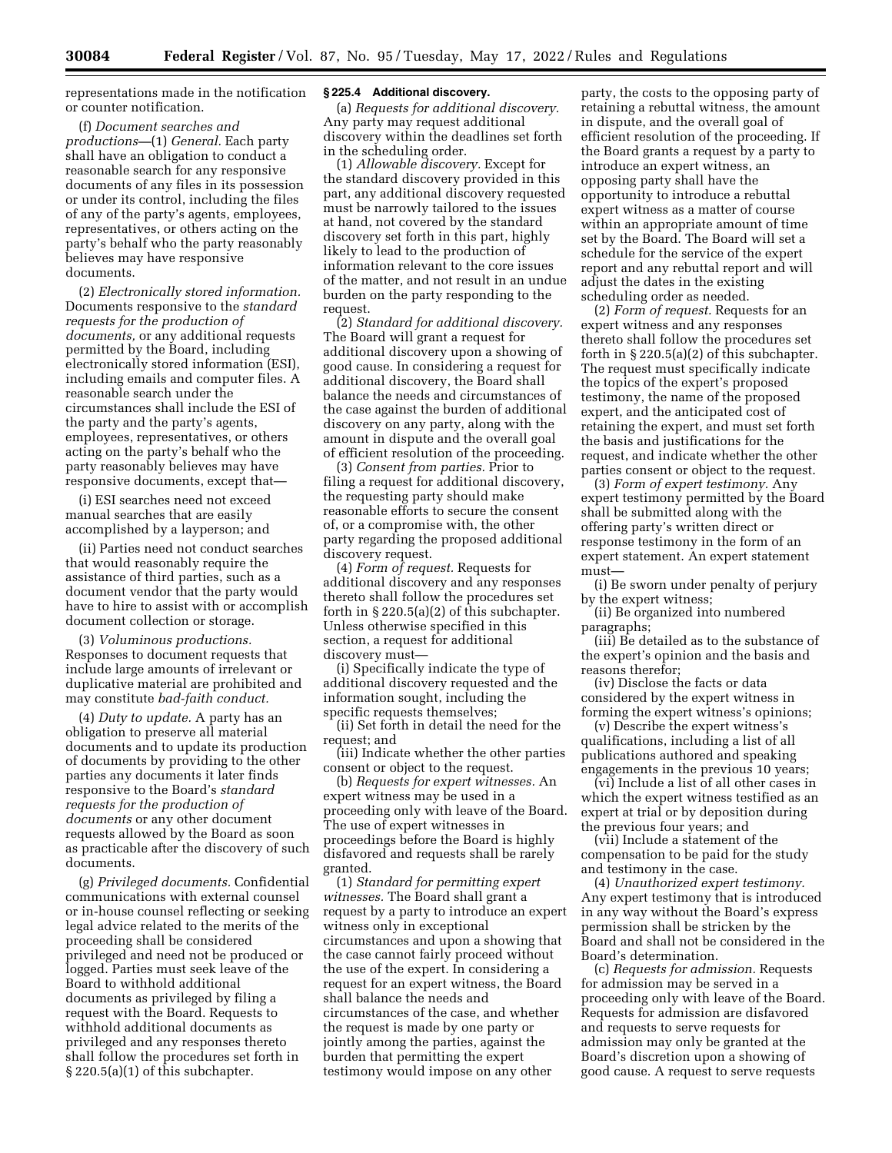representations made in the notification or counter notification.

(f) *Document searches and productions—*(1) *General.* Each party shall have an obligation to conduct a reasonable search for any responsive documents of any files in its possession or under its control, including the files of any of the party's agents, employees, representatives, or others acting on the party's behalf who the party reasonably believes may have responsive documents.

(2) *Electronically stored information.*  Documents responsive to the *standard requests for the production of documents,* or any additional requests permitted by the Board, including electronically stored information (ESI), including emails and computer files. A reasonable search under the circumstances shall include the ESI of the party and the party's agents, employees, representatives, or others acting on the party's behalf who the party reasonably believes may have responsive documents, except that—

(i) ESI searches need not exceed manual searches that are easily accomplished by a layperson; and

(ii) Parties need not conduct searches that would reasonably require the assistance of third parties, such as a document vendor that the party would have to hire to assist with or accomplish document collection or storage.

(3) *Voluminous productions.*  Responses to document requests that include large amounts of irrelevant or duplicative material are prohibited and may constitute *bad-faith conduct.* 

(4) *Duty to update.* A party has an obligation to preserve all material documents and to update its production of documents by providing to the other parties any documents it later finds responsive to the Board's *standard requests for the production of documents* or any other document requests allowed by the Board as soon as practicable after the discovery of such documents.

(g) *Privileged documents.* Confidential communications with external counsel or in-house counsel reflecting or seeking legal advice related to the merits of the proceeding shall be considered privileged and need not be produced or logged. Parties must seek leave of the Board to withhold additional documents as privileged by filing a request with the Board. Requests to withhold additional documents as privileged and any responses thereto shall follow the procedures set forth in § 220.5(a)(1) of this subchapter.

### **§ 225.4 Additional discovery.**

(a) *Requests for additional discovery.*  Any party may request additional discovery within the deadlines set forth in the scheduling order.

(1) *Allowable discovery.* Except for the standard discovery provided in this part, any additional discovery requested must be narrowly tailored to the issues at hand, not covered by the standard discovery set forth in this part, highly likely to lead to the production of information relevant to the core issues of the matter, and not result in an undue burden on the party responding to the request.

(2) *Standard for additional discovery.*  The Board will grant a request for additional discovery upon a showing of good cause. In considering a request for additional discovery, the Board shall balance the needs and circumstances of the case against the burden of additional discovery on any party, along with the amount in dispute and the overall goal of efficient resolution of the proceeding.

(3) *Consent from parties.* Prior to filing a request for additional discovery, the requesting party should make reasonable efforts to secure the consent of, or a compromise with, the other party regarding the proposed additional discovery request.

(4) *Form of request.* Requests for additional discovery and any responses thereto shall follow the procedures set forth in § 220.5(a)(2) of this subchapter. Unless otherwise specified in this section, a request for additional discovery must—

(i) Specifically indicate the type of additional discovery requested and the information sought, including the specific requests themselves;

(ii) Set forth in detail the need for the request; and

(iii) Indicate whether the other parties consent or object to the request.

(b) *Requests for expert witnesses.* An expert witness may be used in a proceeding only with leave of the Board. The use of expert witnesses in proceedings before the Board is highly disfavored and requests shall be rarely granted.

(1) *Standard for permitting expert witnesses.* The Board shall grant a request by a party to introduce an expert witness only in exceptional circumstances and upon a showing that the case cannot fairly proceed without the use of the expert. In considering a request for an expert witness, the Board shall balance the needs and circumstances of the case, and whether the request is made by one party or jointly among the parties, against the burden that permitting the expert testimony would impose on any other

party, the costs to the opposing party of retaining a rebuttal witness, the amount in dispute, and the overall goal of efficient resolution of the proceeding. If the Board grants a request by a party to introduce an expert witness, an opposing party shall have the opportunity to introduce a rebuttal expert witness as a matter of course within an appropriate amount of time set by the Board. The Board will set a schedule for the service of the expert report and any rebuttal report and will adjust the dates in the existing scheduling order as needed.

(2) *Form of request.* Requests for an expert witness and any responses thereto shall follow the procedures set forth in  $\S 220.5(a)(2)$  of this subchapter. The request must specifically indicate the topics of the expert's proposed testimony, the name of the proposed expert, and the anticipated cost of retaining the expert, and must set forth the basis and justifications for the request, and indicate whether the other parties consent or object to the request.

(3) *Form of expert testimony.* Any expert testimony permitted by the Board shall be submitted along with the offering party's written direct or response testimony in the form of an expert statement. An expert statement must—

(i) Be sworn under penalty of perjury by the expert witness;

(ii) Be organized into numbered paragraphs;

(iii) Be detailed as to the substance of the expert's opinion and the basis and reasons therefor;

(iv) Disclose the facts or data considered by the expert witness in forming the expert witness's opinions;

(v) Describe the expert witness's qualifications, including a list of all publications authored and speaking engagements in the previous 10 years;

(vi) Include a list of all other cases in which the expert witness testified as an expert at trial or by deposition during the previous four years; and

(vii) Include a statement of the compensation to be paid for the study and testimony in the case.

(4) *Unauthorized expert testimony.*  Any expert testimony that is introduced in any way without the Board's express permission shall be stricken by the Board and shall not be considered in the Board's determination.

(c) *Requests for admission.* Requests for admission may be served in a proceeding only with leave of the Board. Requests for admission are disfavored and requests to serve requests for admission may only be granted at the Board's discretion upon a showing of good cause. A request to serve requests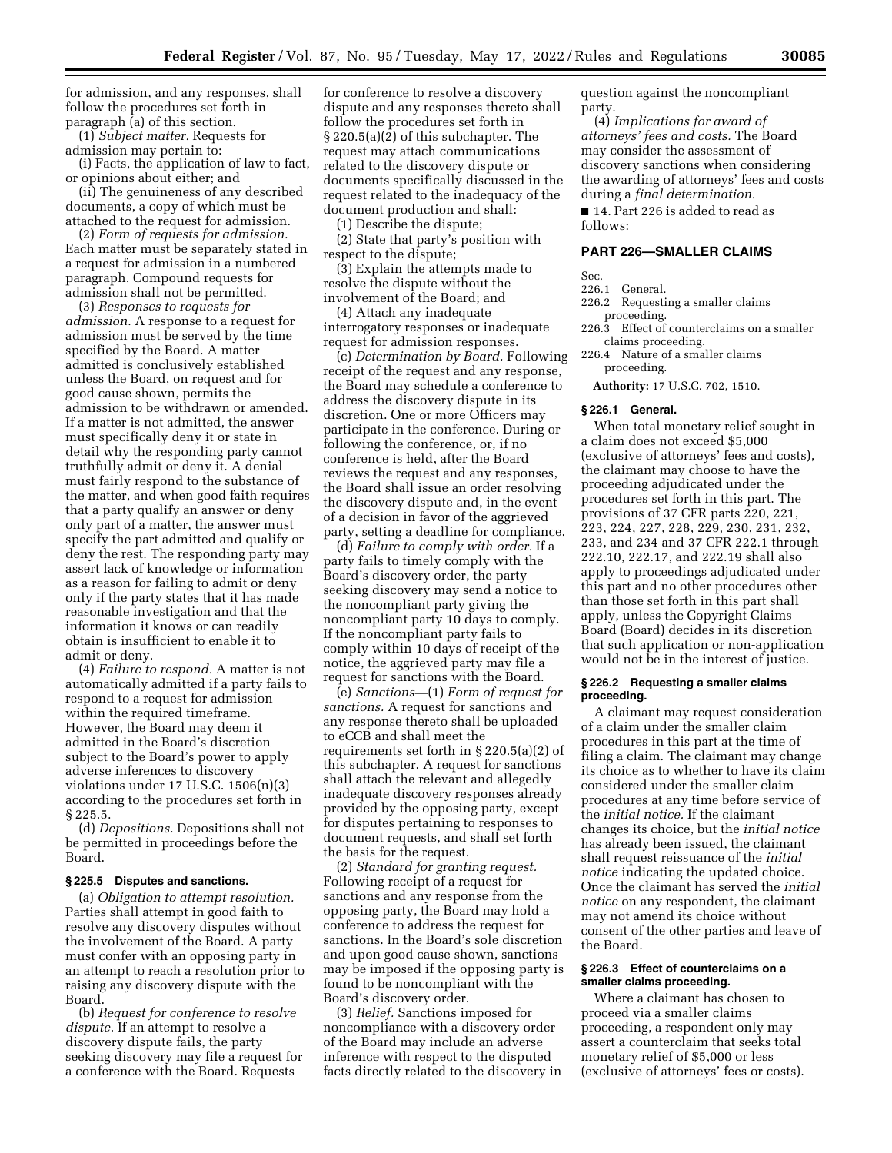for admission, and any responses, shall follow the procedures set forth in paragraph (a) of this section.

(1) *Subject matter.* Requests for admission may pertain to:

(i) Facts, the application of law to fact, or opinions about either; and

(ii) The genuineness of any described documents, a copy of which must be attached to the request for admission.

(2) *Form of requests for admission.*  Each matter must be separately stated in a request for admission in a numbered paragraph. Compound requests for admission shall not be permitted.

(3) *Responses to requests for admission.* A response to a request for admission must be served by the time specified by the Board. A matter admitted is conclusively established unless the Board, on request and for good cause shown, permits the admission to be withdrawn or amended. If a matter is not admitted, the answer must specifically deny it or state in detail why the responding party cannot truthfully admit or deny it. A denial must fairly respond to the substance of the matter, and when good faith requires that a party qualify an answer or deny only part of a matter, the answer must specify the part admitted and qualify or deny the rest. The responding party may assert lack of knowledge or information as a reason for failing to admit or deny only if the party states that it has made reasonable investigation and that the information it knows or can readily obtain is insufficient to enable it to admit or deny.

(4) *Failure to respond.* A matter is not automatically admitted if a party fails to respond to a request for admission within the required timeframe. However, the Board may deem it admitted in the Board's discretion subject to the Board's power to apply adverse inferences to discovery violations under 17 U.S.C. 1506(n)(3) according to the procedures set forth in § 225.5.

(d) *Depositions.* Depositions shall not be permitted in proceedings before the Board.

#### **§ 225.5 Disputes and sanctions.**

(a) *Obligation to attempt resolution.*  Parties shall attempt in good faith to resolve any discovery disputes without the involvement of the Board. A party must confer with an opposing party in an attempt to reach a resolution prior to raising any discovery dispute with the Board.

(b) *Request for conference to resolve dispute.* If an attempt to resolve a discovery dispute fails, the party seeking discovery may file a request for a conference with the Board. Requests

for conference to resolve a discovery dispute and any responses thereto shall follow the procedures set forth in § 220.5(a)(2) of this subchapter. The request may attach communications related to the discovery dispute or documents specifically discussed in the request related to the inadequacy of the document production and shall:

(1) Describe the dispute;

(2) State that party's position with respect to the dispute;

(3) Explain the attempts made to resolve the dispute without the involvement of the Board; and

(4) Attach any inadequate interrogatory responses or inadequate request for admission responses.

(c) *Determination by Board.* Following receipt of the request and any response, the Board may schedule a conference to address the discovery dispute in its discretion. One or more Officers may participate in the conference. During or following the conference, or, if no conference is held, after the Board reviews the request and any responses, the Board shall issue an order resolving the discovery dispute and, in the event of a decision in favor of the aggrieved party, setting a deadline for compliance.

(d) *Failure to comply with order.* If a party fails to timely comply with the Board's discovery order, the party seeking discovery may send a notice to the noncompliant party giving the noncompliant party 10 days to comply. If the noncompliant party fails to comply within 10 days of receipt of the notice, the aggrieved party may file a request for sanctions with the Board.

(e) *Sanctions—*(1) *Form of request for sanctions.* A request for sanctions and any response thereto shall be uploaded to eCCB and shall meet the requirements set forth in § 220.5(a)(2) of this subchapter. A request for sanctions shall attach the relevant and allegedly inadequate discovery responses already provided by the opposing party, except for disputes pertaining to responses to document requests, and shall set forth the basis for the request.

(2) *Standard for granting request.*  Following receipt of a request for sanctions and any response from the opposing party, the Board may hold a conference to address the request for sanctions. In the Board's sole discretion and upon good cause shown, sanctions may be imposed if the opposing party is found to be noncompliant with the Board's discovery order.

(3) *Relief.* Sanctions imposed for noncompliance with a discovery order of the Board may include an adverse inference with respect to the disputed facts directly related to the discovery in

question against the noncompliant party.

(4) *Implications for award of attorneys' fees and costs.* The Board may consider the assessment of discovery sanctions when considering the awarding of attorneys' fees and costs during a *final determination.* 

■ 14. Part 226 is added to read as follows:

#### **PART 226—SMALLER CLAIMS**

Sec.

- 226.1 General.
- 226.2 Requesting a smaller claims proceeding.
- 226.3 Effect of counterclaims on a smaller claims proceeding.
- 226.4 Nature of a smaller claims proceeding.
	- **Authority:** 17 U.S.C. 702, 1510.

#### **§ 226.1 General.**

When total monetary relief sought in a claim does not exceed \$5,000 (exclusive of attorneys' fees and costs), the claimant may choose to have the proceeding adjudicated under the procedures set forth in this part. The provisions of 37 CFR parts 220, 221, 223, 224, 227, 228, 229, 230, 231, 232, 233, and 234 and 37 CFR 222.1 through 222.10, 222.17, and 222.19 shall also apply to proceedings adjudicated under this part and no other procedures other than those set forth in this part shall apply, unless the Copyright Claims Board (Board) decides in its discretion that such application or non-application would not be in the interest of justice.

#### **§ 226.2 Requesting a smaller claims proceeding.**

A claimant may request consideration of a claim under the smaller claim procedures in this part at the time of filing a claim. The claimant may change its choice as to whether to have its claim considered under the smaller claim procedures at any time before service of the *initial notice.* If the claimant changes its choice, but the *initial notice*  has already been issued, the claimant shall request reissuance of the *initial notice* indicating the updated choice. Once the claimant has served the *initial notice* on any respondent, the claimant may not amend its choice without consent of the other parties and leave of the Board.

#### **§ 226.3 Effect of counterclaims on a smaller claims proceeding.**

Where a claimant has chosen to proceed via a smaller claims proceeding, a respondent only may assert a counterclaim that seeks total monetary relief of \$5,000 or less (exclusive of attorneys' fees or costs).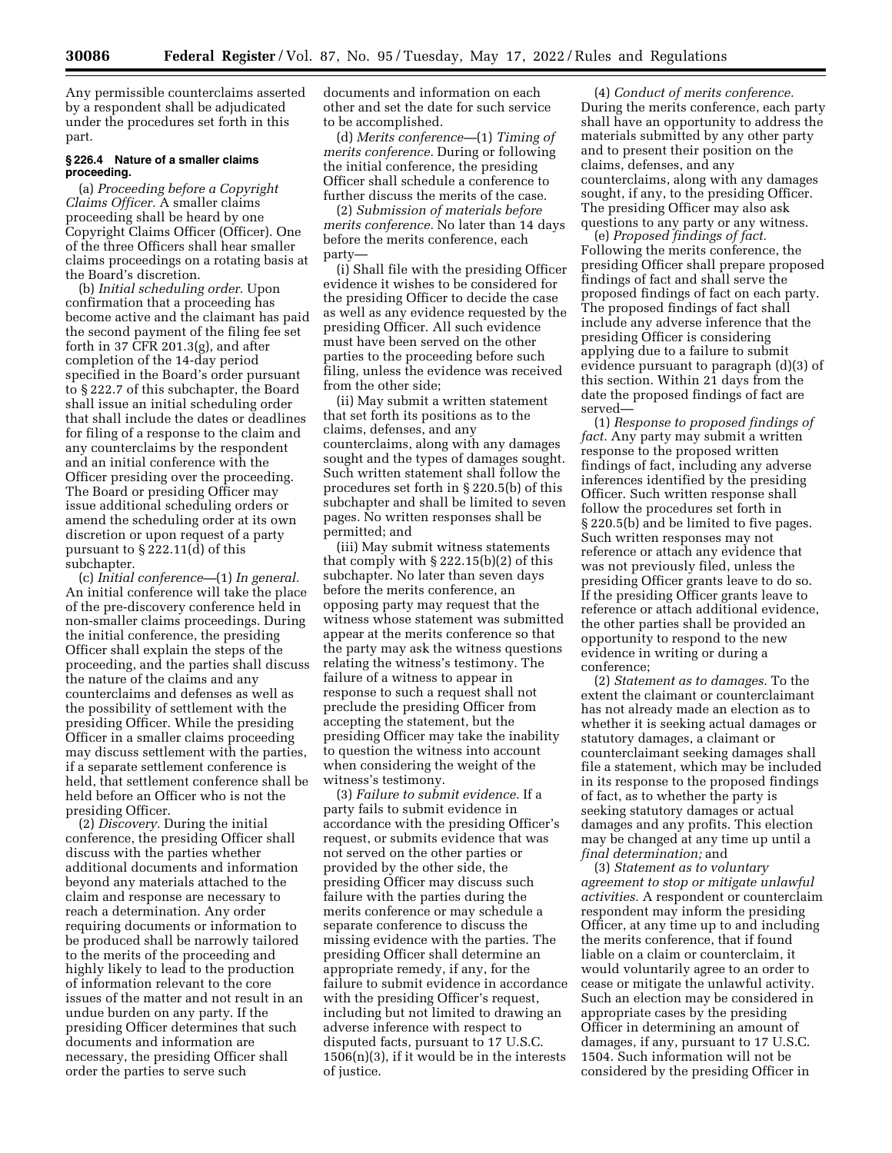Any permissible counterclaims asserted by a respondent shall be adjudicated under the procedures set forth in this part.

### **§ 226.4 Nature of a smaller claims proceeding.**

(a) *Proceeding before a Copyright Claims Officer.* A smaller claims proceeding shall be heard by one Copyright Claims Officer (Officer). One of the three Officers shall hear smaller claims proceedings on a rotating basis at the Board's discretion.

(b) *Initial scheduling order.* Upon confirmation that a proceeding has become active and the claimant has paid the second payment of the filing fee set forth in 37 CFR 201.3 $(g)$ , and after completion of the 14-day period specified in the Board's order pursuant to § 222.7 of this subchapter, the Board shall issue an initial scheduling order that shall include the dates or deadlines for filing of a response to the claim and any counterclaims by the respondent and an initial conference with the Officer presiding over the proceeding. The Board or presiding Officer may issue additional scheduling orders or amend the scheduling order at its own discretion or upon request of a party pursuant to § 222.11(d) of this subchapter.

(c) *Initial conference—*(1) *In general.*  An initial conference will take the place of the pre-discovery conference held in non-smaller claims proceedings. During the initial conference, the presiding Officer shall explain the steps of the proceeding, and the parties shall discuss the nature of the claims and any counterclaims and defenses as well as the possibility of settlement with the presiding Officer. While the presiding Officer in a smaller claims proceeding may discuss settlement with the parties, if a separate settlement conference is held, that settlement conference shall be held before an Officer who is not the presiding Officer.

(2) *Discovery.* During the initial conference, the presiding Officer shall discuss with the parties whether additional documents and information beyond any materials attached to the claim and response are necessary to reach a determination. Any order requiring documents or information to be produced shall be narrowly tailored to the merits of the proceeding and highly likely to lead to the production of information relevant to the core issues of the matter and not result in an undue burden on any party. If the presiding Officer determines that such documents and information are necessary, the presiding Officer shall order the parties to serve such

documents and information on each other and set the date for such service to be accomplished.

(d) *Merits conference—*(1) *Timing of merits conference.* During or following the initial conference, the presiding Officer shall schedule a conference to further discuss the merits of the case.

(2) *Submission of materials before merits conference.* No later than 14 days before the merits conference, each party—

(i) Shall file with the presiding Officer evidence it wishes to be considered for the presiding Officer to decide the case as well as any evidence requested by the presiding Officer. All such evidence must have been served on the other parties to the proceeding before such filing, unless the evidence was received from the other side;

(ii) May submit a written statement that set forth its positions as to the claims, defenses, and any counterclaims, along with any damages sought and the types of damages sought. Such written statement shall follow the procedures set forth in § 220.5(b) of this subchapter and shall be limited to seven pages. No written responses shall be permitted; and

(iii) May submit witness statements that comply with § 222.15(b)(2) of this subchapter. No later than seven days before the merits conference, an opposing party may request that the witness whose statement was submitted appear at the merits conference so that the party may ask the witness questions relating the witness's testimony. The failure of a witness to appear in response to such a request shall not preclude the presiding Officer from accepting the statement, but the presiding Officer may take the inability to question the witness into account when considering the weight of the witness's testimony.

(3) *Failure to submit evidence.* If a party fails to submit evidence in accordance with the presiding Officer's request, or submits evidence that was not served on the other parties or provided by the other side, the presiding Officer may discuss such failure with the parties during the merits conference or may schedule a separate conference to discuss the missing evidence with the parties. The presiding Officer shall determine an appropriate remedy, if any, for the failure to submit evidence in accordance with the presiding Officer's request, including but not limited to drawing an adverse inference with respect to disputed facts, pursuant to 17 U.S.C.  $1506(n)(3)$ , if it would be in the interests of justice.

(4) *Conduct of merits conference.*  During the merits conference, each party shall have an opportunity to address the materials submitted by any other party and to present their position on the claims, defenses, and any counterclaims, along with any damages sought, if any, to the presiding Officer. The presiding Officer may also ask questions to any party or any witness.

(e) *Proposed findings of fact.*  Following the merits conference, the presiding Officer shall prepare proposed findings of fact and shall serve the proposed findings of fact on each party. The proposed findings of fact shall include any adverse inference that the presiding Officer is considering applying due to a failure to submit evidence pursuant to paragraph (d)(3) of this section. Within 21 days from the date the proposed findings of fact are served—

(1) *Response to proposed findings of fact.* Any party may submit a written response to the proposed written findings of fact, including any adverse inferences identified by the presiding Officer. Such written response shall follow the procedures set forth in § 220.5(b) and be limited to five pages. Such written responses may not reference or attach any evidence that was not previously filed, unless the presiding Officer grants leave to do so. If the presiding Officer grants leave to reference or attach additional evidence, the other parties shall be provided an opportunity to respond to the new evidence in writing or during a conference;

(2) *Statement as to damages.* To the extent the claimant or counterclaimant has not already made an election as to whether it is seeking actual damages or statutory damages, a claimant or counterclaimant seeking damages shall file a statement, which may be included in its response to the proposed findings of fact, as to whether the party is seeking statutory damages or actual damages and any profits. This election may be changed at any time up until a *final determination;* and

(3) *Statement as to voluntary agreement to stop or mitigate unlawful activities.* A respondent or counterclaim respondent may inform the presiding Officer, at any time up to and including the merits conference, that if found liable on a claim or counterclaim, it would voluntarily agree to an order to cease or mitigate the unlawful activity. Such an election may be considered in appropriate cases by the presiding Officer in determining an amount of damages, if any, pursuant to 17 U.S.C. 1504. Such information will not be considered by the presiding Officer in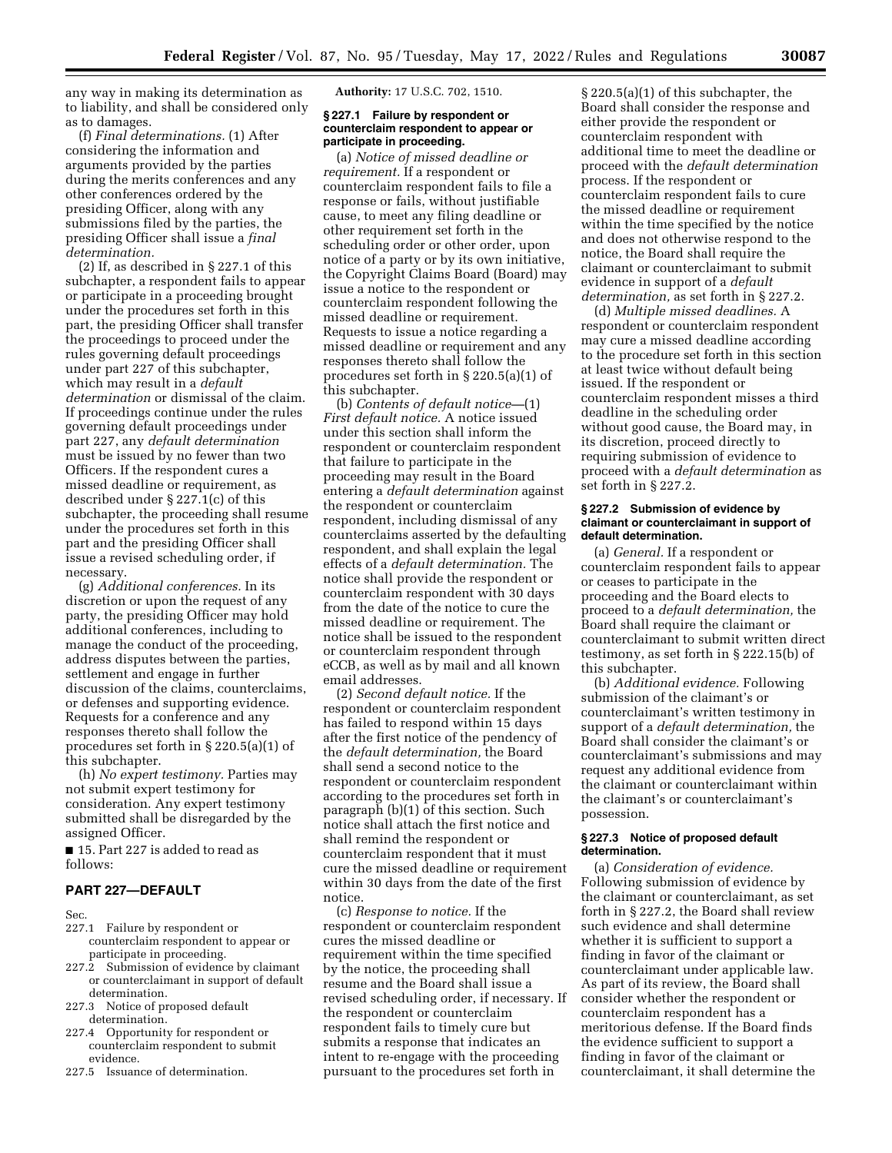any way in making its determination as to liability, and shall be considered only as to damages.

(f) *Final determinations.* (1) After considering the information and arguments provided by the parties during the merits conferences and any other conferences ordered by the presiding Officer, along with any submissions filed by the parties, the presiding Officer shall issue a *final determination.* 

(2) If, as described in § 227.1 of this subchapter, a respondent fails to appear or participate in a proceeding brought under the procedures set forth in this part, the presiding Officer shall transfer the proceedings to proceed under the rules governing default proceedings under part 227 of this subchapter, which may result in a *default determination* or dismissal of the claim. If proceedings continue under the rules governing default proceedings under part 227, any *default determination*  must be issued by no fewer than two Officers. If the respondent cures a missed deadline or requirement, as described under § 227.1(c) of this subchapter, the proceeding shall resume under the procedures set forth in this part and the presiding Officer shall issue a revised scheduling order, if necessary.

(g) *Additional conferences.* In its discretion or upon the request of any party, the presiding Officer may hold additional conferences, including to manage the conduct of the proceeding, address disputes between the parties, settlement and engage in further discussion of the claims, counterclaims, or defenses and supporting evidence. Requests for a conference and any responses thereto shall follow the procedures set forth in § 220.5(a)(1) of this subchapter.

(h) *No expert testimony.* Parties may not submit expert testimony for consideration. Any expert testimony submitted shall be disregarded by the assigned Officer.

■ 15. Part 227 is added to read as follows:

### **PART 227—DEFAULT**

Sec.

- 227.1 Failure by respondent or counterclaim respondent to appear or participate in proceeding.
- 227.2 Submission of evidence by claimant or counterclaimant in support of default determination.
- 227.3 Notice of proposed default determination.
- 227.4 Opportunity for respondent or counterclaim respondent to submit evidence.
- 227.5 Issuance of determination.

**Authority:** 17 U.S.C. 702, 1510.

### **§ 227.1 Failure by respondent or counterclaim respondent to appear or participate in proceeding.**

(a) *Notice of missed deadline or requirement.* If a respondent or counterclaim respondent fails to file a response or fails, without justifiable cause, to meet any filing deadline or other requirement set forth in the scheduling order or other order, upon notice of a party or by its own initiative, the Copyright Claims Board (Board) may issue a notice to the respondent or counterclaim respondent following the missed deadline or requirement. Requests to issue a notice regarding a missed deadline or requirement and any responses thereto shall follow the procedures set forth in § 220.5(a)(1) of this subchapter.

(b) *Contents of default notice—*(1) *First default notice.* A notice issued under this section shall inform the respondent or counterclaim respondent that failure to participate in the proceeding may result in the Board entering a *default determination* against the respondent or counterclaim respondent, including dismissal of any counterclaims asserted by the defaulting respondent, and shall explain the legal effects of a *default determination.* The notice shall provide the respondent or counterclaim respondent with 30 days from the date of the notice to cure the missed deadline or requirement. The notice shall be issued to the respondent or counterclaim respondent through eCCB, as well as by mail and all known email addresses.

(2) *Second default notice.* If the respondent or counterclaim respondent has failed to respond within 15 days after the first notice of the pendency of the *default determination,* the Board shall send a second notice to the respondent or counterclaim respondent according to the procedures set forth in paragraph (b)(1) of this section. Such notice shall attach the first notice and shall remind the respondent or counterclaim respondent that it must cure the missed deadline or requirement within 30 days from the date of the first notice.

(c) *Response to notice.* If the respondent or counterclaim respondent cures the missed deadline or requirement within the time specified by the notice, the proceeding shall resume and the Board shall issue a revised scheduling order, if necessary. If the respondent or counterclaim respondent fails to timely cure but submits a response that indicates an intent to re-engage with the proceeding pursuant to the procedures set forth in

§ 220.5(a)(1) of this subchapter, the Board shall consider the response and either provide the respondent or counterclaim respondent with additional time to meet the deadline or proceed with the *default determination*  process. If the respondent or counterclaim respondent fails to cure the missed deadline or requirement within the time specified by the notice and does not otherwise respond to the notice, the Board shall require the claimant or counterclaimant to submit evidence in support of a *default determination,* as set forth in § 227.2.

(d) *Multiple missed deadlines.* A respondent or counterclaim respondent may cure a missed deadline according to the procedure set forth in this section at least twice without default being issued. If the respondent or counterclaim respondent misses a third deadline in the scheduling order without good cause, the Board may, in its discretion, proceed directly to requiring submission of evidence to proceed with a *default determination* as set forth in § 227.2.

#### **§ 227.2 Submission of evidence by claimant or counterclaimant in support of default determination.**

(a) *General.* If a respondent or counterclaim respondent fails to appear or ceases to participate in the proceeding and the Board elects to proceed to a *default determination,* the Board shall require the claimant or counterclaimant to submit written direct testimony, as set forth in § 222.15(b) of this subchapter.

(b) *Additional evidence.* Following submission of the claimant's or counterclaimant's written testimony in support of a *default determination,* the Board shall consider the claimant's or counterclaimant's submissions and may request any additional evidence from the claimant or counterclaimant within the claimant's or counterclaimant's possession.

### **§ 227.3 Notice of proposed default determination.**

(a) *Consideration of evidence.*  Following submission of evidence by the claimant or counterclaimant, as set forth in § 227.2, the Board shall review such evidence and shall determine whether it is sufficient to support a finding in favor of the claimant or counterclaimant under applicable law. As part of its review, the Board shall consider whether the respondent or counterclaim respondent has a meritorious defense. If the Board finds the evidence sufficient to support a finding in favor of the claimant or counterclaimant, it shall determine the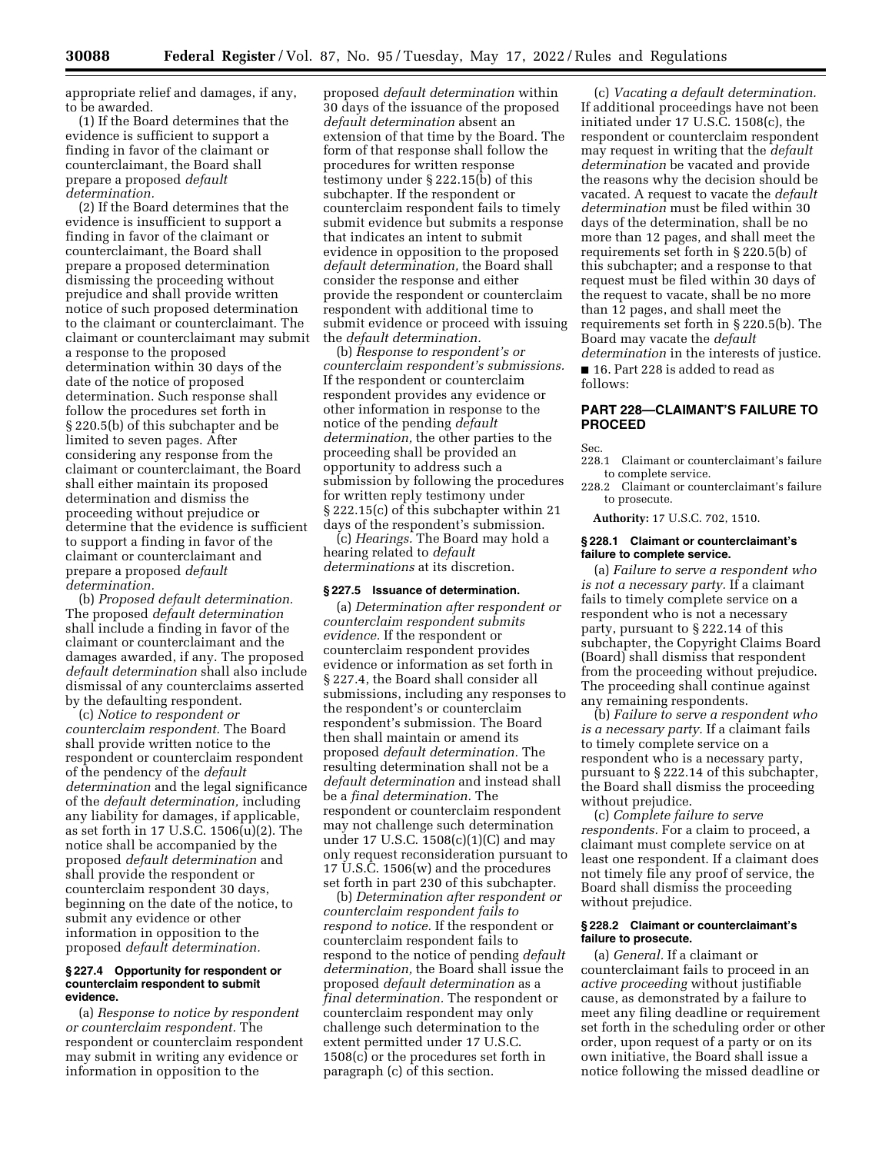appropriate relief and damages, if any, to be awarded.

(1) If the Board determines that the evidence is sufficient to support a finding in favor of the claimant or counterclaimant, the Board shall prepare a proposed *default determination.* 

(2) If the Board determines that the evidence is insufficient to support a finding in favor of the claimant or counterclaimant, the Board shall prepare a proposed determination dismissing the proceeding without prejudice and shall provide written notice of such proposed determination to the claimant or counterclaimant. The claimant or counterclaimant may submit a response to the proposed determination within 30 days of the date of the notice of proposed determination. Such response shall follow the procedures set forth in § 220.5(b) of this subchapter and be limited to seven pages. After considering any response from the claimant or counterclaimant, the Board shall either maintain its proposed determination and dismiss the proceeding without prejudice or determine that the evidence is sufficient to support a finding in favor of the claimant or counterclaimant and prepare a proposed *default determination.* 

(b) *Proposed default determination.*  The proposed *default determination*  shall include a finding in favor of the claimant or counterclaimant and the damages awarded, if any. The proposed *default determination* shall also include dismissal of any counterclaims asserted by the defaulting respondent.

(c) *Notice to respondent or counterclaim respondent.* The Board shall provide written notice to the respondent or counterclaim respondent of the pendency of the *default determination* and the legal significance of the *default determination,* including any liability for damages, if applicable, as set forth in 17 U.S.C.  $1506(u)(2)$ . The notice shall be accompanied by the proposed *default determination* and shall provide the respondent or counterclaim respondent 30 days, beginning on the date of the notice, to submit any evidence or other information in opposition to the proposed *default determination.* 

#### **§ 227.4 Opportunity for respondent or counterclaim respondent to submit evidence.**

(a) *Response to notice by respondent or counterclaim respondent.* The respondent or counterclaim respondent may submit in writing any evidence or information in opposition to the

proposed *default determination* within 30 days of the issuance of the proposed *default determination* absent an extension of that time by the Board. The form of that response shall follow the procedures for written response testimony under § 222.15(b) of this subchapter. If the respondent or counterclaim respondent fails to timely submit evidence but submits a response that indicates an intent to submit evidence in opposition to the proposed *default determination,* the Board shall consider the response and either provide the respondent or counterclaim respondent with additional time to submit evidence or proceed with issuing the *default determination.* 

(b) *Response to respondent's or counterclaim respondent's submissions.*  If the respondent or counterclaim respondent provides any evidence or other information in response to the notice of the pending *default determination,* the other parties to the proceeding shall be provided an opportunity to address such a submission by following the procedures for written reply testimony under § 222.15(c) of this subchapter within 21 days of the respondent's submission.

(c) *Hearings.* The Board may hold a hearing related to *default determinations* at its discretion.

#### **§ 227.5 Issuance of determination.**

(a) *Determination after respondent or counterclaim respondent submits evidence.* If the respondent or counterclaim respondent provides evidence or information as set forth in § 227.4, the Board shall consider all submissions, including any responses to the respondent's or counterclaim respondent's submission. The Board then shall maintain or amend its proposed *default determination.* The resulting determination shall not be a *default determination* and instead shall be a *final determination.* The respondent or counterclaim respondent may not challenge such determination under 17 U.S.C. 1508(c)(1)(C) and may only request reconsideration pursuant to 17 U.S.C. 1506(w) and the procedures set forth in part 230 of this subchapter.

(b) *Determination after respondent or counterclaim respondent fails to respond to notice.* If the respondent or counterclaim respondent fails to respond to the notice of pending *default determination,* the Board shall issue the proposed *default determination* as a *final determination.* The respondent or counterclaim respondent may only challenge such determination to the extent permitted under 17 U.S.C. 1508(c) or the procedures set forth in paragraph (c) of this section.

(c) *Vacating a default determination.*  If additional proceedings have not been initiated under 17 U.S.C. 1508(c), the respondent or counterclaim respondent may request in writing that the *default determination* be vacated and provide the reasons why the decision should be vacated. A request to vacate the *default determination* must be filed within 30 days of the determination, shall be no more than 12 pages, and shall meet the requirements set forth in § 220.5(b) of this subchapter; and a response to that request must be filed within 30 days of the request to vacate, shall be no more than 12 pages, and shall meet the requirements set forth in § 220.5(b). The Board may vacate the *default determination* in the interests of justice. ■ 16. Part 228 is added to read as follows:

### **PART 228—CLAIMANT'S FAILURE TO PROCEED**

Sec.

- 228.1 Claimant or counterclaimant's failure to complete service.
- 228.2 Claimant or counterclaimant's failure to prosecute.

**Authority:** 17 U.S.C. 702, 1510.

#### **§ 228.1 Claimant or counterclaimant's failure to complete service.**

(a) *Failure to serve a respondent who is not a necessary party.* If a claimant fails to timely complete service on a respondent who is not a necessary party, pursuant to § 222.14 of this subchapter, the Copyright Claims Board (Board) shall dismiss that respondent from the proceeding without prejudice. The proceeding shall continue against any remaining respondents.

(b) *Failure to serve a respondent who is a necessary party.* If a claimant fails to timely complete service on a respondent who is a necessary party, pursuant to § 222.14 of this subchapter, the Board shall dismiss the proceeding without prejudice.

(c) *Complete failure to serve respondents.* For a claim to proceed, a claimant must complete service on at least one respondent. If a claimant does not timely file any proof of service, the Board shall dismiss the proceeding without prejudice.

### **§ 228.2 Claimant or counterclaimant's failure to prosecute.**

(a) *General.* If a claimant or counterclaimant fails to proceed in an *active proceeding* without justifiable cause, as demonstrated by a failure to meet any filing deadline or requirement set forth in the scheduling order or other order, upon request of a party or on its own initiative, the Board shall issue a notice following the missed deadline or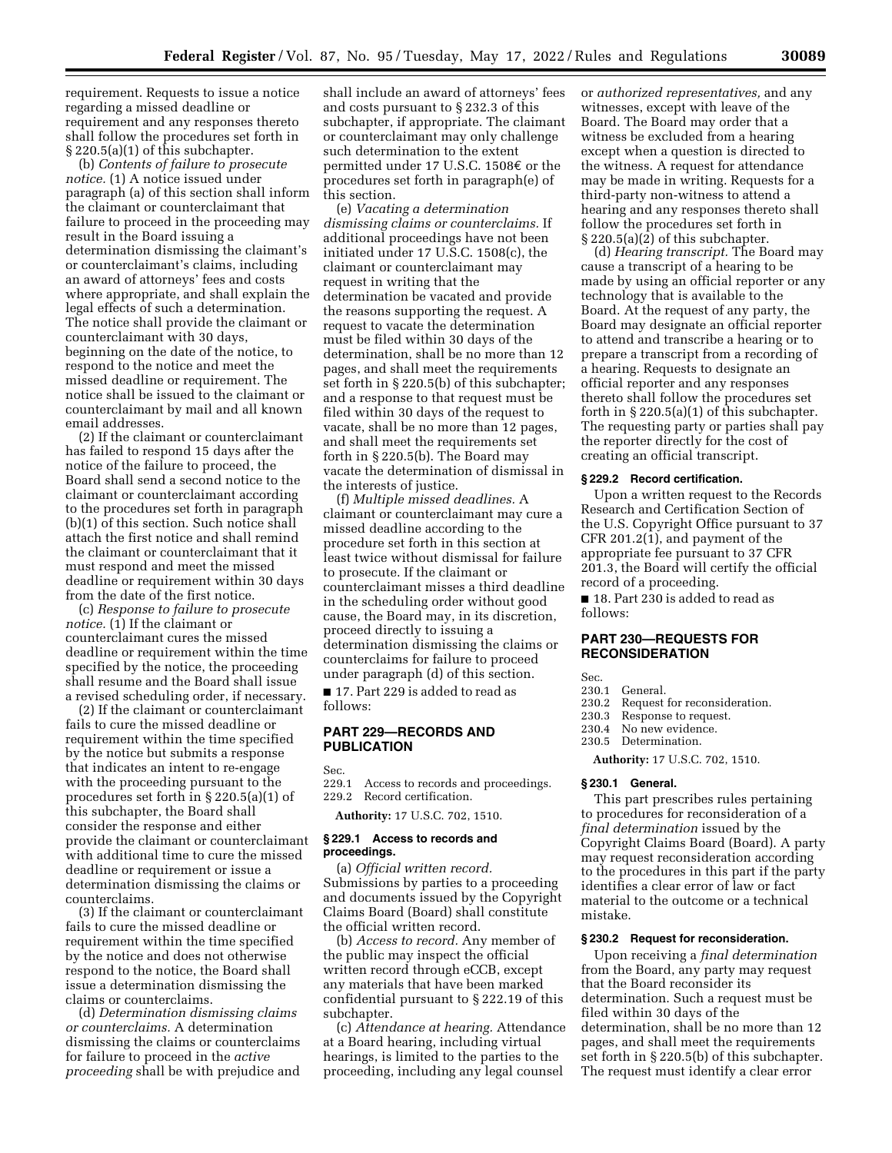requirement. Requests to issue a notice regarding a missed deadline or requirement and any responses thereto shall follow the procedures set forth in § 220.5(a)(1) of this subchapter.

(b) *Contents of failure to prosecute notice.* (1) A notice issued under paragraph (a) of this section shall inform the claimant or counterclaimant that failure to proceed in the proceeding may result in the Board issuing a determination dismissing the claimant's or counterclaimant's claims, including an award of attorneys' fees and costs where appropriate, and shall explain the legal effects of such a determination. The notice shall provide the claimant or counterclaimant with 30 days, beginning on the date of the notice, to respond to the notice and meet the missed deadline or requirement. The notice shall be issued to the claimant or counterclaimant by mail and all known email addresses.

(2) If the claimant or counterclaimant has failed to respond 15 days after the notice of the failure to proceed, the Board shall send a second notice to the claimant or counterclaimant according to the procedures set forth in paragraph (b)(1) of this section. Such notice shall attach the first notice and shall remind the claimant or counterclaimant that it must respond and meet the missed deadline or requirement within 30 days from the date of the first notice.

(c) *Response to failure to prosecute notice.* (1) If the claimant or counterclaimant cures the missed deadline or requirement within the time specified by the notice, the proceeding shall resume and the Board shall issue a revised scheduling order, if necessary.

(2) If the claimant or counterclaimant fails to cure the missed deadline or requirement within the time specified by the notice but submits a response that indicates an intent to re-engage with the proceeding pursuant to the procedures set forth in § 220.5(a)(1) of this subchapter, the Board shall consider the response and either provide the claimant or counterclaimant with additional time to cure the missed deadline or requirement or issue a determination dismissing the claims or counterclaims.

(3) If the claimant or counterclaimant fails to cure the missed deadline or requirement within the time specified by the notice and does not otherwise respond to the notice, the Board shall issue a determination dismissing the claims or counterclaims.

(d) *Determination dismissing claims or counterclaims.* A determination dismissing the claims or counterclaims for failure to proceed in the *active proceeding* shall be with prejudice and

shall include an award of attorneys' fees and costs pursuant to § 232.3 of this subchapter, if appropriate. The claimant or counterclaimant may only challenge such determination to the extent permitted under 17 U.S.C. 1508 $\epsilon$  or the procedures set forth in paragraph(e) of this section.

(e) *Vacating a determination dismissing claims or counterclaims.* If additional proceedings have not been initiated under 17 U.S.C. 1508(c), the claimant or counterclaimant may request in writing that the determination be vacated and provide the reasons supporting the request. A request to vacate the determination must be filed within 30 days of the determination, shall be no more than 12 pages, and shall meet the requirements set forth in § 220.5(b) of this subchapter; and a response to that request must be filed within 30 days of the request to vacate, shall be no more than 12 pages, and shall meet the requirements set forth in § 220.5(b). The Board may vacate the determination of dismissal in the interests of justice.

(f) *Multiple missed deadlines.* A claimant or counterclaimant may cure a missed deadline according to the procedure set forth in this section at least twice without dismissal for failure to prosecute. If the claimant or counterclaimant misses a third deadline in the scheduling order without good cause, the Board may, in its discretion, proceed directly to issuing a determination dismissing the claims or counterclaims for failure to proceed under paragraph (d) of this section.

■ 17. Part 229 is added to read as follows:

#### **PART 229—RECORDS AND PUBLICATION**

Sec.

229.1 Access to records and proceedings. 229.2 Record certification.

**Authority:** 17 U.S.C. 702, 1510.

### **§ 229.1 Access to records and proceedings.**

(a) *Official written record.*  Submissions by parties to a proceeding and documents issued by the Copyright Claims Board (Board) shall constitute the official written record.

(b) *Access to record.* Any member of the public may inspect the official written record through eCCB, except any materials that have been marked confidential pursuant to § 222.19 of this subchapter.

(c) *Attendance at hearing.* Attendance at a Board hearing, including virtual hearings, is limited to the parties to the proceeding, including any legal counsel

or *authorized representatives,* and any witnesses, except with leave of the Board. The Board may order that a witness be excluded from a hearing except when a question is directed to the witness. A request for attendance may be made in writing. Requests for a third-party non-witness to attend a hearing and any responses thereto shall follow the procedures set forth in  $\S 220.5(a)(2)$  of this subchapter.

(d) *Hearing transcript.* The Board may cause a transcript of a hearing to be made by using an official reporter or any technology that is available to the Board. At the request of any party, the Board may designate an official reporter to attend and transcribe a hearing or to prepare a transcript from a recording of a hearing. Requests to designate an official reporter and any responses thereto shall follow the procedures set forth in  $\S 220.5(a)(1)$  of this subchapter. The requesting party or parties shall pay the reporter directly for the cost of creating an official transcript.

### **§ 229.2 Record certification.**

Upon a written request to the Records Research and Certification Section of the U.S. Copyright Office pursuant to 37 CFR 201.2(1), and payment of the appropriate fee pursuant to 37 CFR 201.3, the Board will certify the official record of a proceeding.

■ 18. Part 230 is added to read as follows:

### **PART 230—REQUESTS FOR RECONSIDERATION**

Sec.

- 230.1 General.
- 230.2 Request for reconsideration.<br>230.3 Response to request.
- Response to request.
- 230.4 No new evidence.<br>230.5 Determination.
	- Determination.

**Authority:** 17 U.S.C. 702, 1510.

#### **§ 230.1 General.**

This part prescribes rules pertaining to procedures for reconsideration of a *final determination* issued by the Copyright Claims Board (Board). A party may request reconsideration according to the procedures in this part if the party identifies a clear error of law or fact material to the outcome or a technical mistake.

#### **§ 230.2 Request for reconsideration.**

Upon receiving a *final determination*  from the Board, any party may request that the Board reconsider its determination. Such a request must be filed within 30 days of the determination, shall be no more than 12 pages, and shall meet the requirements set forth in § 220.5(b) of this subchapter. The request must identify a clear error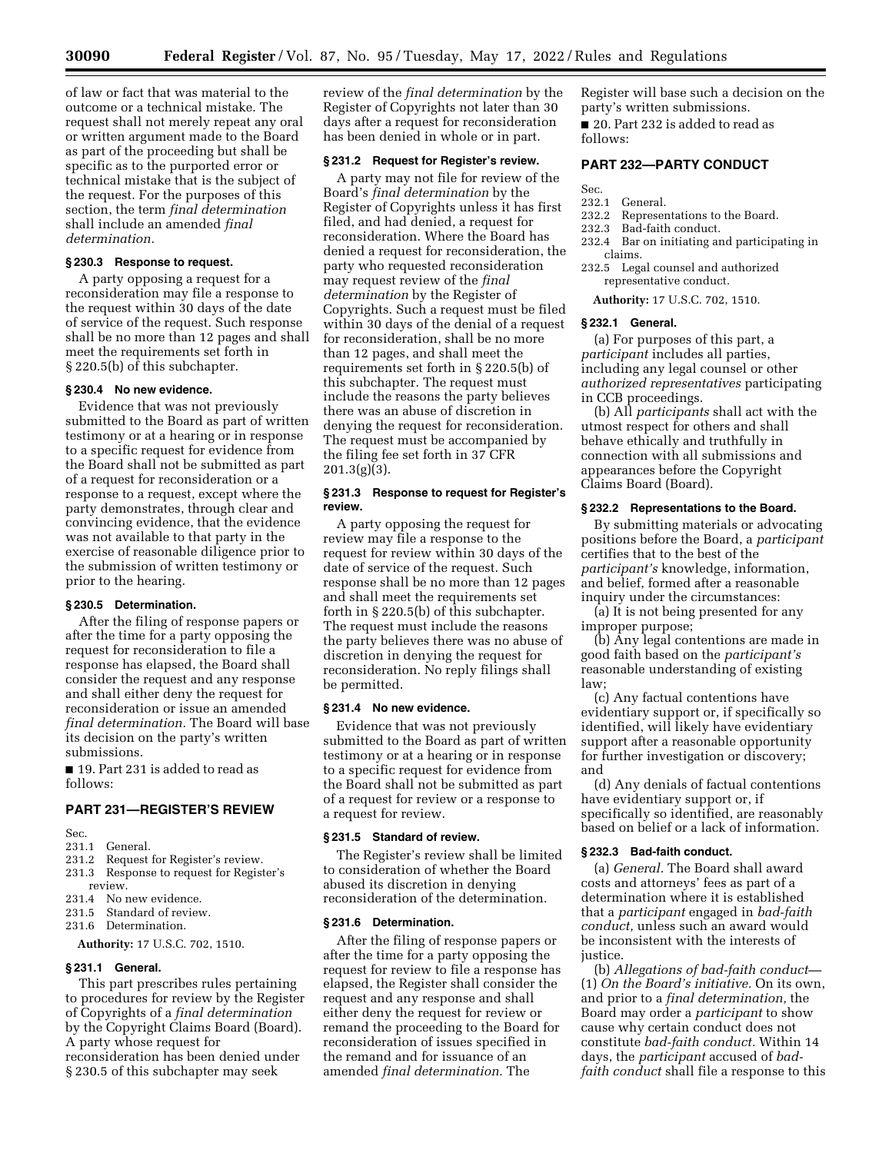of law or fact that was material to the outcome or a technical mistake. The request shall not merely repeat any oral or written argument made to the Board as part of the proceeding but shall be specific as to the purported error or technical mistake that is the subject of the request. For the purposes of this section, the term *final determination*  shall include an amended *final determination.* 

# **§ 230.3 Response to request.**

A party opposing a request for a reconsideration may file a response to the request within 30 days of the date of service of the request. Such response shall be no more than 12 pages and shall meet the requirements set forth in § 220.5(b) of this subchapter.

### **§ 230.4 No new evidence.**

Evidence that was not previously submitted to the Board as part of written testimony or at a hearing or in response to a specific request for evidence from the Board shall not be submitted as part of a request for reconsideration or a response to a request, except where the party demonstrates, through clear and convincing evidence, that the evidence was not available to that party in the exercise of reasonable diligence prior to the submission of written testimony or prior to the hearing.

#### **§ 230.5 Determination.**

After the filing of response papers or after the time for a party opposing the request for reconsideration to file a response has elapsed, the Board shall consider the request and any response and shall either deny the request for reconsideration or issue an amended *final determination.* The Board will base its decision on the party's written submissions.

■ 19. Part 231 is added to read as follows:

# **PART 231—REGISTER'S REVIEW**

- Sec.<br>231.1
- General.
- 231.2 Request for Register's review.
- 231.3 Response to request for Register's review.
- 231.4 No new evidence.
- 231.5 Standard of review.
- 231.6 Determination.

#### **Authority:** 17 U.S.C. 702, 1510.

#### **§ 231.1 General.**

This part prescribes rules pertaining to procedures for review by the Register of Copyrights of a *final determination*  by the Copyright Claims Board (Board). A party whose request for reconsideration has been denied under

§ 230.5 of this subchapter may seek

review of the *final determination* by the Register of Copyrights not later than 30 days after a request for reconsideration has been denied in whole or in part.

### **§ 231.2 Request for Register's review.**

A party may not file for review of the Board's *final determination* by the Register of Copyrights unless it has first filed, and had denied, a request for reconsideration. Where the Board has denied a request for reconsideration, the party who requested reconsideration may request review of the *final determination* by the Register of Copyrights. Such a request must be filed within 30 days of the denial of a request for reconsideration, shall be no more than 12 pages, and shall meet the requirements set forth in § 220.5(b) of this subchapter. The request must include the reasons the party believes there was an abuse of discretion in denying the request for reconsideration. The request must be accompanied by the filing fee set forth in 37 CFR  $201.3(g)(3)$ .

### **§ 231.3 Response to request for Register's review.**

A party opposing the request for review may file a response to the request for review within 30 days of the date of service of the request. Such response shall be no more than 12 pages and shall meet the requirements set forth in § 220.5(b) of this subchapter. The request must include the reasons the party believes there was no abuse of discretion in denying the request for reconsideration. No reply filings shall be permitted.

#### **§ 231.4 No new evidence.**

Evidence that was not previously submitted to the Board as part of written testimony or at a hearing or in response to a specific request for evidence from the Board shall not be submitted as part of a request for review or a response to a request for review.

#### **§ 231.5 Standard of review.**

The Register's review shall be limited to consideration of whether the Board abused its discretion in denying reconsideration of the determination.

#### **§ 231.6 Determination.**

After the filing of response papers or after the time for a party opposing the request for review to file a response has elapsed, the Register shall consider the request and any response and shall either deny the request for review or remand the proceeding to the Board for reconsideration of issues specified in the remand and for issuance of an amended *final determination.* The

Register will base such a decision on the party's written submissions. ■ 20. Part 232 is added to read as

follows:

# **PART 232—PARTY CONDUCT**

- Sec.
- 232.1 General.<br>232.2 Represer Representations to the Board.
- 232.3 Bad-faith conduct.
- 232.4 Bar on initiating and participating in claims.
- 232.5 Legal counsel and authorized representative conduct.
	- **Authority:** 17 U.S.C. 702, 1510.

#### **§ 232.1 General.**

(a) For purposes of this part, a *participant* includes all parties, including any legal counsel or other *authorized representatives* participating in CCB proceedings.

(b) All *participants* shall act with the utmost respect for others and shall behave ethically and truthfully in connection with all submissions and appearances before the Copyright Claims Board (Board).

#### **§ 232.2 Representations to the Board.**

By submitting materials or advocating positions before the Board, a *participant*  certifies that to the best of the *participant's* knowledge, information, and belief, formed after a reasonable inquiry under the circumstances:

(a) It is not being presented for any improper purpose;

(b) Any legal contentions are made in good faith based on the *participant's*  reasonable understanding of existing law;

(c) Any factual contentions have evidentiary support or, if specifically so identified, will likely have evidentiary support after a reasonable opportunity for further investigation or discovery; and

(d) Any denials of factual contentions have evidentiary support or, if specifically so identified, are reasonably based on belief or a lack of information.

#### **§ 232.3 Bad-faith conduct.**

(a) *General.* The Board shall award costs and attorneys' fees as part of a determination where it is established that a *participant* engaged in *bad-faith conduct,* unless such an award would be inconsistent with the interests of justice.

(b) *Allegations of bad-faith conduct—*  (1) *On the Board's initiative.* On its own, and prior to a *final determination,* the Board may order a *participant* to show cause why certain conduct does not constitute *bad-faith conduct.* Within 14 days, the *participant* accused of *badfaith conduct* shall file a response to this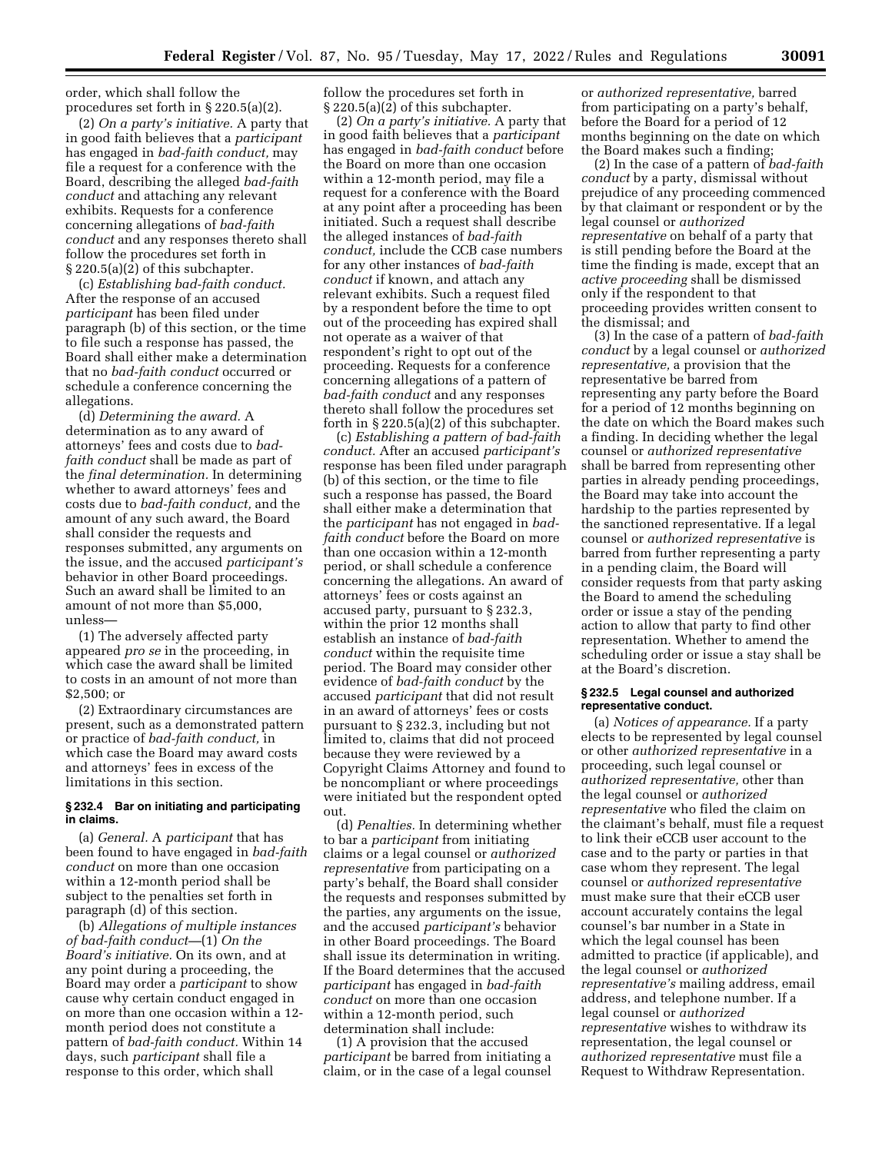order, which shall follow the procedures set forth in § 220.5(a)(2).

(2) *On a party's initiative.* A party that in good faith believes that a *participant*  has engaged in *bad-faith conduct,* may file a request for a conference with the Board, describing the alleged *bad-faith conduct* and attaching any relevant exhibits. Requests for a conference concerning allegations of *bad-faith conduct* and any responses thereto shall follow the procedures set forth in § 220.5(a)(2) of this subchapter.

(c) *Establishing bad-faith conduct.*  After the response of an accused *participant* has been filed under paragraph (b) of this section, or the time to file such a response has passed, the Board shall either make a determination that no *bad-faith conduct* occurred or schedule a conference concerning the allegations.

(d) *Determining the award.* A determination as to any award of attorneys' fees and costs due to *badfaith conduct* shall be made as part of the *final determination.* In determining whether to award attorneys' fees and costs due to *bad-faith conduct,* and the amount of any such award, the Board shall consider the requests and responses submitted, any arguments on the issue, and the accused *participant's*  behavior in other Board proceedings. Such an award shall be limited to an amount of not more than \$5,000, unless—

(1) The adversely affected party appeared *pro se* in the proceeding, in which case the award shall be limited to costs in an amount of not more than \$2,500; or

(2) Extraordinary circumstances are present, such as a demonstrated pattern or practice of *bad-faith conduct,* in which case the Board may award costs and attorneys' fees in excess of the limitations in this section.

## **§ 232.4 Bar on initiating and participating in claims.**

(a) *General.* A *participant* that has been found to have engaged in *bad-faith conduct* on more than one occasion within a 12-month period shall be subject to the penalties set forth in paragraph (d) of this section.

(b) *Allegations of multiple instances of bad-faith conduct—*(1) *On the Board's initiative.* On its own, and at any point during a proceeding, the Board may order a *participant* to show cause why certain conduct engaged in on more than one occasion within a 12 month period does not constitute a pattern of *bad-faith conduct.* Within 14 days, such *participant* shall file a response to this order, which shall

follow the procedures set forth in § 220.5(a)(2) of this subchapter.

(2) *On a party's initiative.* A party that in good faith believes that a *participant*  has engaged in *bad-faith conduct* before the Board on more than one occasion within a 12-month period, may file a request for a conference with the Board at any point after a proceeding has been initiated. Such a request shall describe the alleged instances of *bad-faith conduct,* include the CCB case numbers for any other instances of *bad-faith conduct* if known, and attach any relevant exhibits. Such a request filed by a respondent before the time to opt out of the proceeding has expired shall not operate as a waiver of that respondent's right to opt out of the proceeding. Requests for a conference concerning allegations of a pattern of *bad-faith conduct* and any responses thereto shall follow the procedures set forth in  $\S 220.5(a)(2)$  of this subchapter.

(c) *Establishing a pattern of bad-faith conduct.* After an accused *participant's*  response has been filed under paragraph (b) of this section, or the time to file such a response has passed, the Board shall either make a determination that the *participant* has not engaged in *badfaith conduct* before the Board on more than one occasion within a 12-month period, or shall schedule a conference concerning the allegations. An award of attorneys' fees or costs against an accused party, pursuant to § 232.3, within the prior 12 months shall establish an instance of *bad-faith conduct* within the requisite time period. The Board may consider other evidence of *bad-faith conduct* by the accused *participant* that did not result in an award of attorneys' fees or costs pursuant to § 232.3, including but not limited to, claims that did not proceed because they were reviewed by a Copyright Claims Attorney and found to be noncompliant or where proceedings were initiated but the respondent opted out.

(d) *Penalties.* In determining whether to bar a *participant* from initiating claims or a legal counsel or *authorized representative* from participating on a party's behalf, the Board shall consider the requests and responses submitted by the parties, any arguments on the issue, and the accused *participant's* behavior in other Board proceedings. The Board shall issue its determination in writing. If the Board determines that the accused *participant* has engaged in *bad-faith conduct* on more than one occasion within a 12-month period, such determination shall include:

(1) A provision that the accused *participant* be barred from initiating a claim, or in the case of a legal counsel

or *authorized representative,* barred from participating on a party's behalf, before the Board for a period of 12 months beginning on the date on which the Board makes such a finding;

(2) In the case of a pattern of *bad-faith conduct* by a party, dismissal without prejudice of any proceeding commenced by that claimant or respondent or by the legal counsel or *authorized representative* on behalf of a party that is still pending before the Board at the time the finding is made, except that an *active proceeding* shall be dismissed only if the respondent to that proceeding provides written consent to the dismissal; and

(3) In the case of a pattern of *bad-faith conduct* by a legal counsel or *authorized representative,* a provision that the representative be barred from representing any party before the Board for a period of 12 months beginning on the date on which the Board makes such a finding. In deciding whether the legal counsel or *authorized representative*  shall be barred from representing other parties in already pending proceedings, the Board may take into account the hardship to the parties represented by the sanctioned representative. If a legal counsel or *authorized representative* is barred from further representing a party in a pending claim, the Board will consider requests from that party asking the Board to amend the scheduling order or issue a stay of the pending action to allow that party to find other representation. Whether to amend the scheduling order or issue a stay shall be at the Board's discretion.

### **§ 232.5 Legal counsel and authorized representative conduct.**

(a) *Notices of appearance.* If a party elects to be represented by legal counsel or other *authorized representative* in a proceeding, such legal counsel or *authorized representative,* other than the legal counsel or *authorized representative* who filed the claim on the claimant's behalf, must file a request to link their eCCB user account to the case and to the party or parties in that case whom they represent. The legal counsel or *authorized representative*  must make sure that their eCCB user account accurately contains the legal counsel's bar number in a State in which the legal counsel has been admitted to practice (if applicable), and the legal counsel or *authorized representative's* mailing address, email address, and telephone number. If a legal counsel or *authorized representative* wishes to withdraw its representation, the legal counsel or *authorized representative* must file a Request to Withdraw Representation.